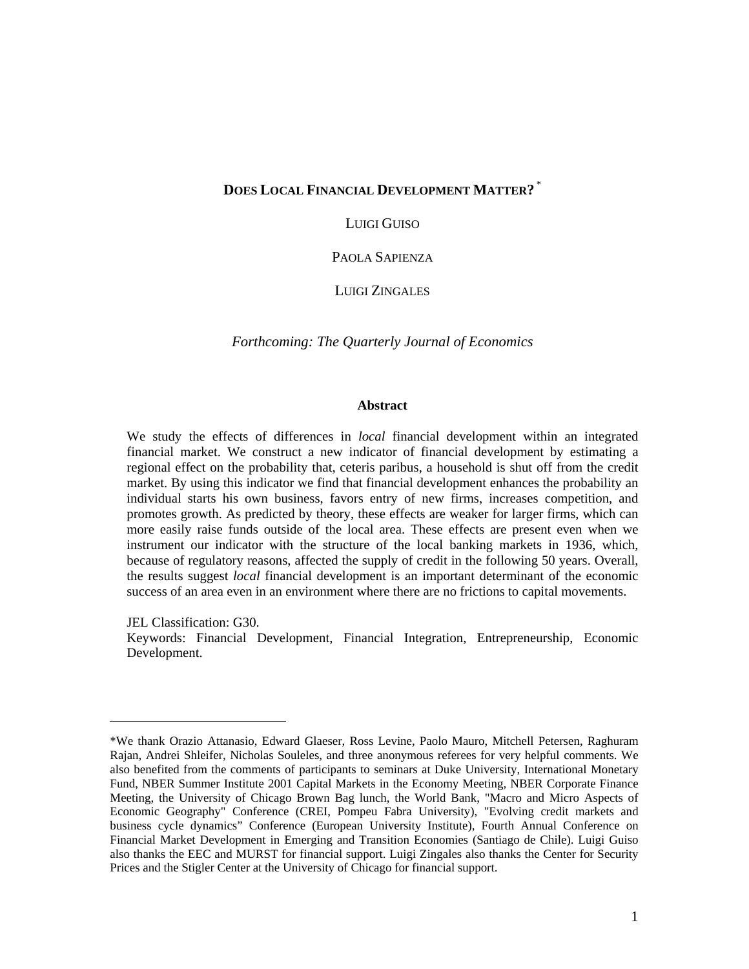# **DOES LOCAL FINANCIAL DEVELOPMENT MATTER?** [\\*](#page-0-0)

LUIGI GUISO

PAOLA SAPIENZA

LUIGI ZINGALES

*Forthcoming: The Quarterly Journal of Economics* 

#### **Abstract**

We study the effects of differences in *local* financial development within an integrated financial market. We construct a new indicator of financial development by estimating a regional effect on the probability that, ceteris paribus, a household is shut off from the credit market. By using this indicator we find that financial development enhances the probability an individual starts his own business, favors entry of new firms, increases competition, and promotes growth. As predicted by theory, these effects are weaker for larger firms, which can more easily raise funds outside of the local area. These effects are present even when we instrument our indicator with the structure of the local banking markets in 1936, which, because of regulatory reasons, affected the supply of credit in the following 50 years. Overall, the results suggest *local* financial development is an important determinant of the economic success of an area even in an environment where there are no frictions to capital movements.

JEL Classification: G30.

 $\overline{a}$ 

Keywords: Financial Development, Financial Integration, Entrepreneurship, Economic Development.

<span id="page-0-0"></span><sup>\*</sup>We thank Orazio Attanasio, Edward Glaeser, Ross Levine, Paolo Mauro, Mitchell Petersen, Raghuram Rajan, Andrei Shleifer, Nicholas Souleles, and three anonymous referees for very helpful comments. We also benefited from the comments of participants to seminars at Duke University, International Monetary Fund, NBER Summer Institute 2001 Capital Markets in the Economy Meeting, NBER Corporate Finance Meeting, the University of Chicago Brown Bag lunch, the World Bank, "Macro and Micro Aspects of Economic Geography" Conference (CREI, Pompeu Fabra University), "Evolving credit markets and business cycle dynamics" Conference (European University Institute), Fourth Annual Conference on Financial Market Development in Emerging and Transition Economies (Santiago de Chile). Luigi Guiso also thanks the EEC and MURST for financial support. Luigi Zingales also thanks the Center for Security Prices and the Stigler Center at the University of Chicago for financial support.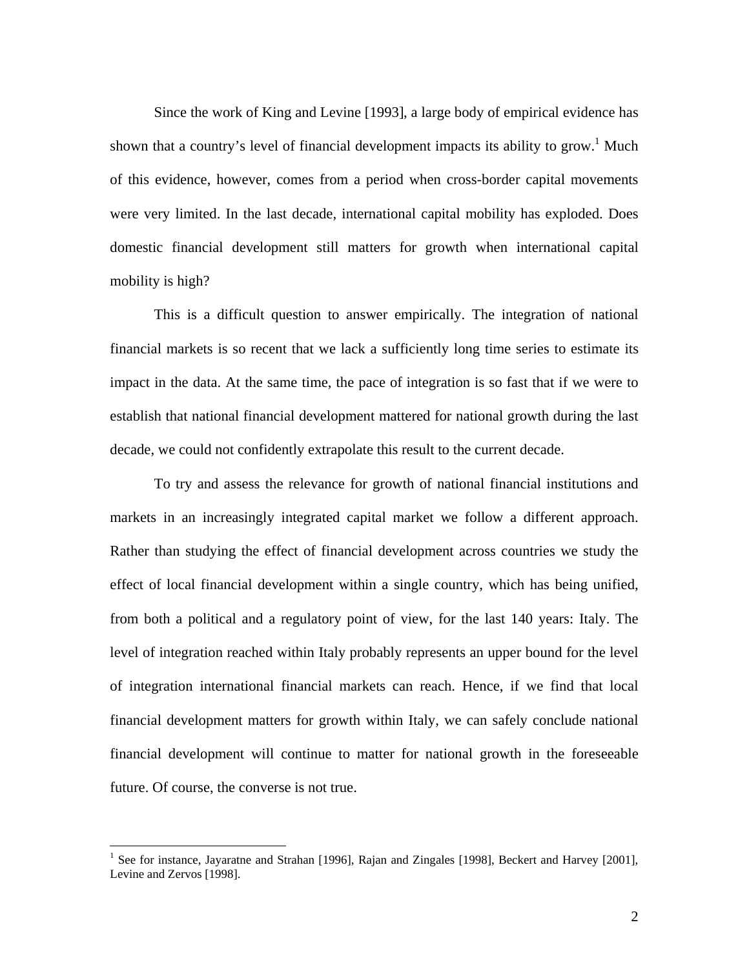Since the work of King and Levine [1993], a large body of empirical evidence has shown that a country's level of financial development impacts its ability to grow.<sup>[1](#page-1-0)</sup> Much of this evidence, however, comes from a period when cross-border capital movements were very limited. In the last decade, international capital mobility has exploded. Does domestic financial development still matters for growth when international capital mobility is high?

This is a difficult question to answer empirically. The integration of national financial markets is so recent that we lack a sufficiently long time series to estimate its impact in the data. At the same time, the pace of integration is so fast that if we were to establish that national financial development mattered for national growth during the last decade, we could not confidently extrapolate this result to the current decade.

To try and assess the relevance for growth of national financial institutions and markets in an increasingly integrated capital market we follow a different approach. Rather than studying the effect of financial development across countries we study the effect of local financial development within a single country, which has being unified, from both a political and a regulatory point of view, for the last 140 years: Italy. The level of integration reached within Italy probably represents an upper bound for the level of integration international financial markets can reach. Hence, if we find that local financial development matters for growth within Italy, we can safely conclude national financial development will continue to matter for national growth in the foreseeable future. Of course, the converse is not true.

<span id="page-1-0"></span><sup>1</sup> See for instance, Jayaratne and Strahan [1996], Rajan and Zingales [1998], Beckert and Harvey [2001], Levine and Zervos [1998].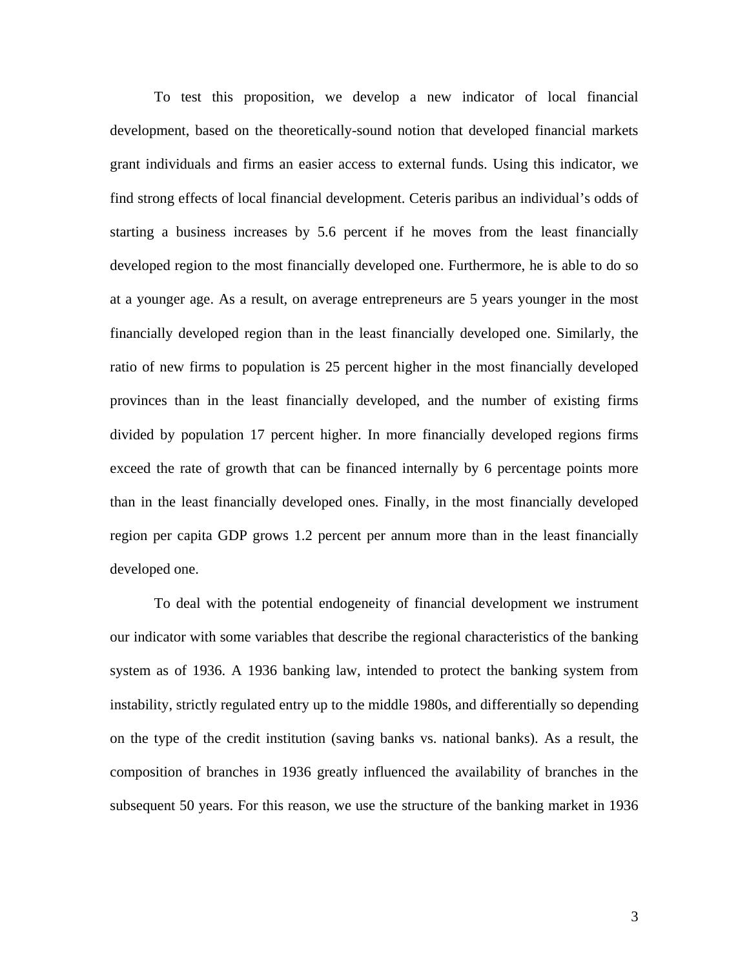To test this proposition, we develop a new indicator of local financial development, based on the theoretically-sound notion that developed financial markets grant individuals and firms an easier access to external funds. Using this indicator, we find strong effects of local financial development. Ceteris paribus an individual's odds of starting a business increases by 5.6 percent if he moves from the least financially developed region to the most financially developed one. Furthermore, he is able to do so at a younger age. As a result, on average entrepreneurs are 5 years younger in the most financially developed region than in the least financially developed one. Similarly, the ratio of new firms to population is 25 percent higher in the most financially developed provinces than in the least financially developed, and the number of existing firms divided by population 17 percent higher. In more financially developed regions firms exceed the rate of growth that can be financed internally by 6 percentage points more than in the least financially developed ones. Finally, in the most financially developed region per capita GDP grows 1.2 percent per annum more than in the least financially developed one.

To deal with the potential endogeneity of financial development we instrument our indicator with some variables that describe the regional characteristics of the banking system as of 1936. A 1936 banking law, intended to protect the banking system from instability, strictly regulated entry up to the middle 1980s, and differentially so depending on the type of the credit institution (saving banks vs. national banks). As a result, the composition of branches in 1936 greatly influenced the availability of branches in the subsequent 50 years. For this reason, we use the structure of the banking market in 1936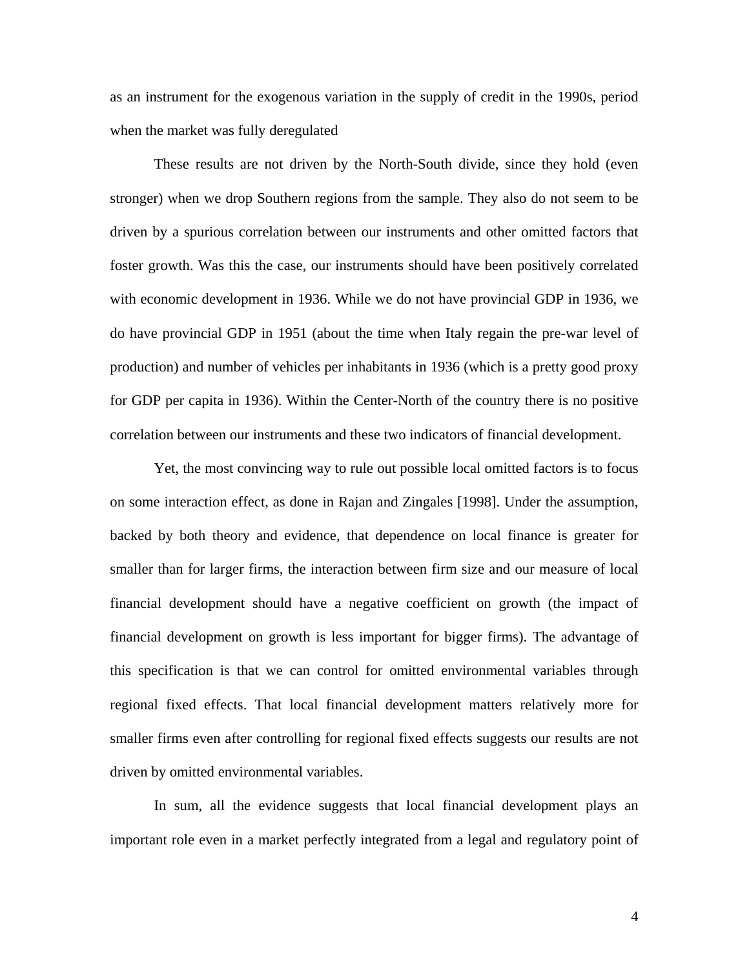as an instrument for the exogenous variation in the supply of credit in the 1990s, period when the market was fully deregulated

These results are not driven by the North-South divide, since they hold (even stronger) when we drop Southern regions from the sample. They also do not seem to be driven by a spurious correlation between our instruments and other omitted factors that foster growth. Was this the case, our instruments should have been positively correlated with economic development in 1936. While we do not have provincial GDP in 1936, we do have provincial GDP in 1951 (about the time when Italy regain the pre-war level of production) and number of vehicles per inhabitants in 1936 (which is a pretty good proxy for GDP per capita in 1936). Within the Center-North of the country there is no positive correlation between our instruments and these two indicators of financial development.

Yet, the most convincing way to rule out possible local omitted factors is to focus on some interaction effect, as done in Rajan and Zingales [1998]. Under the assumption, backed by both theory and evidence, that dependence on local finance is greater for smaller than for larger firms, the interaction between firm size and our measure of local financial development should have a negative coefficient on growth (the impact of financial development on growth is less important for bigger firms). The advantage of this specification is that we can control for omitted environmental variables through regional fixed effects. That local financial development matters relatively more for smaller firms even after controlling for regional fixed effects suggests our results are not driven by omitted environmental variables.

In sum, all the evidence suggests that local financial development plays an important role even in a market perfectly integrated from a legal and regulatory point of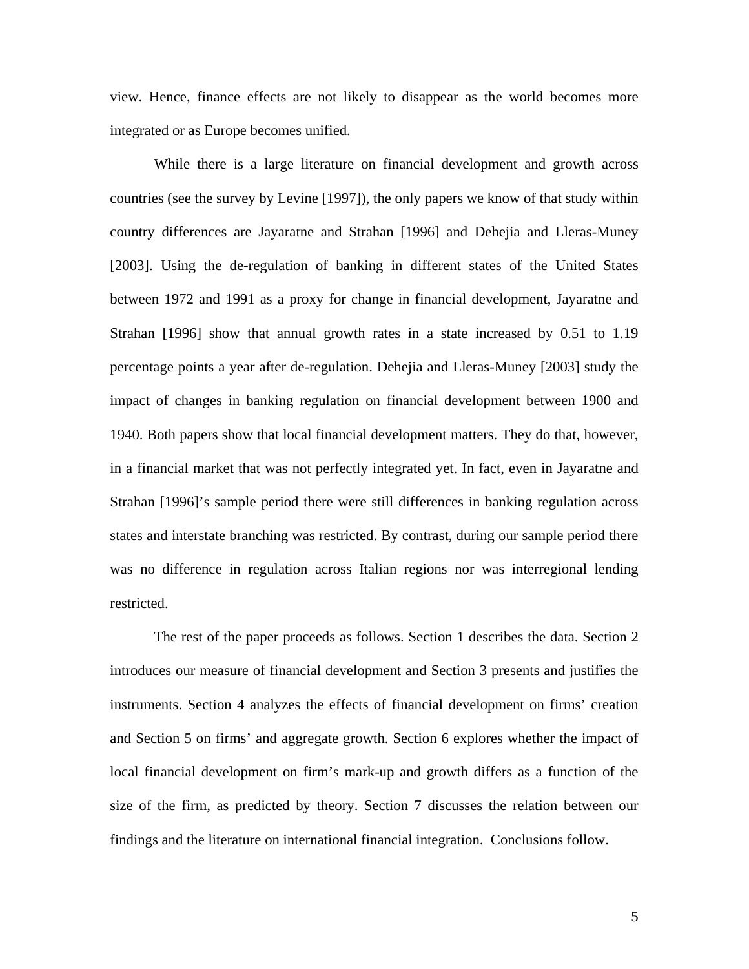view. Hence, finance effects are not likely to disappear as the world becomes more integrated or as Europe becomes unified.

While there is a large literature on financial development and growth across countries (see the survey by Levine [1997]), the only papers we know of that study within country differences are Jayaratne and Strahan [1996] and Dehejia and Lleras-Muney [2003]. Using the de-regulation of banking in different states of the United States between 1972 and 1991 as a proxy for change in financial development, Jayaratne and Strahan [1996] show that annual growth rates in a state increased by 0.51 to 1.19 percentage points a year after de-regulation. Dehejia and Lleras-Muney [2003] study the impact of changes in banking regulation on financial development between 1900 and 1940. Both papers show that local financial development matters. They do that, however, in a financial market that was not perfectly integrated yet. In fact, even in Jayaratne and Strahan [1996]'s sample period there were still differences in banking regulation across states and interstate branching was restricted. By contrast, during our sample period there was no difference in regulation across Italian regions nor was interregional lending restricted.

The rest of the paper proceeds as follows. Section 1 describes the data. Section 2 introduces our measure of financial development and Section 3 presents and justifies the instruments. Section 4 analyzes the effects of financial development on firms' creation and Section 5 on firms' and aggregate growth. Section 6 explores whether the impact of local financial development on firm's mark-up and growth differs as a function of the size of the firm, as predicted by theory. Section 7 discusses the relation between our findings and the literature on international financial integration. Conclusions follow.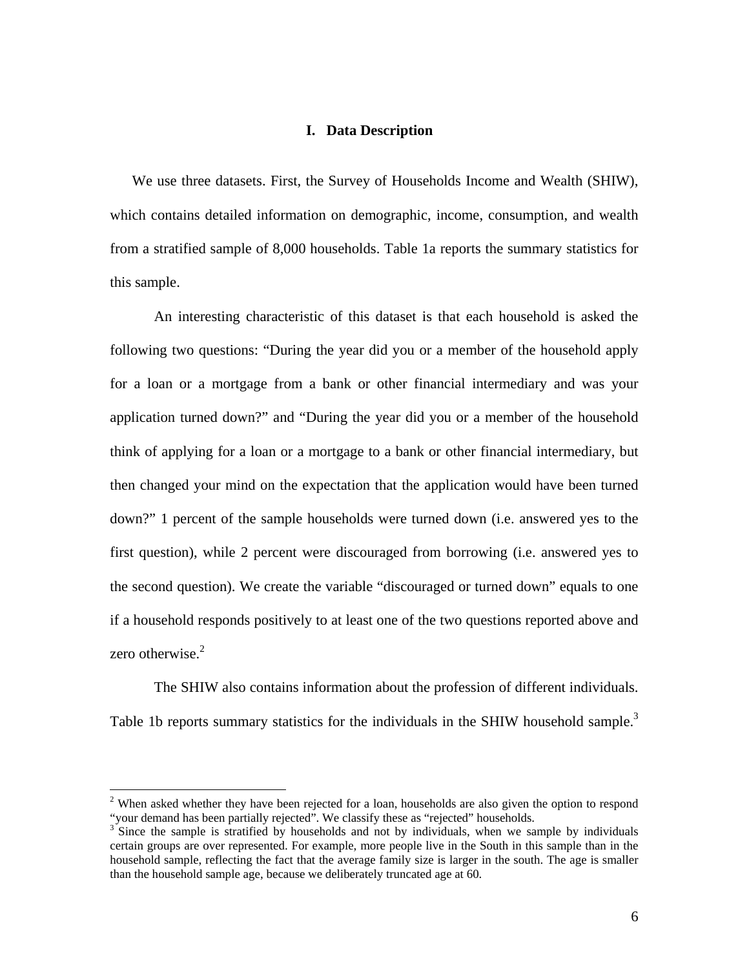## **I. Data Description**

We use three datasets. First, the Survey of Households Income and Wealth (SHIW), which contains detailed information on demographic, income, consumption, and wealth from a stratified sample of 8,000 households. Table 1a reports the summary statistics for this sample.

An interesting characteristic of this dataset is that each household is asked the following two questions: "During the year did you or a member of the household apply for a loan or a mortgage from a bank or other financial intermediary and was your application turned down?" and "During the year did you or a member of the household think of applying for a loan or a mortgage to a bank or other financial intermediary, but then changed your mind on the expectation that the application would have been turned down?" 1 percent of the sample households were turned down (i.e. answered yes to the first question), while 2 percent were discouraged from borrowing (i.e. answered yes to the second question). We create the variable "discouraged or turned down" equals to one if a household responds positively to at least one of the two questions reported above and zero otherwise.<sup>[2](#page-5-0)</sup>

The SHIW also contains information about the profession of different individuals. Table 1b reports summary statistics for the individuals in the SHIW household sample.<sup>3</sup>

<span id="page-5-0"></span><sup>&</sup>lt;sup>2</sup> When asked whether they have been rejected for a loan, households are also given the option to respond

<span id="page-5-1"></span><sup>&</sup>quot;your demand has been partially rejected". We classify these as "rejected" households.<br><sup>3</sup> Since the sample is stratified by households and not by individuals, when we sample by individuals certain groups are over represented. For example, more people live in the South in this sample than in the household sample, reflecting the fact that the average family size is larger in the south. The age is smaller than the household sample age, because we deliberately truncated age at 60.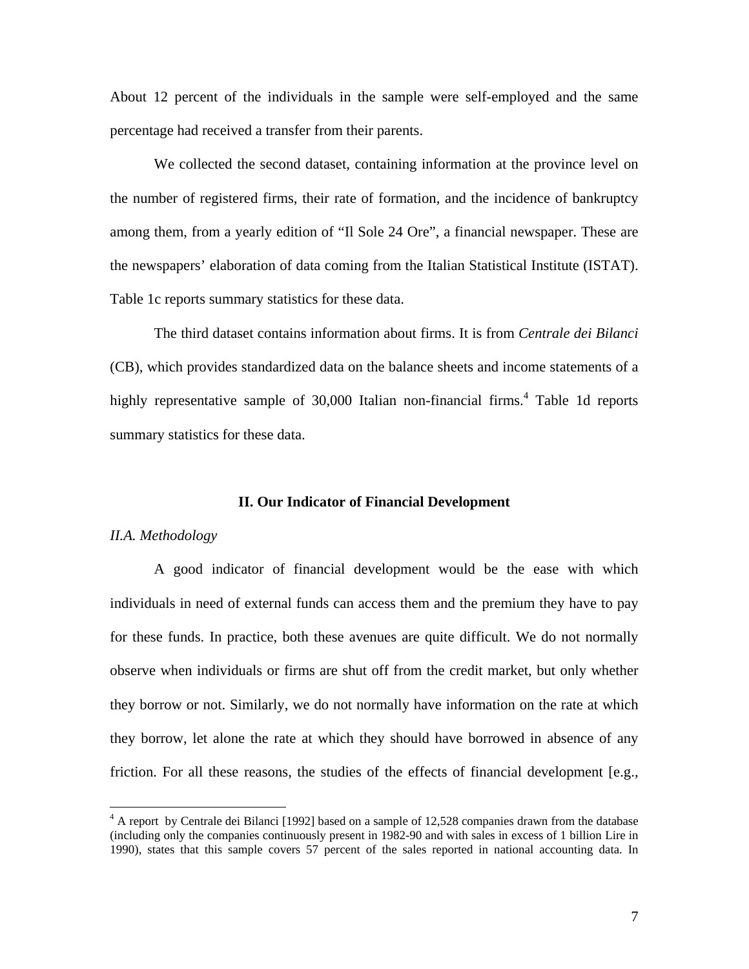About 12 percent of the individuals in the sample were self-employed and the same percentage had received a transfer from their parents.

We collected the second dataset, containing information at the province level on the number of registered firms, their rate of formation, and the incidence of bankruptcy among them, from a yearly edition of "Il Sole 24 Ore", a financial newspaper. These are the newspapers' elaboration of data coming from the Italian Statistical Institute (ISTAT). Table 1c reports summary statistics for these data.

The third dataset contains information about firms. It is from *Centrale dei Bilanci* (CB), which provides standardized data on the balance sheets and income statements of a highly representative sample of 30,000 Italian non-financial firms.<sup>[4](#page-6-0)</sup> Table 1d reports summary statistics for these data.

## **II. Our Indicator of Financial Development**

#### *II.A. Methodology*

<u>.</u>

A good indicator of financial development would be the ease with which individuals in need of external funds can access them and the premium they have to pay for these funds. In practice, both these avenues are quite difficult. We do not normally observe when individuals or firms are shut off from the credit market, but only whether they borrow or not. Similarly, we do not normally have information on the rate at which they borrow, let alone the rate at which they should have borrowed in absence of any friction. For all these reasons, the studies of the effects of financial development [e.g.,

<span id="page-6-0"></span><sup>&</sup>lt;sup>4</sup> A report by Centrale dei Bilanci [1992] based on a sample of 12,528 companies drawn from the database (including only the companies continuously present in 1982-90 and with sales in excess of 1 billion Lire in 1990), states that this sample covers 57 percent of the sales reported in national accounting data. In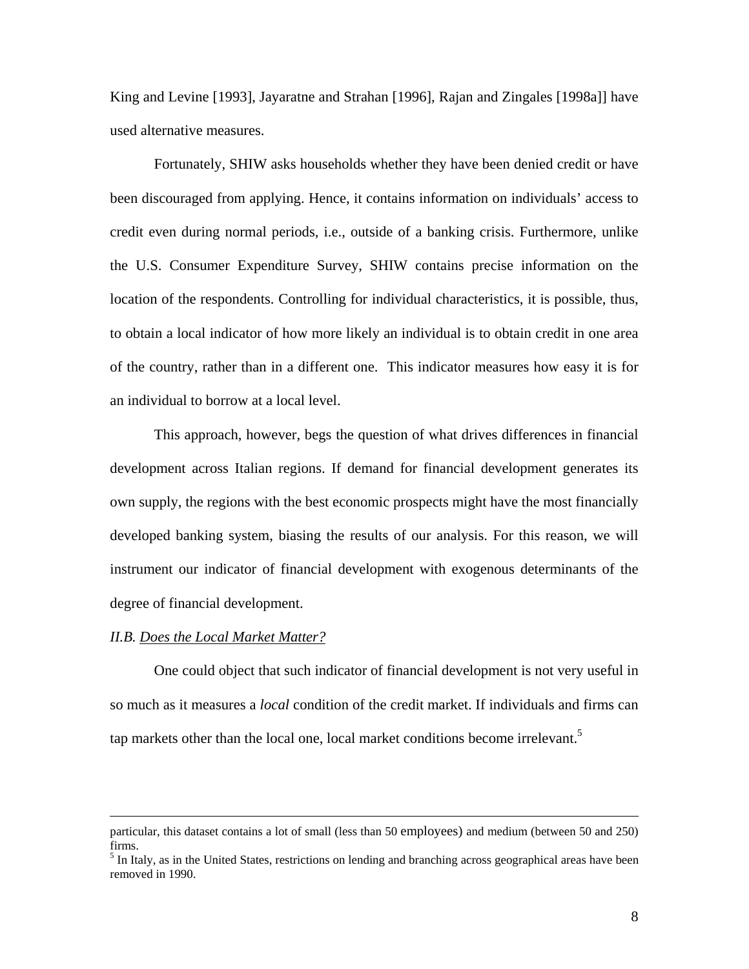King and Levine [1993], Jayaratne and Strahan [1996], Rajan and Zingales [1998a]] have used alternative measures.

Fortunately, SHIW asks households whether they have been denied credit or have been discouraged from applying. Hence, it contains information on individuals' access to credit even during normal periods, i.e., outside of a banking crisis. Furthermore, unlike the U.S. Consumer Expenditure Survey, SHIW contains precise information on the location of the respondents. Controlling for individual characteristics, it is possible, thus, to obtain a local indicator of how more likely an individual is to obtain credit in one area of the country, rather than in a different one. This indicator measures how easy it is for an individual to borrow at a local level.

This approach, however, begs the question of what drives differences in financial development across Italian regions. If demand for financial development generates its own supply, the regions with the best economic prospects might have the most financially developed banking system, biasing the results of our analysis. For this reason, we will instrument our indicator of financial development with exogenous determinants of the degree of financial development.

### *II.B. Does the Local Market Matter?*

<u>.</u>

One could object that such indicator of financial development is not very useful in so much as it measures a *local* condition of the credit market. If individuals and firms can tap markets other than the local one, local market conditions become irrelevant.<sup>[5](#page-7-0)</sup>

particular, this dataset contains a lot of small (less than 50 employees) and medium (between 50 and 250) firms.

<span id="page-7-0"></span> $<sup>5</sup>$  In Italy, as in the United States, restrictions on lending and branching across geographical areas have been</sup> removed in 1990.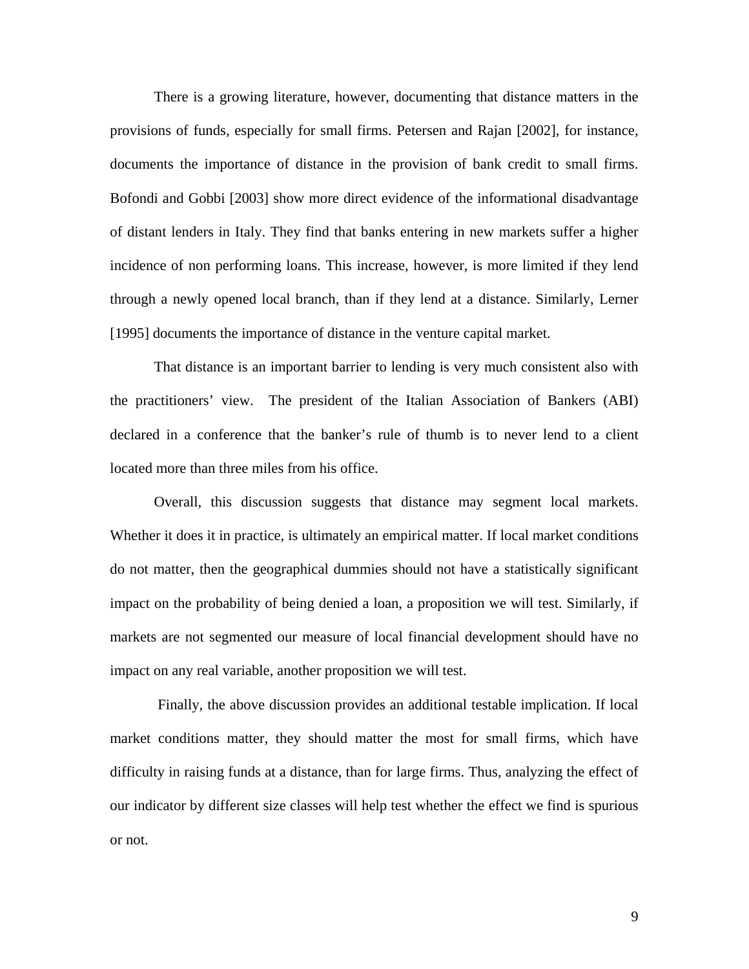There is a growing literature, however, documenting that distance matters in the provisions of funds, especially for small firms. Petersen and Rajan [2002], for instance, documents the importance of distance in the provision of bank credit to small firms. Bofondi and Gobbi [2003] show more direct evidence of the informational disadvantage of distant lenders in Italy. They find that banks entering in new markets suffer a higher incidence of non performing loans. This increase, however, is more limited if they lend through a newly opened local branch, than if they lend at a distance. Similarly, Lerner [1995] documents the importance of distance in the venture capital market.

That distance is an important barrier to lending is very much consistent also with the practitioners' view. The president of the Italian Association of Bankers (ABI) declared in a conference that the banker's rule of thumb is to never lend to a client located more than three miles from his office.

Overall, this discussion suggests that distance may segment local markets. Whether it does it in practice, is ultimately an empirical matter. If local market conditions do not matter, then the geographical dummies should not have a statistically significant impact on the probability of being denied a loan, a proposition we will test. Similarly, if markets are not segmented our measure of local financial development should have no impact on any real variable, another proposition we will test.

Finally, the above discussion provides an additional testable implication. If local market conditions matter, they should matter the most for small firms, which have difficulty in raising funds at a distance, than for large firms. Thus, analyzing the effect of our indicator by different size classes will help test whether the effect we find is spurious or not.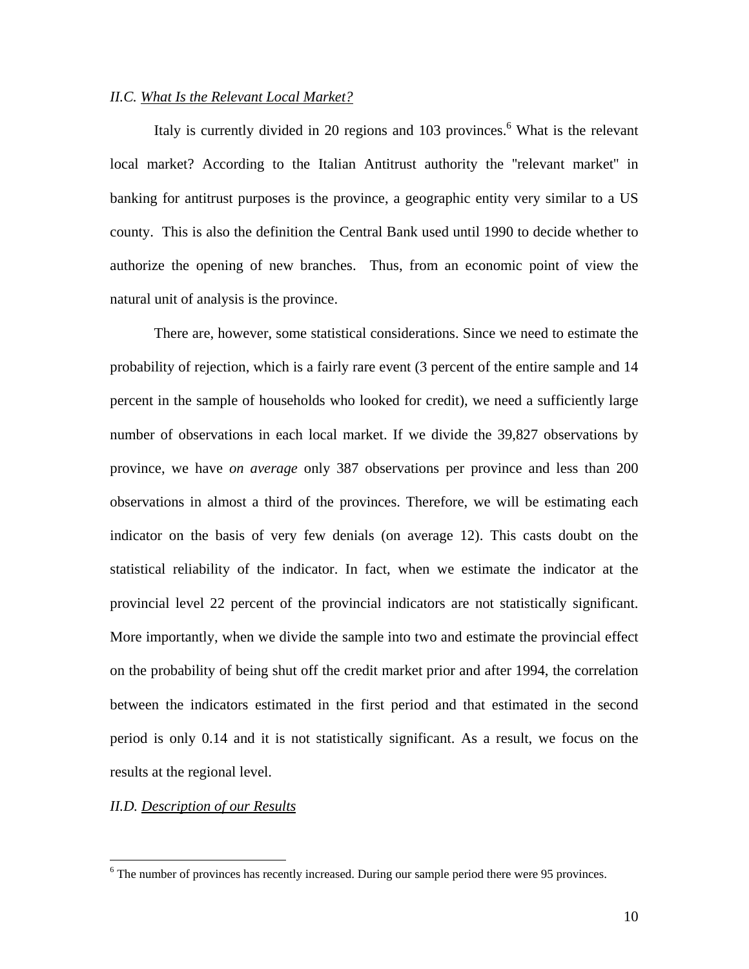## *II.C. What Is the Relevant Local Market?*

Italy is currently divided in 20 regions and  $103$  provinces.<sup>6</sup> What is the relevant local market? According to the Italian Antitrust authority the ''relevant market'' in banking for antitrust purposes is the province, a geographic entity very similar to a US county. This is also the definition the Central Bank used until 1990 to decide whether to authorize the opening of new branches. Thus, from an economic point of view the natural unit of analysis is the province.

There are, however, some statistical considerations. Since we need to estimate the probability of rejection, which is a fairly rare event (3 percent of the entire sample and 14 percent in the sample of households who looked for credit), we need a sufficiently large number of observations in each local market. If we divide the 39,827 observations by province, we have *on average* only 387 observations per province and less than 200 observations in almost a third of the provinces. Therefore, we will be estimating each indicator on the basis of very few denials (on average 12). This casts doubt on the statistical reliability of the indicator. In fact, when we estimate the indicator at the provincial level 22 percent of the provincial indicators are not statistically significant. More importantly, when we divide the sample into two and estimate the provincial effect on the probability of being shut off the credit market prior and after 1994, the correlation between the indicators estimated in the first period and that estimated in the second period is only 0.14 and it is not statistically significant. As a result, we focus on the results at the regional level.

*II.D. Description of our Results*

 $\overline{a}$ 

<span id="page-9-0"></span> $6$  The number of provinces has recently increased. During our sample period there were 95 provinces.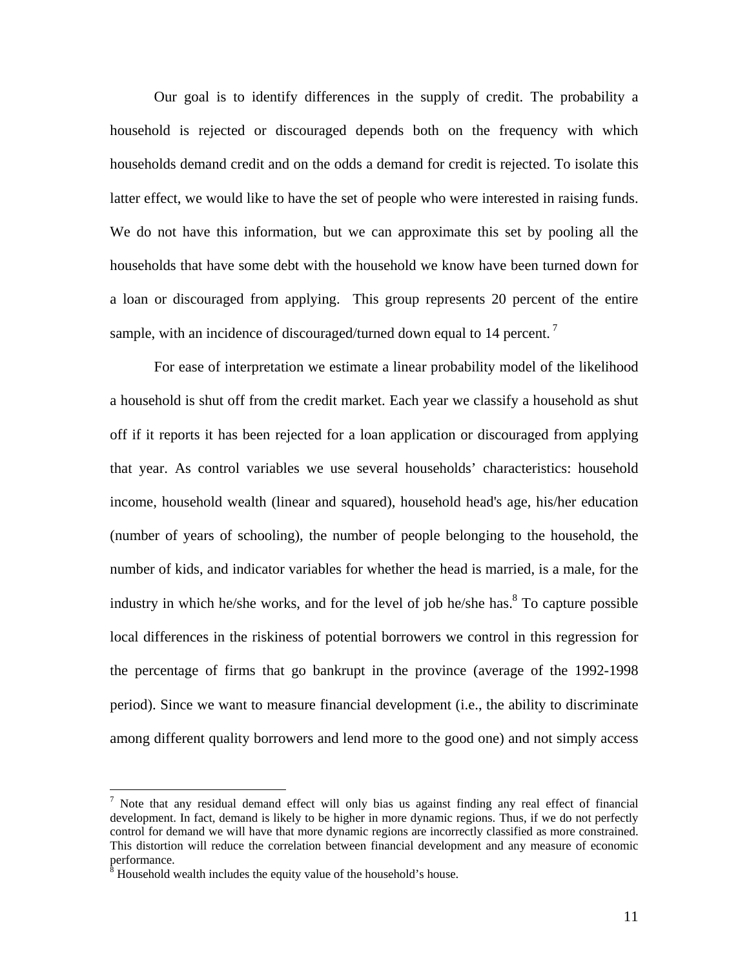Our goal is to identify differences in the supply of credit. The probability a household is rejected or discouraged depends both on the frequency with which households demand credit and on the odds a demand for credit is rejected. To isolate this latter effect, we would like to have the set of people who were interested in raising funds. We do not have this information, but we can approximate this set by pooling all the households that have some debt with the household we know have been turned down for a loan or discouraged from applying. This group represents 20 percent of the entire sample, with an incidence of discouraged/turned down equal to 14 percent.<sup>7</sup>

For ease of interpretation we estimate a linear probability model of the likelihood a household is shut off from the credit market. Each year we classify a household as shut off if it reports it has been rejected for a loan application or discouraged from applying that year. As control variables we use several households' characteristics: household income, household wealth (linear and squared), household head's age, his/her education (number of years of schooling), the number of people belonging to the household, the number of kids, and indicator variables for whether the head is married, is a male, for the industry in which he/she works, and for the level of job he/she has. $8$  To capture possible local differences in the riskiness of potential borrowers we control in this regression for the percentage of firms that go bankrupt in the province (average of the 1992-1998 period). Since we want to measure financial development (i.e., the ability to discriminate among different quality borrowers and lend more to the good one) and not simply access

<span id="page-10-0"></span><sup>&</sup>lt;sup>7</sup> Note that any residual demand effect will only bias us against finding any real effect of financial development. In fact, demand is likely to be higher in more dynamic regions. Thus, if we do not perfectly control for demand we will have that more dynamic regions are incorrectly classified as more constrained. This distortion will reduce the correlation between financial development and any measure of economic performance.

<span id="page-10-1"></span> $\frac{8}{8}$  Household wealth includes the equity value of the household's house.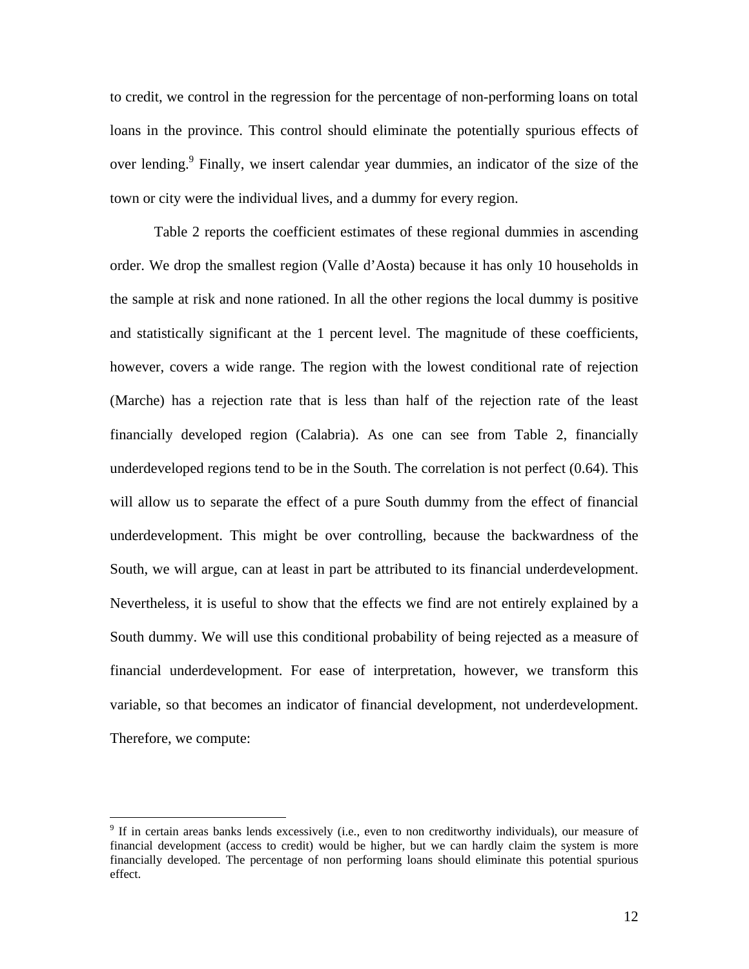to credit, we control in the regression for the percentage of non-performing loans on total loans in the province. This control should eliminate the potentially spurious effects of over lending.<sup>[9](#page-11-0)</sup> Finally, we insert calendar year dummies, an indicator of the size of the town or city were the individual lives, and a dummy for every region.

Table 2 reports the coefficient estimates of these regional dummies in ascending order. We drop the smallest region (Valle d'Aosta) because it has only 10 households in the sample at risk and none rationed. In all the other regions the local dummy is positive and statistically significant at the 1 percent level. The magnitude of these coefficients, however, covers a wide range. The region with the lowest conditional rate of rejection (Marche) has a rejection rate that is less than half of the rejection rate of the least financially developed region (Calabria). As one can see from Table 2, financially underdeveloped regions tend to be in the South. The correlation is not perfect (0.64). This will allow us to separate the effect of a pure South dummy from the effect of financial underdevelopment. This might be over controlling, because the backwardness of the South, we will argue, can at least in part be attributed to its financial underdevelopment. Nevertheless, it is useful to show that the effects we find are not entirely explained by a South dummy. We will use this conditional probability of being rejected as a measure of financial underdevelopment. For ease of interpretation, however, we transform this variable, so that becomes an indicator of financial development, not underdevelopment. Therefore, we compute:

 $\overline{a}$ 

<span id="page-11-0"></span><sup>&</sup>lt;sup>9</sup> If in certain areas banks lends excessively (i.e., even to non creditworthy individuals), our measure of financial development (access to credit) would be higher, but we can hardly claim the system is more financially developed. The percentage of non performing loans should eliminate this potential spurious effect.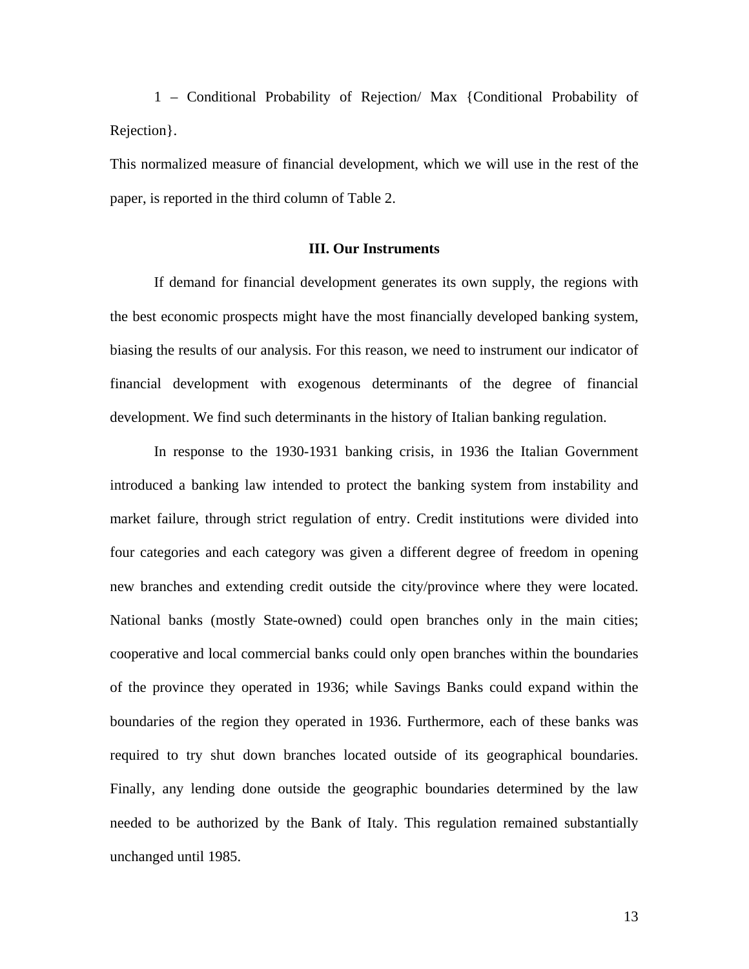1 – Conditional Probability of Rejection/ Max {Conditional Probability of Rejection}.

This normalized measure of financial development, which we will use in the rest of the paper, is reported in the third column of Table 2.

### **III. Our Instruments**

If demand for financial development generates its own supply, the regions with the best economic prospects might have the most financially developed banking system, biasing the results of our analysis. For this reason, we need to instrument our indicator of financial development with exogenous determinants of the degree of financial development. We find such determinants in the history of Italian banking regulation.

In response to the 1930-1931 banking crisis, in 1936 the Italian Government introduced a banking law intended to protect the banking system from instability and market failure, through strict regulation of entry. Credit institutions were divided into four categories and each category was given a different degree of freedom in opening new branches and extending credit outside the city/province where they were located. National banks (mostly State-owned) could open branches only in the main cities; cooperative and local commercial banks could only open branches within the boundaries of the province they operated in 1936; while Savings Banks could expand within the boundaries of the region they operated in 1936. Furthermore, each of these banks was required to try shut down branches located outside of its geographical boundaries. Finally, any lending done outside the geographic boundaries determined by the law needed to be authorized by the Bank of Italy. This regulation remained substantially unchanged until 1985.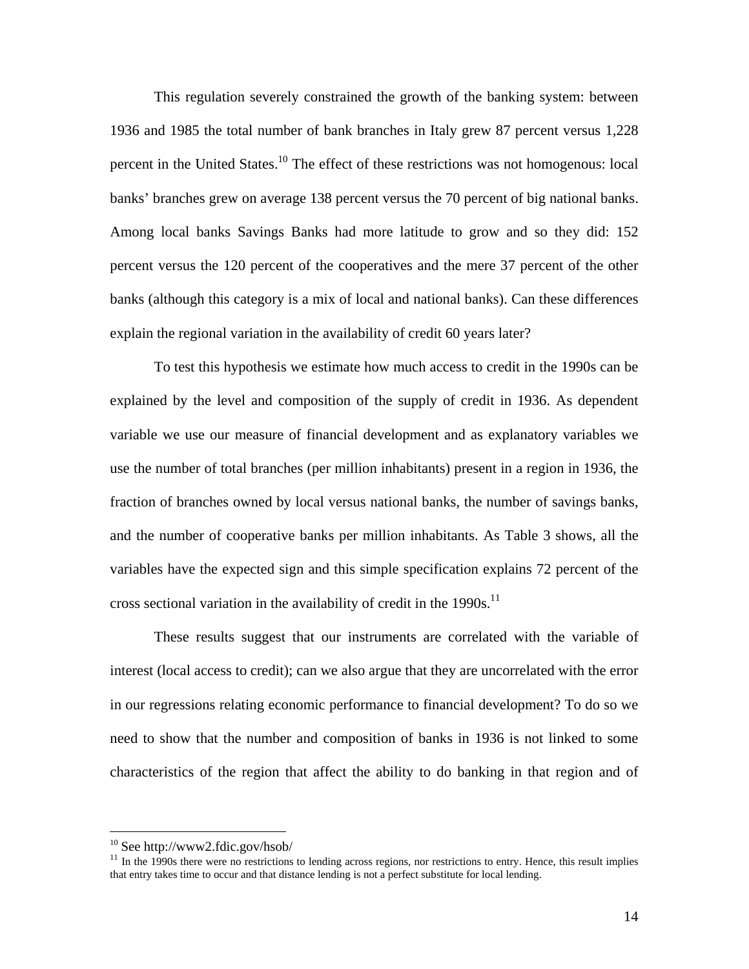This regulation severely constrained the growth of the banking system: between 1936 and 1985 the total number of bank branches in Italy grew 87 percent versus 1,228 percent in the United States.<sup>10</sup> The effect of these restrictions was not homogenous: local banks' branches grew on average 138 percent versus the 70 percent of big national banks. Among local banks Savings Banks had more latitude to grow and so they did: 152 percent versus the 120 percent of the cooperatives and the mere 37 percent of the other banks (although this category is a mix of local and national banks). Can these differences explain the regional variation in the availability of credit 60 years later?

To test this hypothesis we estimate how much access to credit in the 1990s can be explained by the level and composition of the supply of credit in 1936. As dependent variable we use our measure of financial development and as explanatory variables we use the number of total branches (per million inhabitants) present in a region in 1936, the fraction of branches owned by local versus national banks, the number of savings banks, and the number of cooperative banks per million inhabitants. As Table 3 shows, all the variables have the expected sign and this simple specification explains 72 percent of the cross sectional variation in the availability of credit in the  $1990s$ .<sup>11</sup>

These results suggest that our instruments are correlated with the variable of interest (local access to credit); can we also argue that they are uncorrelated with the error in our regressions relating economic performance to financial development? To do so we need to show that the number and composition of banks in 1936 is not linked to some characteristics of the region that affect the ability to do banking in that region and of

<span id="page-13-1"></span><span id="page-13-0"></span>

<sup>&</sup>lt;sup>10</sup> See http://www2.fdic.gov/hsob/<br><sup>11</sup> In the 1990s there were no restrictions to lending across regions, nor restrictions to entry. Hence, this result implies that entry takes time to occur and that distance lending is not a perfect substitute for local lending.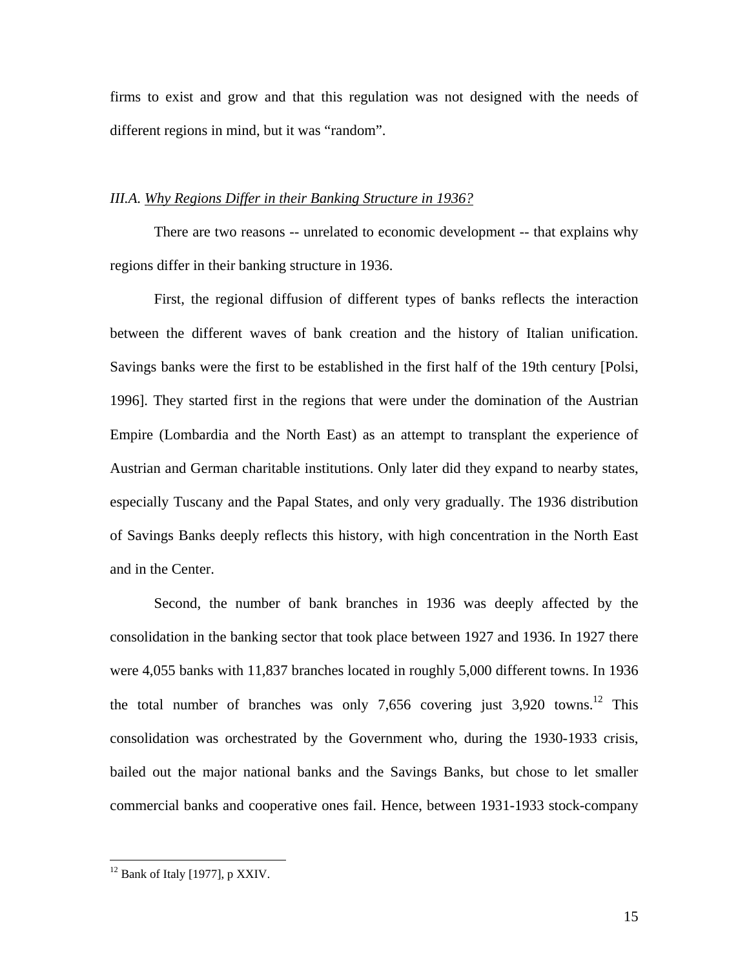firms to exist and grow and that this regulation was not designed with the needs of different regions in mind, but it was "random".

## *III.A. Why Regions Differ in their Banking Structure in 1936?*

There are two reasons -- unrelated to economic development -- that explains why regions differ in their banking structure in 1936.

First, the regional diffusion of different types of banks reflects the interaction between the different waves of bank creation and the history of Italian unification. Savings banks were the first to be established in the first half of the 19th century [Polsi, 1996]. They started first in the regions that were under the domination of the Austrian Empire (Lombardia and the North East) as an attempt to transplant the experience of Austrian and German charitable institutions. Only later did they expand to nearby states, especially Tuscany and the Papal States, and only very gradually. The 1936 distribution of Savings Banks deeply reflects this history, with high concentration in the North East and in the Center.

Second, the number of bank branches in 1936 was deeply affected by the consolidation in the banking sector that took place between 1927 and 1936. In 1927 there were 4,055 banks with 11,837 branches located in roughly 5,000 different towns. In 1936 the total number of branches was only 7,656 covering just  $3,920$  towns.<sup>12</sup> This consolidation was orchestrated by the Government who, during the 1930-1933 crisis, bailed out the major national banks and the Savings Banks, but chose to let smaller commercial banks and cooperative ones fail. Hence, between 1931-1933 stock-company

<u>.</u>

<span id="page-14-0"></span> $12$  Bank of Italy [1977], p XXIV.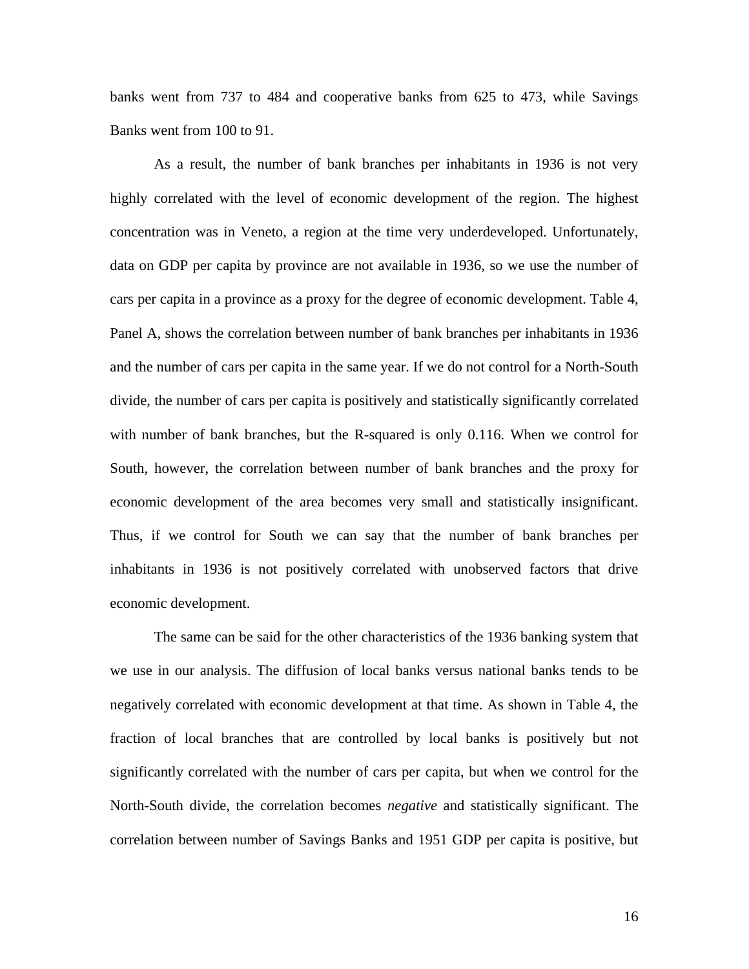banks went from 737 to 484 and cooperative banks from 625 to 473, while Savings Banks went from 100 to 91.

As a result, the number of bank branches per inhabitants in 1936 is not very highly correlated with the level of economic development of the region. The highest concentration was in Veneto, a region at the time very underdeveloped. Unfortunately, data on GDP per capita by province are not available in 1936, so we use the number of cars per capita in a province as a proxy for the degree of economic development. Table 4, Panel A, shows the correlation between number of bank branches per inhabitants in 1936 and the number of cars per capita in the same year. If we do not control for a North-South divide, the number of cars per capita is positively and statistically significantly correlated with number of bank branches, but the R-squared is only 0.116. When we control for South, however, the correlation between number of bank branches and the proxy for economic development of the area becomes very small and statistically insignificant. Thus, if we control for South we can say that the number of bank branches per inhabitants in 1936 is not positively correlated with unobserved factors that drive economic development.

The same can be said for the other characteristics of the 1936 banking system that we use in our analysis. The diffusion of local banks versus national banks tends to be negatively correlated with economic development at that time. As shown in Table 4, the fraction of local branches that are controlled by local banks is positively but not significantly correlated with the number of cars per capita, but when we control for the North-South divide, the correlation becomes *negative* and statistically significant. The correlation between number of Savings Banks and 1951 GDP per capita is positive, but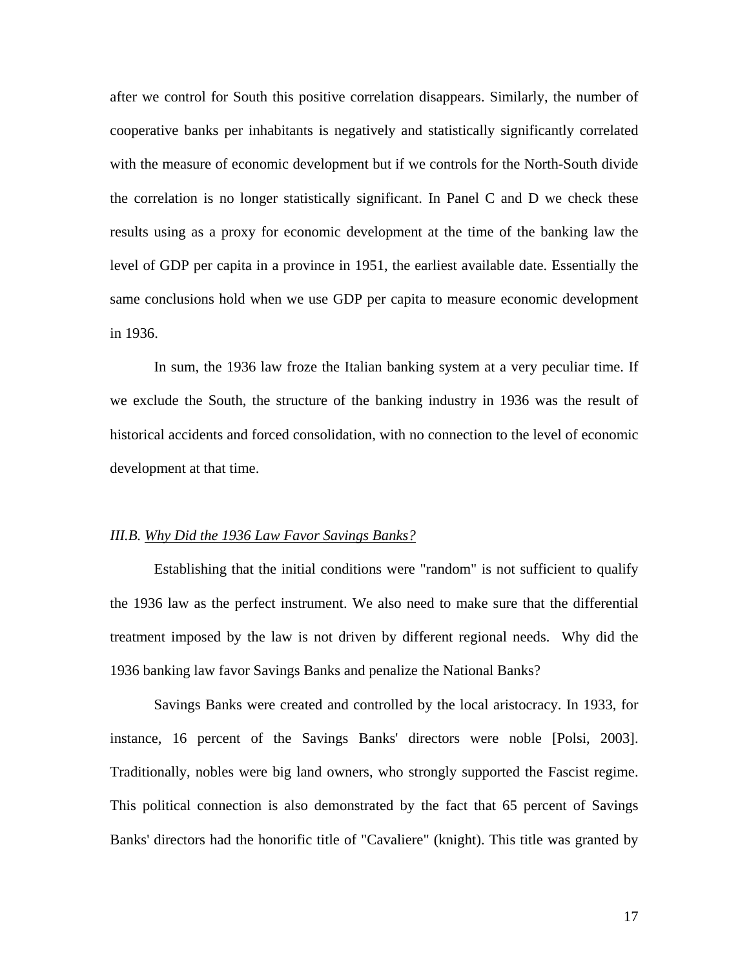after we control for South this positive correlation disappears. Similarly, the number of cooperative banks per inhabitants is negatively and statistically significantly correlated with the measure of economic development but if we controls for the North-South divide the correlation is no longer statistically significant. In Panel C and D we check these results using as a proxy for economic development at the time of the banking law the level of GDP per capita in a province in 1951, the earliest available date. Essentially the same conclusions hold when we use GDP per capita to measure economic development in 1936.

In sum, the 1936 law froze the Italian banking system at a very peculiar time. If we exclude the South, the structure of the banking industry in 1936 was the result of historical accidents and forced consolidation, with no connection to the level of economic development at that time.

#### *III.B. Why Did the 1936 Law Favor Savings Banks?*

Establishing that the initial conditions were "random" is not sufficient to qualify the 1936 law as the perfect instrument. We also need to make sure that the differential treatment imposed by the law is not driven by different regional needs. Why did the 1936 banking law favor Savings Banks and penalize the National Banks?

Savings Banks were created and controlled by the local aristocracy. In 1933, for instance, 16 percent of the Savings Banks' directors were noble [Polsi, 2003]. Traditionally, nobles were big land owners, who strongly supported the Fascist regime. This political connection is also demonstrated by the fact that 65 percent of Savings Banks' directors had the honorific title of "Cavaliere" (knight). This title was granted by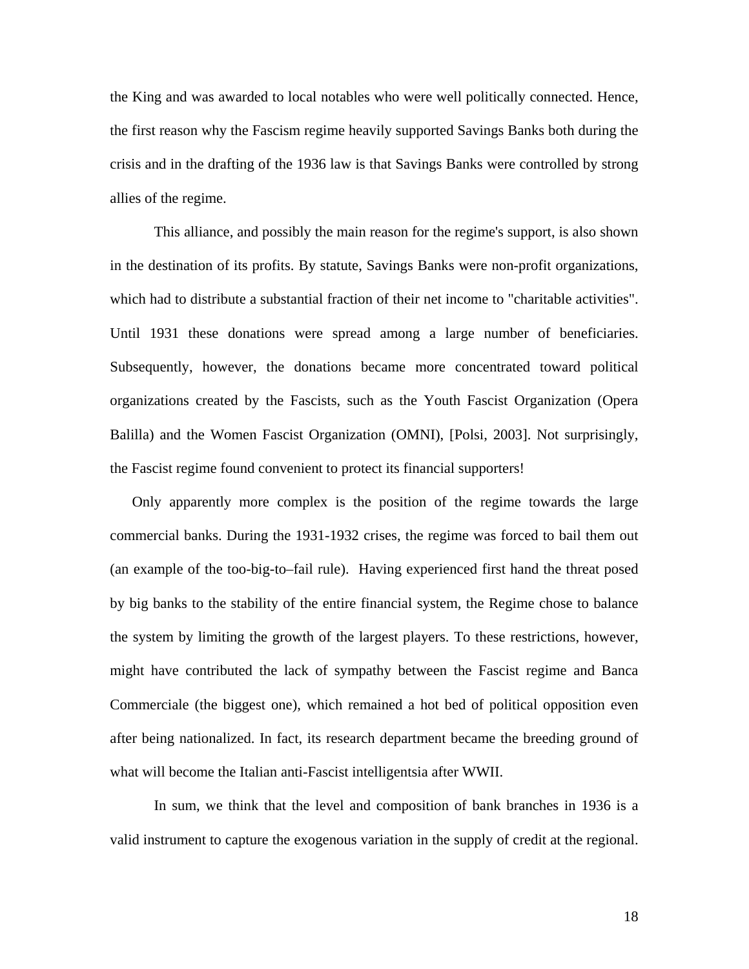the King and was awarded to local notables who were well politically connected. Hence, the first reason why the Fascism regime heavily supported Savings Banks both during the crisis and in the drafting of the 1936 law is that Savings Banks were controlled by strong allies of the regime.

This alliance, and possibly the main reason for the regime's support, is also shown in the destination of its profits. By statute, Savings Banks were non-profit organizations, which had to distribute a substantial fraction of their net income to "charitable activities". Until 1931 these donations were spread among a large number of beneficiaries. Subsequently, however, the donations became more concentrated toward political organizations created by the Fascists, such as the Youth Fascist Organization (Opera Balilla) and the Women Fascist Organization (OMNI), [Polsi, 2003]. Not surprisingly, the Fascist regime found convenient to protect its financial supporters!

Only apparently more complex is the position of the regime towards the large commercial banks. During the 1931-1932 crises, the regime was forced to bail them out (an example of the too-big-to–fail rule). Having experienced first hand the threat posed by big banks to the stability of the entire financial system, the Regime chose to balance the system by limiting the growth of the largest players. To these restrictions, however, might have contributed the lack of sympathy between the Fascist regime and Banca Commerciale (the biggest one), which remained a hot bed of political opposition even after being nationalized. In fact, its research department became the breeding ground of what will become the Italian anti-Fascist intelligentsia after WWII.

In sum, we think that the level and composition of bank branches in 1936 is a valid instrument to capture the exogenous variation in the supply of credit at the regional.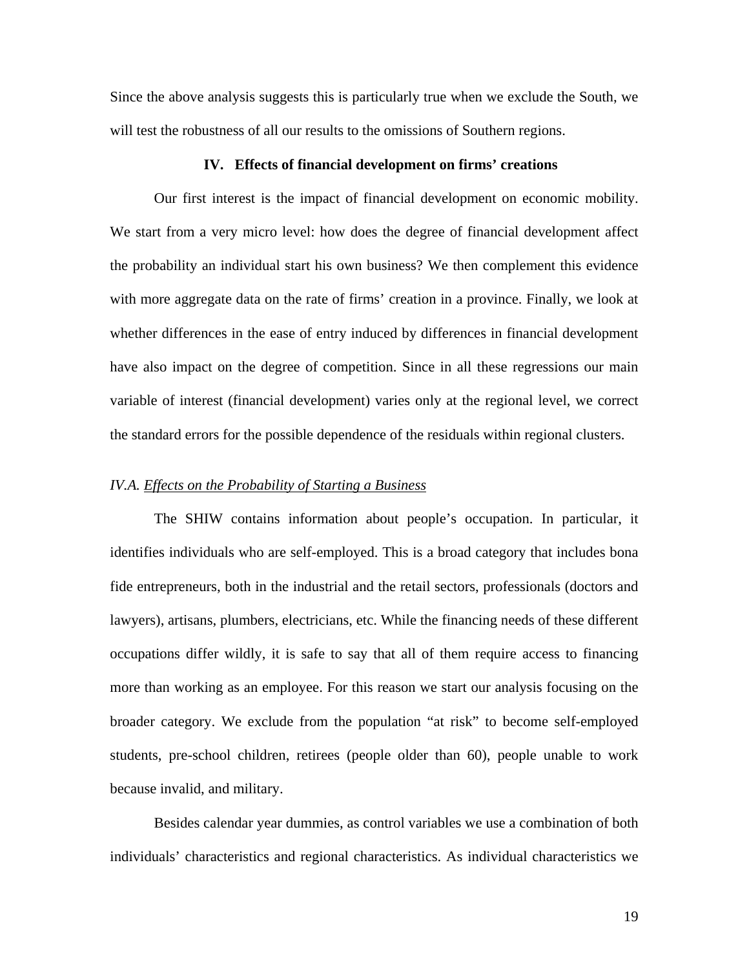Since the above analysis suggests this is particularly true when we exclude the South, we will test the robustness of all our results to the omissions of Southern regions.

### **IV. Effects of financial development on firms' creations**

Our first interest is the impact of financial development on economic mobility. We start from a very micro level: how does the degree of financial development affect the probability an individual start his own business? We then complement this evidence with more aggregate data on the rate of firms' creation in a province. Finally, we look at whether differences in the ease of entry induced by differences in financial development have also impact on the degree of competition. Since in all these regressions our main variable of interest (financial development) varies only at the regional level, we correct the standard errors for the possible dependence of the residuals within regional clusters.

## *IV.A. Effects on the Probability of Starting a Business*

The SHIW contains information about people's occupation. In particular, it identifies individuals who are self-employed. This is a broad category that includes bona fide entrepreneurs, both in the industrial and the retail sectors, professionals (doctors and lawyers), artisans, plumbers, electricians, etc. While the financing needs of these different occupations differ wildly, it is safe to say that all of them require access to financing more than working as an employee. For this reason we start our analysis focusing on the broader category. We exclude from the population "at risk" to become self-employed students, pre-school children, retirees (people older than 60), people unable to work because invalid, and military.

Besides calendar year dummies, as control variables we use a combination of both individuals' characteristics and regional characteristics. As individual characteristics we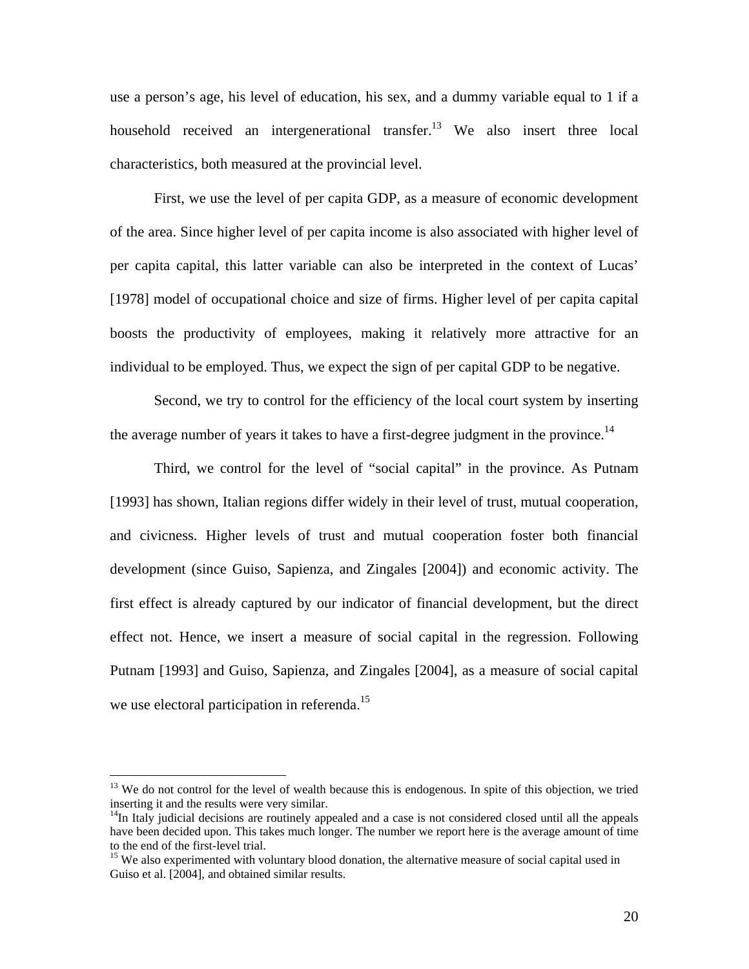use a person's age, his level of education, his sex, and a dummy variable equal to 1 if a household received an intergenerational transfer.<sup>13</sup> We also insert three local characteristics, both measured at the provincial level.

First, we use the level of per capita GDP, as a measure of economic development of the area. Since higher level of per capita income is also associated with higher level of per capita capital, this latter variable can also be interpreted in the context of Lucas' [1978] model of occupational choice and size of firms. Higher level of per capita capital boosts the productivity of employees, making it relatively more attractive for an individual to be employed. Thus, we expect the sign of per capital GDP to be negative.

Second, we try to control for the efficiency of the local court system by inserting the average number of years it takes to have a first-degree judgment in the province.<sup>14</sup>

Third, we control for the level of "social capital" in the province. As Putnam [1993] has shown, Italian regions differ widely in their level of trust, mutual cooperation, and civicness. Higher levels of trust and mutual cooperation foster both financial development (since Guiso, Sapienza, and Zingales [2004]) and economic activity. The first effect is already captured by our indicator of financial development, but the direct effect not. Hence, we insert a measure of social capital in the regression. Following Putnam [1993] and Guiso, Sapienza, and Zingales [2004], as a measure of social capital we use electoral participation in referenda.<sup>15</sup>

 $\overline{a}$ 

<span id="page-19-0"></span><sup>&</sup>lt;sup>13</sup> We do not control for the level of wealth because this is endogenous. In spite of this objection, we tried inserting it and the results were very similar.<br><sup>14</sup>In Italy judicial decisions are routinely appealed and a case is not considered closed until all the appeals

<span id="page-19-1"></span>have been decided upon. This takes much longer. The number we report here is the average amount of time to the end of the first-level trial.<br><sup>15</sup> We also experimented with voluntary blood donation, the alternative measure of social capital used in

<span id="page-19-2"></span>Guiso et al. [2004], and obtained similar results.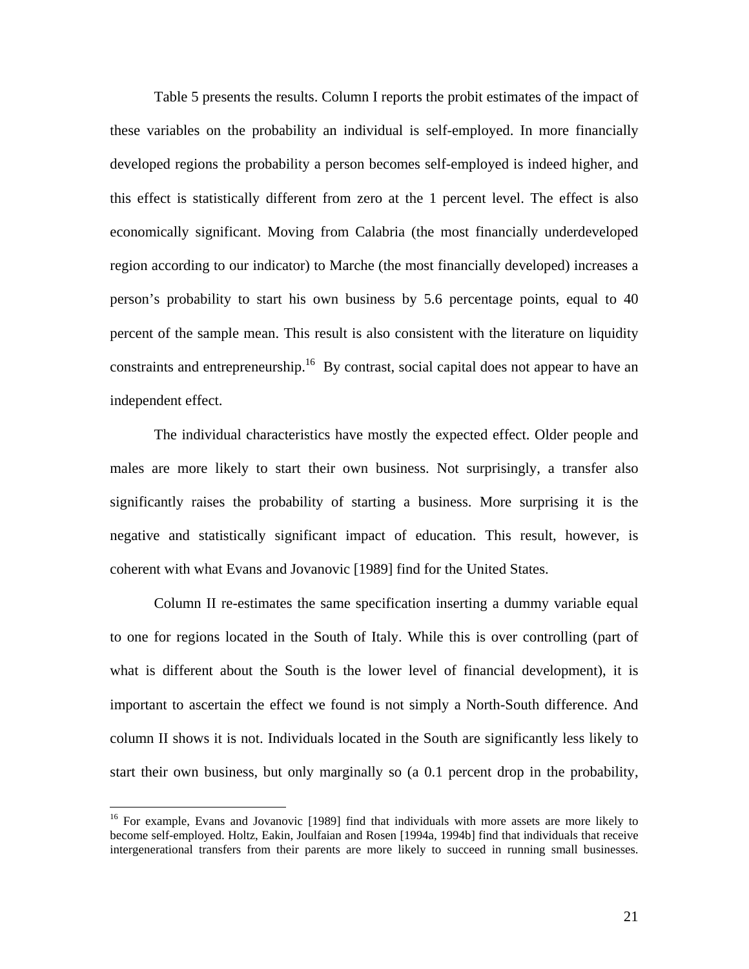Table 5 presents the results. Column I reports the probit estimates of the impact of these variables on the probability an individual is self-employed. In more financially developed regions the probability a person becomes self-employed is indeed higher, and this effect is statistically different from zero at the 1 percent level. The effect is also economically significant. Moving from Calabria (the most financially underdeveloped region according to our indicator) to Marche (the most financially developed) increases a person's probability to start his own business by 5.6 percentage points, equal to 40 percent of the sample mean. This result is also consistent with the literature on liquidity constraints and entrepreneurship.<sup>16</sup> By contrast, social capital does not appear to have an independent effect.

The individual characteristics have mostly the expected effect. Older people and males are more likely to start their own business. Not surprisingly, a transfer also significantly raises the probability of starting a business. More surprising it is the negative and statistically significant impact of education. This result, however, is coherent with what Evans and Jovanovic [1989] find for the United States.

Column II re-estimates the same specification inserting a dummy variable equal to one for regions located in the South of Italy. While this is over controlling (part of what is different about the South is the lower level of financial development), it is important to ascertain the effect we found is not simply a North-South difference. And column II shows it is not. Individuals located in the South are significantly less likely to start their own business, but only marginally so (a 0.1 percent drop in the probability,

 $\overline{a}$ 

<span id="page-20-0"></span><sup>&</sup>lt;sup>16</sup> For example, Evans and Jovanovic [1989] find that individuals with more assets are more likely to become self-employed. Holtz, Eakin, Joulfaian and Rosen [1994a, 1994b] find that individuals that receive intergenerational transfers from their parents are more likely to succeed in running small businesses.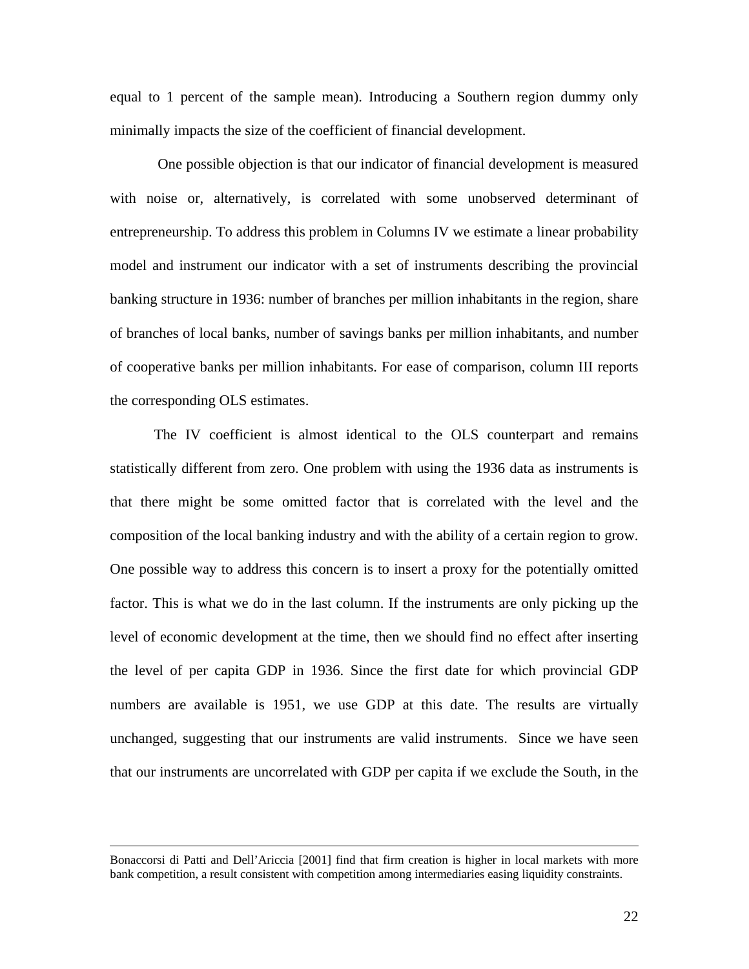equal to 1 percent of the sample mean). Introducing a Southern region dummy only minimally impacts the size of the coefficient of financial development.

One possible objection is that our indicator of financial development is measured with noise or, alternatively, is correlated with some unobserved determinant of entrepreneurship. To address this problem in Columns IV we estimate a linear probability model and instrument our indicator with a set of instruments describing the provincial banking structure in 1936: number of branches per million inhabitants in the region, share of branches of local banks, number of savings banks per million inhabitants, and number of cooperative banks per million inhabitants. For ease of comparison, column III reports the corresponding OLS estimates.

The IV coefficient is almost identical to the OLS counterpart and remains statistically different from zero. One problem with using the 1936 data as instruments is that there might be some omitted factor that is correlated with the level and the composition of the local banking industry and with the ability of a certain region to grow. One possible way to address this concern is to insert a proxy for the potentially omitted factor. This is what we do in the last column. If the instruments are only picking up the level of economic development at the time, then we should find no effect after inserting the level of per capita GDP in 1936. Since the first date for which provincial GDP numbers are available is 1951, we use GDP at this date. The results are virtually unchanged, suggesting that our instruments are valid instruments. Since we have seen that our instruments are uncorrelated with GDP per capita if we exclude the South, in the

Bonaccorsi di Patti and Dell'Ariccia [2001] find that firm creation is higher in local markets with more bank competition, a result consistent with competition among intermediaries easing liquidity constraints.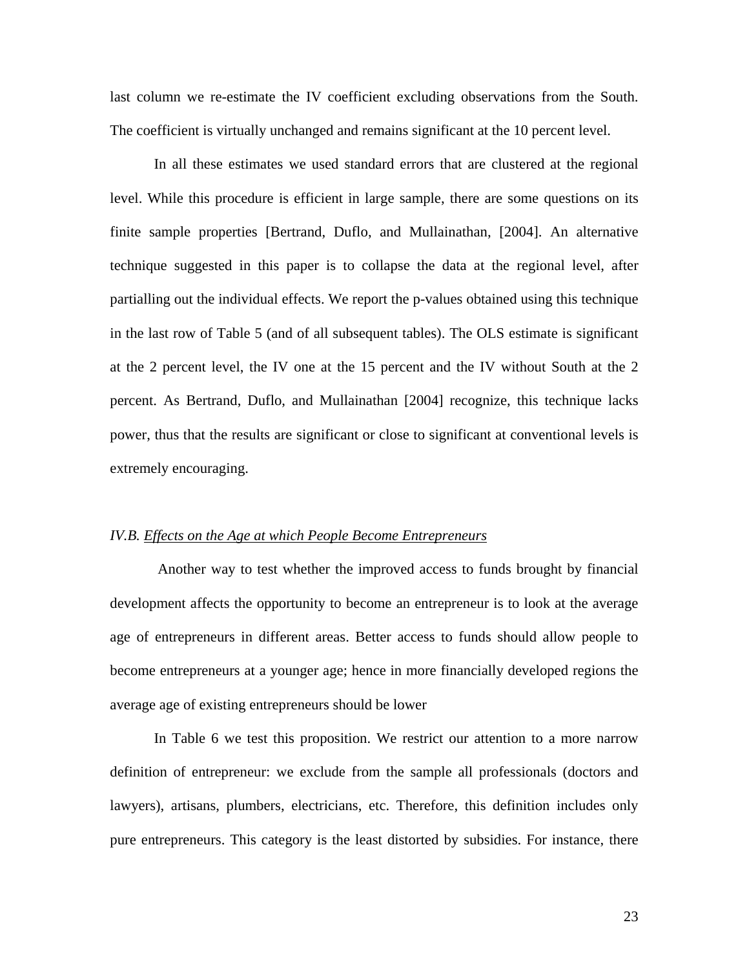last column we re-estimate the IV coefficient excluding observations from the South. The coefficient is virtually unchanged and remains significant at the 10 percent level.

In all these estimates we used standard errors that are clustered at the regional level. While this procedure is efficient in large sample, there are some questions on its finite sample properties [Bertrand, Duflo, and Mullainathan, [2004]. An alternative technique suggested in this paper is to collapse the data at the regional level, after partialling out the individual effects. We report the p-values obtained using this technique in the last row of Table 5 (and of all subsequent tables). The OLS estimate is significant at the 2 percent level, the IV one at the 15 percent and the IV without South at the 2 percent. As Bertrand, Duflo, and Mullainathan [2004] recognize, this technique lacks power, thus that the results are significant or close to significant at conventional levels is extremely encouraging.

### *IV.B. Effects on the Age at which People Become Entrepreneurs*

Another way to test whether the improved access to funds brought by financial development affects the opportunity to become an entrepreneur is to look at the average age of entrepreneurs in different areas. Better access to funds should allow people to become entrepreneurs at a younger age; hence in more financially developed regions the average age of existing entrepreneurs should be lower

In Table 6 we test this proposition. We restrict our attention to a more narrow definition of entrepreneur: we exclude from the sample all professionals (doctors and lawyers), artisans, plumbers, electricians, etc. Therefore, this definition includes only pure entrepreneurs. This category is the least distorted by subsidies. For instance, there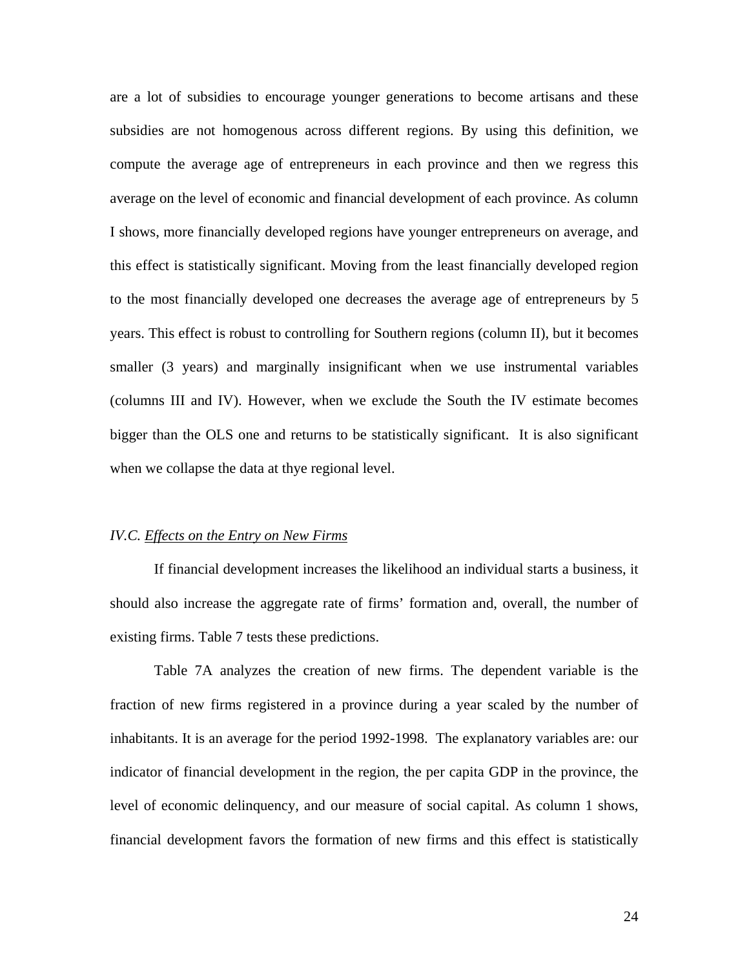are a lot of subsidies to encourage younger generations to become artisans and these subsidies are not homogenous across different regions. By using this definition, we compute the average age of entrepreneurs in each province and then we regress this average on the level of economic and financial development of each province. As column I shows, more financially developed regions have younger entrepreneurs on average, and this effect is statistically significant. Moving from the least financially developed region to the most financially developed one decreases the average age of entrepreneurs by 5 years. This effect is robust to controlling for Southern regions (column II), but it becomes smaller (3 years) and marginally insignificant when we use instrumental variables (columns III and IV). However, when we exclude the South the IV estimate becomes bigger than the OLS one and returns to be statistically significant. It is also significant when we collapse the data at thye regional level.

### *IV.C. Effects on the Entry on New Firms*

If financial development increases the likelihood an individual starts a business, it should also increase the aggregate rate of firms' formation and, overall, the number of existing firms. Table 7 tests these predictions.

Table 7A analyzes the creation of new firms. The dependent variable is the fraction of new firms registered in a province during a year scaled by the number of inhabitants. It is an average for the period 1992-1998. The explanatory variables are: our indicator of financial development in the region, the per capita GDP in the province, the level of economic delinquency, and our measure of social capital. As column 1 shows, financial development favors the formation of new firms and this effect is statistically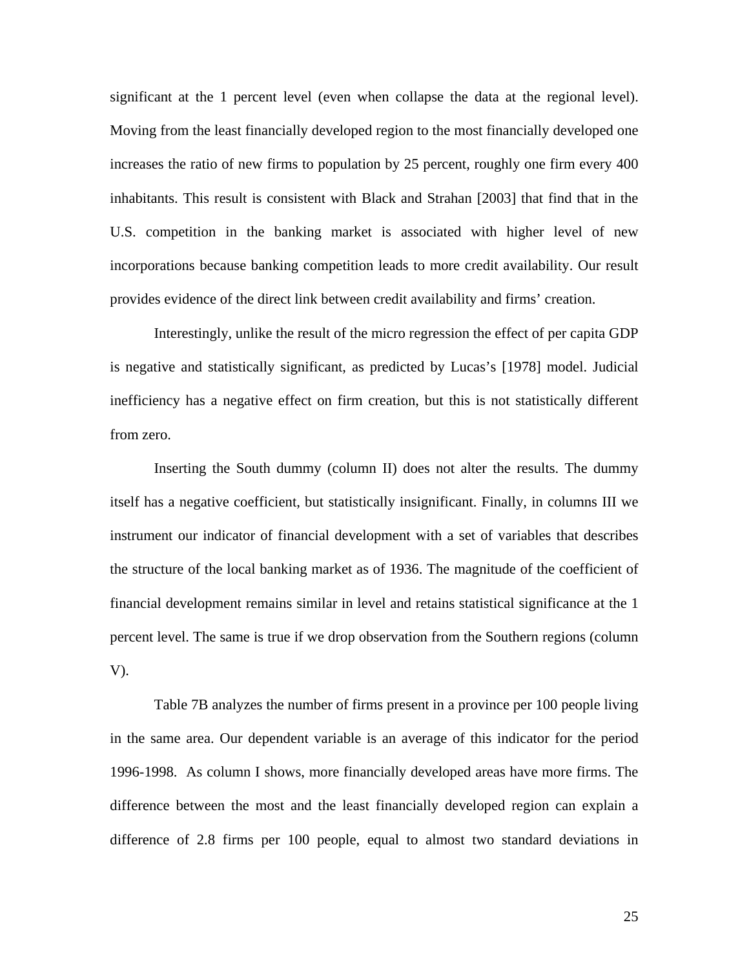significant at the 1 percent level (even when collapse the data at the regional level). Moving from the least financially developed region to the most financially developed one increases the ratio of new firms to population by 25 percent, roughly one firm every 400 inhabitants. This result is consistent with Black and Strahan [2003] that find that in the U.S. competition in the banking market is associated with higher level of new incorporations because banking competition leads to more credit availability. Our result provides evidence of the direct link between credit availability and firms' creation.

 Interestingly, unlike the result of the micro regression the effect of per capita GDP is negative and statistically significant, as predicted by Lucas's [1978] model. Judicial inefficiency has a negative effect on firm creation, but this is not statistically different from zero.

Inserting the South dummy (column II) does not alter the results. The dummy itself has a negative coefficient, but statistically insignificant. Finally, in columns III we instrument our indicator of financial development with a set of variables that describes the structure of the local banking market as of 1936. The magnitude of the coefficient of financial development remains similar in level and retains statistical significance at the 1 percent level. The same is true if we drop observation from the Southern regions (column V).

Table 7B analyzes the number of firms present in a province per 100 people living in the same area. Our dependent variable is an average of this indicator for the period 1996-1998. As column I shows, more financially developed areas have more firms. The difference between the most and the least financially developed region can explain a difference of 2.8 firms per 100 people, equal to almost two standard deviations in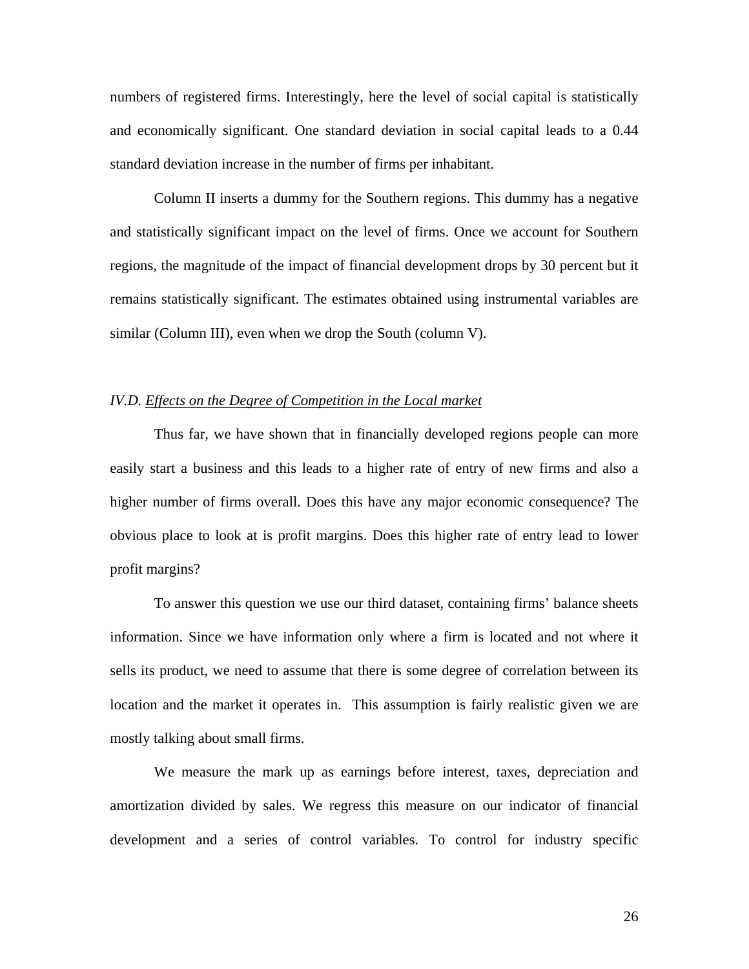numbers of registered firms. Interestingly, here the level of social capital is statistically and economically significant. One standard deviation in social capital leads to a 0.44 standard deviation increase in the number of firms per inhabitant.

Column II inserts a dummy for the Southern regions. This dummy has a negative and statistically significant impact on the level of firms. Once we account for Southern regions, the magnitude of the impact of financial development drops by 30 percent but it remains statistically significant. The estimates obtained using instrumental variables are similar (Column III), even when we drop the South (column V).

### *IV.D. Effects on the Degree of Competition in the Local market*

Thus far, we have shown that in financially developed regions people can more easily start a business and this leads to a higher rate of entry of new firms and also a higher number of firms overall. Does this have any major economic consequence? The obvious place to look at is profit margins. Does this higher rate of entry lead to lower profit margins?

To answer this question we use our third dataset, containing firms' balance sheets information. Since we have information only where a firm is located and not where it sells its product, we need to assume that there is some degree of correlation between its location and the market it operates in. This assumption is fairly realistic given we are mostly talking about small firms.

We measure the mark up as earnings before interest, taxes, depreciation and amortization divided by sales. We regress this measure on our indicator of financial development and a series of control variables. To control for industry specific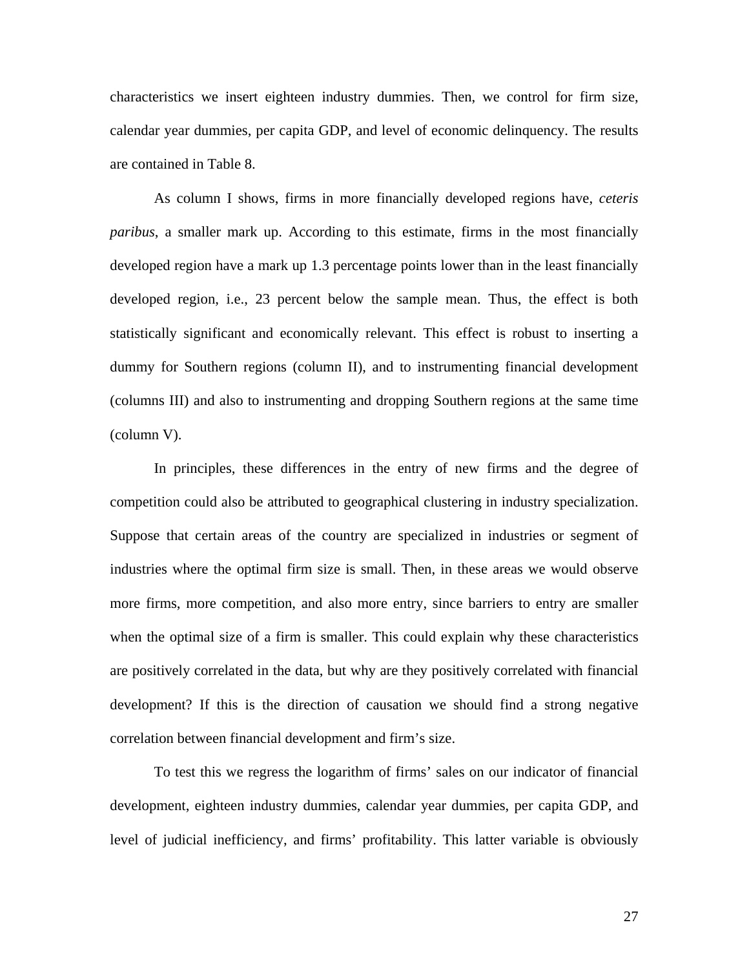characteristics we insert eighteen industry dummies. Then, we control for firm size, calendar year dummies, per capita GDP, and level of economic delinquency. The results are contained in Table 8.

As column I shows, firms in more financially developed regions have, *ceteris paribus*, a smaller mark up. According to this estimate, firms in the most financially developed region have a mark up 1.3 percentage points lower than in the least financially developed region, i.e., 23 percent below the sample mean. Thus, the effect is both statistically significant and economically relevant. This effect is robust to inserting a dummy for Southern regions (column II), and to instrumenting financial development (columns III) and also to instrumenting and dropping Southern regions at the same time (column V).

In principles, these differences in the entry of new firms and the degree of competition could also be attributed to geographical clustering in industry specialization. Suppose that certain areas of the country are specialized in industries or segment of industries where the optimal firm size is small. Then, in these areas we would observe more firms, more competition, and also more entry, since barriers to entry are smaller when the optimal size of a firm is smaller. This could explain why these characteristics are positively correlated in the data, but why are they positively correlated with financial development? If this is the direction of causation we should find a strong negative correlation between financial development and firm's size.

To test this we regress the logarithm of firms' sales on our indicator of financial development, eighteen industry dummies, calendar year dummies, per capita GDP, and level of judicial inefficiency, and firms' profitability. This latter variable is obviously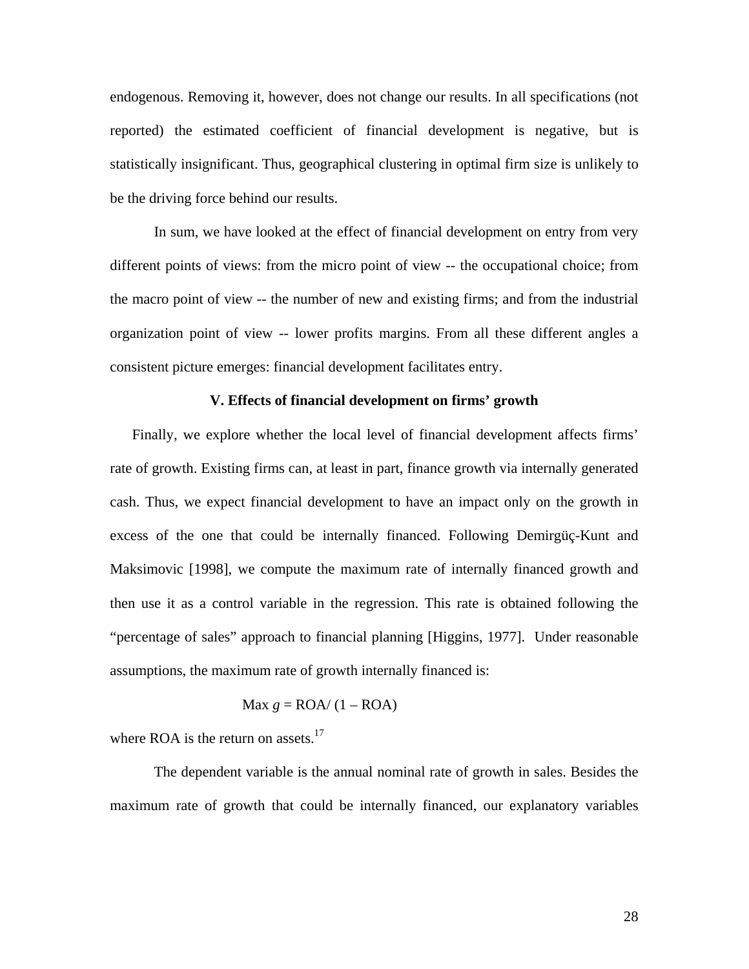endogenous. Removing it, however, does not change our results. In all specifications (not reported) the estimated coefficient of financial development is negative, but is statistically insignificant. Thus, geographical clustering in optimal firm size is unlikely to be the driving force behind our results.

In sum, we have looked at the effect of financial development on entry from very different points of views: from the micro point of view -- the occupational choice; from the macro point of view -- the number of new and existing firms; and from the industrial organization point of view -- lower profits margins. From all these different angles a consistent picture emerges: financial development facilitates entry.

## **V. Effects of financial development on firms' growth**

Finally, we explore whether the local level of financial development affects firms' rate of growth. Existing firms can, at least in part, finance growth via internally generated cash. Thus, we expect financial development to have an impact only on the growth in excess of the one that could be internally financed. Following Demirgüç-Kunt and Maksimovic [1998], we compute the maximum rate of internally financed growth and then use it as a control variable in the regression. This rate is obtained following the "percentage of sales" approach to financial planning [Higgins, 1977]. Under reasonable assumptions, the maximum rate of growth internally financed is:

$$
Max g = ROA/(1 - ROA)
$$

where ROA is the return on assets. $17$ 

<span id="page-27-0"></span>The dependent variable is the annual nominal rate of growth in sales. Besides the maximum rate of growth that could be internally financed, our explanatory variables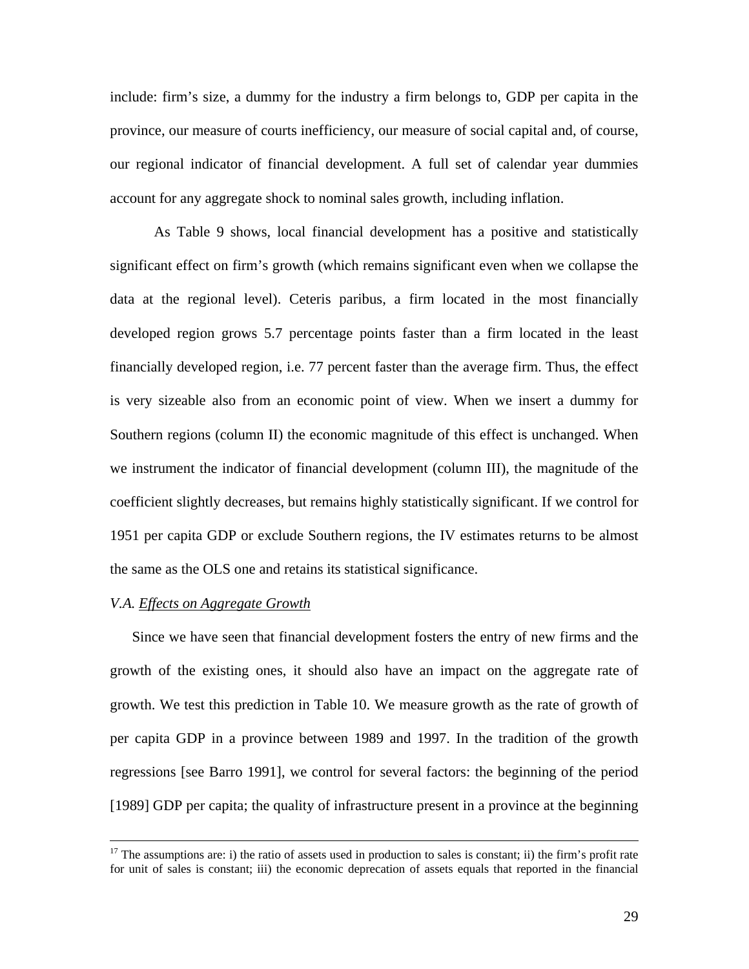include: firm's size, a dummy for the industry a firm belongs to, GDP per capita in the province, our measure of courts inefficiency, our measure of social capital and, of course, our regional indicator of financial development. A full set of calendar year dummies account for any aggregate shock to nominal sales growth, including inflation.

As Table 9 shows, local financial development has a positive and statistically significant effect on firm's growth (which remains significant even when we collapse the data at the regional level). Ceteris paribus, a firm located in the most financially developed region grows 5.7 percentage points faster than a firm located in the least financially developed region, i.e. 77 percent faster than the average firm. Thus, the effect is very sizeable also from an economic point of view. When we insert a dummy for Southern regions (column II) the economic magnitude of this effect is unchanged. When we instrument the indicator of financial development (column III), the magnitude of the coefficient slightly decreases, but remains highly statistically significant. If we control for 1951 per capita GDP or exclude Southern regions, the IV estimates returns to be almost the same as the OLS one and retains its statistical significance.

## *V.A. Effects on Aggregate Growth*

Since we have seen that financial development fosters the entry of new firms and the growth of the existing ones, it should also have an impact on the aggregate rate of growth. We test this prediction in Table 10. We measure growth as the rate of growth of per capita GDP in a province between 1989 and 1997. In the tradition of the growth regressions [see Barro 1991], we control for several factors: the beginning of the period [1989] GDP per capita; the quality of infrastructure present in a province at the beginning

 $17$  The assumptions are: i) the ratio of assets used in production to sales is constant; ii) the firm's profit rate for unit of sales is constant; iii) the economic deprecation of assets equals that reported in the financial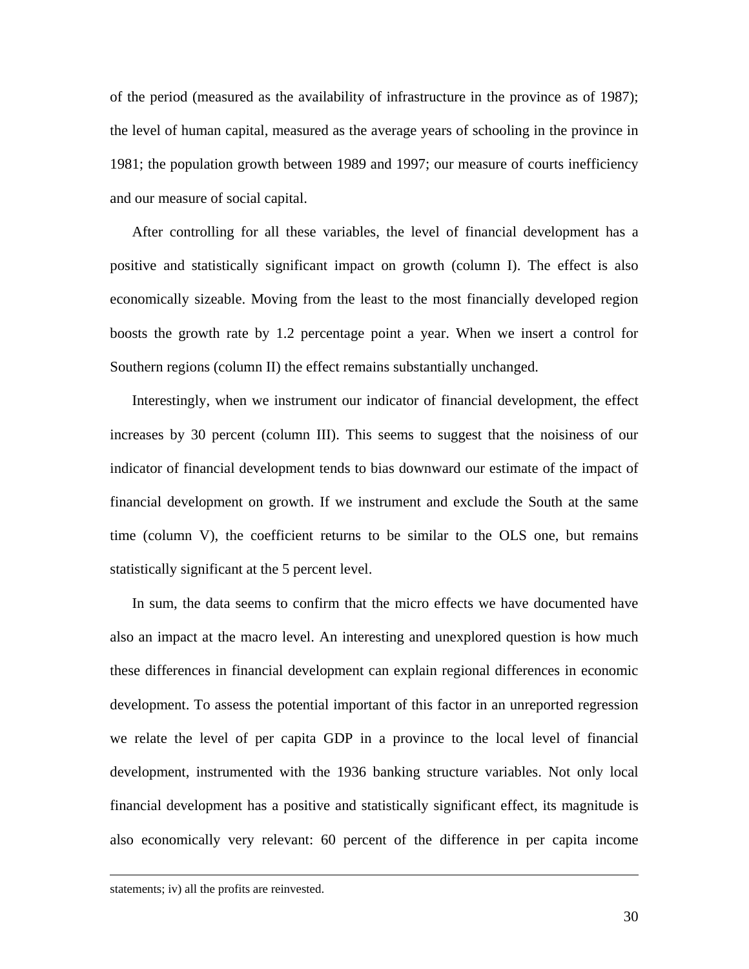of the period (measured as the availability of infrastructure in the province as of 1987); the level of human capital, measured as the average years of schooling in the province in 1981; the population growth between 1989 and 1997; our measure of courts inefficiency and our measure of social capital.

After controlling for all these variables, the level of financial development has a positive and statistically significant impact on growth (column I). The effect is also economically sizeable. Moving from the least to the most financially developed region boosts the growth rate by 1.2 percentage point a year. When we insert a control for Southern regions (column II) the effect remains substantially unchanged.

Interestingly, when we instrument our indicator of financial development, the effect increases by 30 percent (column III). This seems to suggest that the noisiness of our indicator of financial development tends to bias downward our estimate of the impact of financial development on growth. If we instrument and exclude the South at the same time (column V), the coefficient returns to be similar to the OLS one, but remains statistically significant at the 5 percent level.

In sum, the data seems to confirm that the micro effects we have documented have also an impact at the macro level. An interesting and unexplored question is how much these differences in financial development can explain regional differences in economic development. To assess the potential important of this factor in an unreported regression we relate the level of per capita GDP in a province to the local level of financial development, instrumented with the 1936 banking structure variables. Not only local financial development has a positive and statistically significant effect, its magnitude is also economically very relevant: 60 percent of the difference in per capita income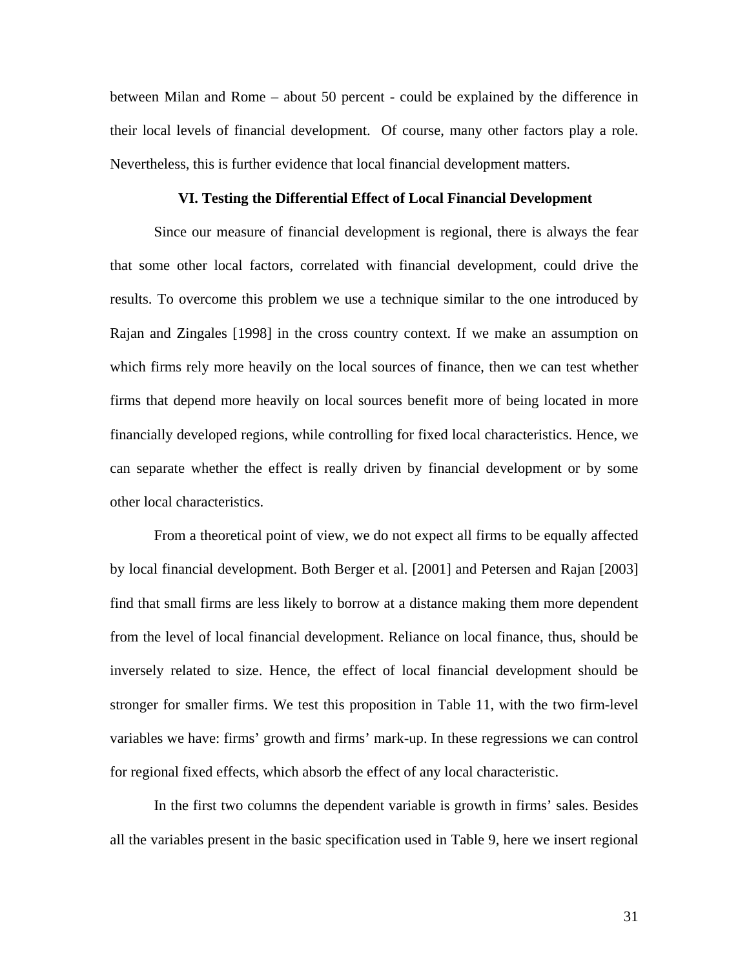between Milan and Rome – about 50 percent - could be explained by the difference in their local levels of financial development. Of course, many other factors play a role. Nevertheless, this is further evidence that local financial development matters.

### **VI. Testing the Differential Effect of Local Financial Development**

Since our measure of financial development is regional, there is always the fear that some other local factors, correlated with financial development, could drive the results. To overcome this problem we use a technique similar to the one introduced by Rajan and Zingales [1998] in the cross country context. If we make an assumption on which firms rely more heavily on the local sources of finance, then we can test whether firms that depend more heavily on local sources benefit more of being located in more financially developed regions, while controlling for fixed local characteristics. Hence, we can separate whether the effect is really driven by financial development or by some other local characteristics.

From a theoretical point of view, we do not expect all firms to be equally affected by local financial development. Both Berger et al. [2001] and Petersen and Rajan [2003] find that small firms are less likely to borrow at a distance making them more dependent from the level of local financial development. Reliance on local finance, thus, should be inversely related to size. Hence, the effect of local financial development should be stronger for smaller firms. We test this proposition in Table 11, with the two firm-level variables we have: firms' growth and firms' mark-up. In these regressions we can control for regional fixed effects, which absorb the effect of any local characteristic.

In the first two columns the dependent variable is growth in firms' sales. Besides all the variables present in the basic specification used in Table 9, here we insert regional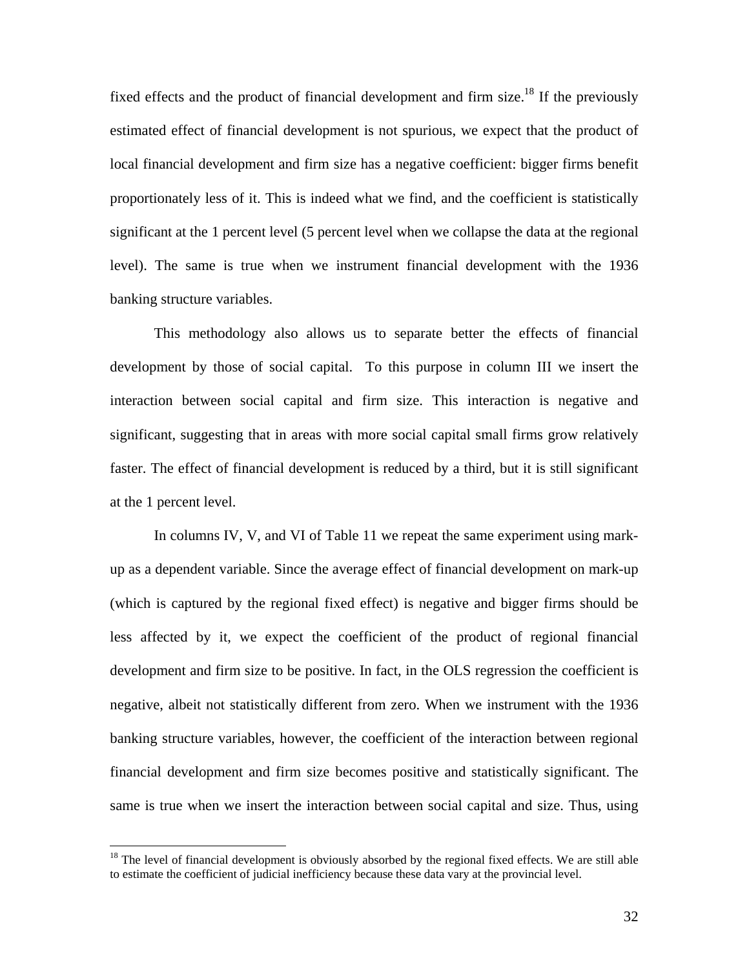fixed effects and the product of financial development and firm size.<sup>18</sup> If the previously estimated effect of financial development is not spurious, we expect that the product of local financial development and firm size has a negative coefficient: bigger firms benefit proportionately less of it. This is indeed what we find, and the coefficient is statistically significant at the 1 percent level (5 percent level when we collapse the data at the regional level). The same is true when we instrument financial development with the 1936 banking structure variables.

This methodology also allows us to separate better the effects of financial development by those of social capital. To this purpose in column III we insert the interaction between social capital and firm size. This interaction is negative and significant, suggesting that in areas with more social capital small firms grow relatively faster. The effect of financial development is reduced by a third, but it is still significant at the 1 percent level.

In columns IV, V, and VI of Table 11 we repeat the same experiment using markup as a dependent variable. Since the average effect of financial development on mark-up (which is captured by the regional fixed effect) is negative and bigger firms should be less affected by it, we expect the coefficient of the product of regional financial development and firm size to be positive. In fact, in the OLS regression the coefficient is negative, albeit not statistically different from zero. When we instrument with the 1936 banking structure variables, however, the coefficient of the interaction between regional financial development and firm size becomes positive and statistically significant. The same is true when we insert the interaction between social capital and size. Thus, using

<span id="page-31-0"></span> $18$  The level of financial development is obviously absorbed by the regional fixed effects. We are still able to estimate the coefficient of judicial inefficiency because these data vary at the provincial level.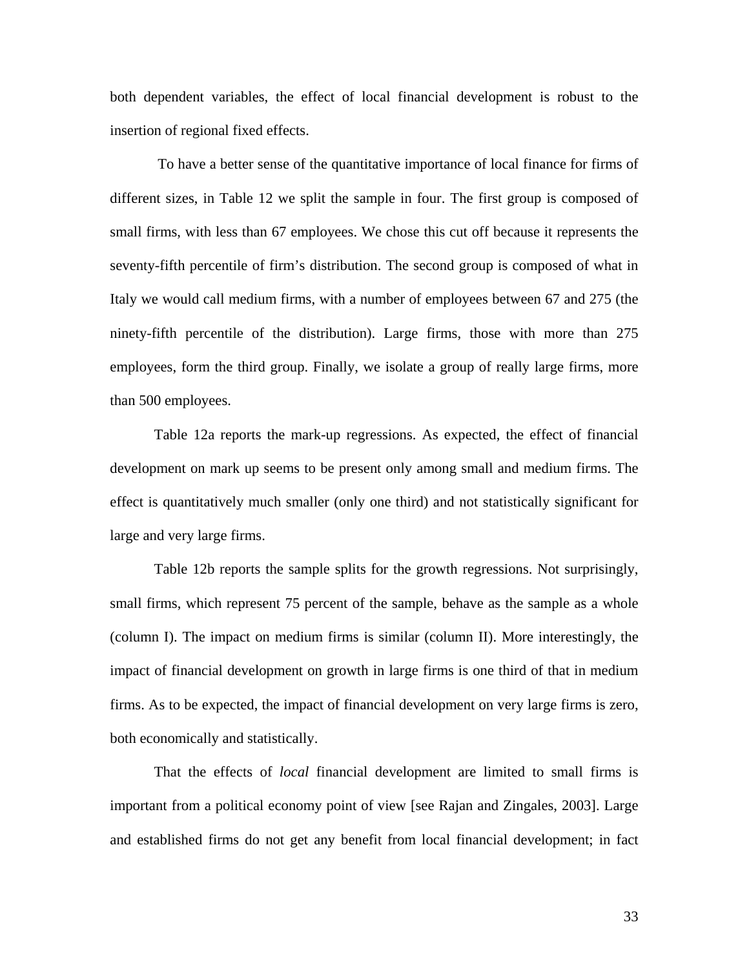both dependent variables, the effect of local financial development is robust to the insertion of regional fixed effects.

To have a better sense of the quantitative importance of local finance for firms of different sizes, in Table 12 we split the sample in four. The first group is composed of small firms, with less than 67 employees. We chose this cut off because it represents the seventy-fifth percentile of firm's distribution. The second group is composed of what in Italy we would call medium firms, with a number of employees between 67 and 275 (the ninety-fifth percentile of the distribution). Large firms, those with more than 275 employees, form the third group. Finally, we isolate a group of really large firms, more than 500 employees.

Table 12a reports the mark-up regressions. As expected, the effect of financial development on mark up seems to be present only among small and medium firms. The effect is quantitatively much smaller (only one third) and not statistically significant for large and very large firms.

Table 12b reports the sample splits for the growth regressions. Not surprisingly, small firms, which represent 75 percent of the sample, behave as the sample as a whole (column I). The impact on medium firms is similar (column II). More interestingly, the impact of financial development on growth in large firms is one third of that in medium firms. As to be expected, the impact of financial development on very large firms is zero, both economically and statistically.

That the effects of *local* financial development are limited to small firms is important from a political economy point of view [see Rajan and Zingales, 2003]. Large and established firms do not get any benefit from local financial development; in fact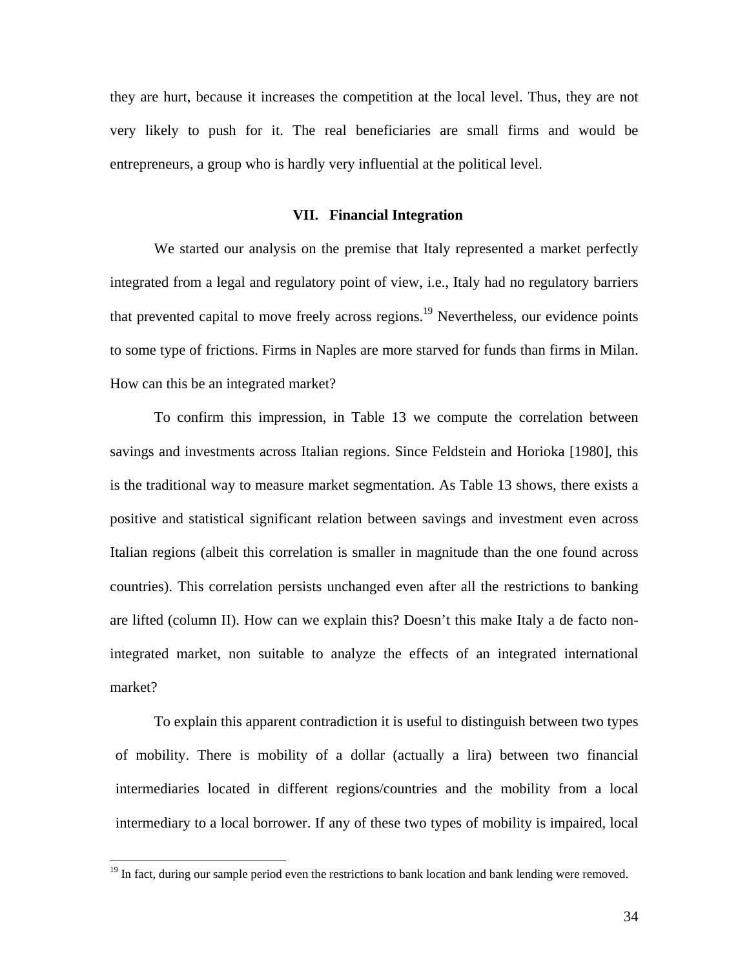they are hurt, because it increases the competition at the local level. Thus, they are not very likely to push for it. The real beneficiaries are small firms and would be entrepreneurs, a group who is hardly very influential at the political level.

## **VII. Financial Integration**

We started our analysis on the premise that Italy represented a market perfectly integrated from a legal and regulatory point of view, i.e., Italy had no regulatory barriers that prevented capital to move freely across regions.<sup>19</sup> Nevertheless, our evidence points to some type of frictions. Firms in Naples are more starved for funds than firms in Milan. How can this be an integrated market?

To confirm this impression, in Table 13 we compute the correlation between savings and investments across Italian regions. Since Feldstein and Horioka [1980], this is the traditional way to measure market segmentation. As Table 13 shows, there exists a positive and statistical significant relation between savings and investment even across Italian regions (albeit this correlation is smaller in magnitude than the one found across countries). This correlation persists unchanged even after all the restrictions to banking are lifted (column II). How can we explain this? Doesn't this make Italy a de facto nonintegrated market, non suitable to analyze the effects of an integrated international market?

To explain this apparent contradiction it is useful to distinguish between two types of mobility. There is mobility of a dollar (actually a lira) between two financial intermediaries located in different regions/countries and the mobility from a local intermediary to a local borrower. If any of these two types of mobility is impaired, local

<u>.</u>

<span id="page-33-0"></span> $19$  In fact, during our sample period even the restrictions to bank location and bank lending were removed.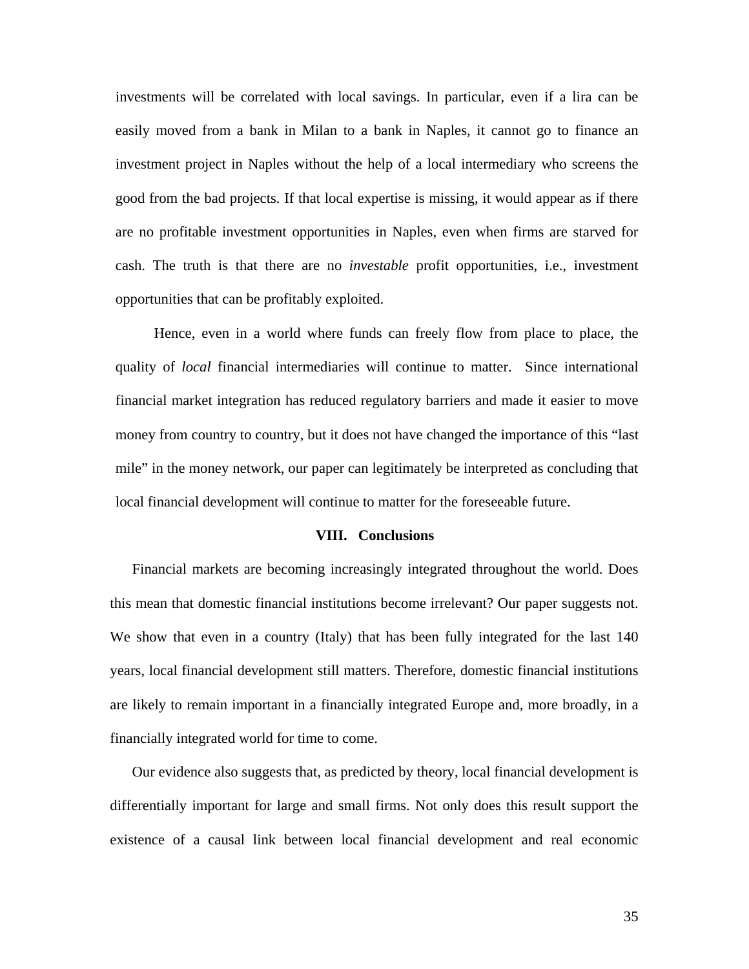investments will be correlated with local savings. In particular, even if a lira can be easily moved from a bank in Milan to a bank in Naples, it cannot go to finance an investment project in Naples without the help of a local intermediary who screens the good from the bad projects. If that local expertise is missing, it would appear as if there are no profitable investment opportunities in Naples, even when firms are starved for cash. The truth is that there are no *investable* profit opportunities, i.e., investment opportunities that can be profitably exploited.

Hence, even in a world where funds can freely flow from place to place, the quality of *local* financial intermediaries will continue to matter. Since international financial market integration has reduced regulatory barriers and made it easier to move money from country to country, but it does not have changed the importance of this "last mile" in the money network, our paper can legitimately be interpreted as concluding that local financial development will continue to matter for the foreseeable future.

### **VIII. Conclusions**

Financial markets are becoming increasingly integrated throughout the world. Does this mean that domestic financial institutions become irrelevant? Our paper suggests not. We show that even in a country (Italy) that has been fully integrated for the last 140 years, local financial development still matters. Therefore, domestic financial institutions are likely to remain important in a financially integrated Europe and, more broadly, in a financially integrated world for time to come.

Our evidence also suggests that, as predicted by theory, local financial development is differentially important for large and small firms. Not only does this result support the existence of a causal link between local financial development and real economic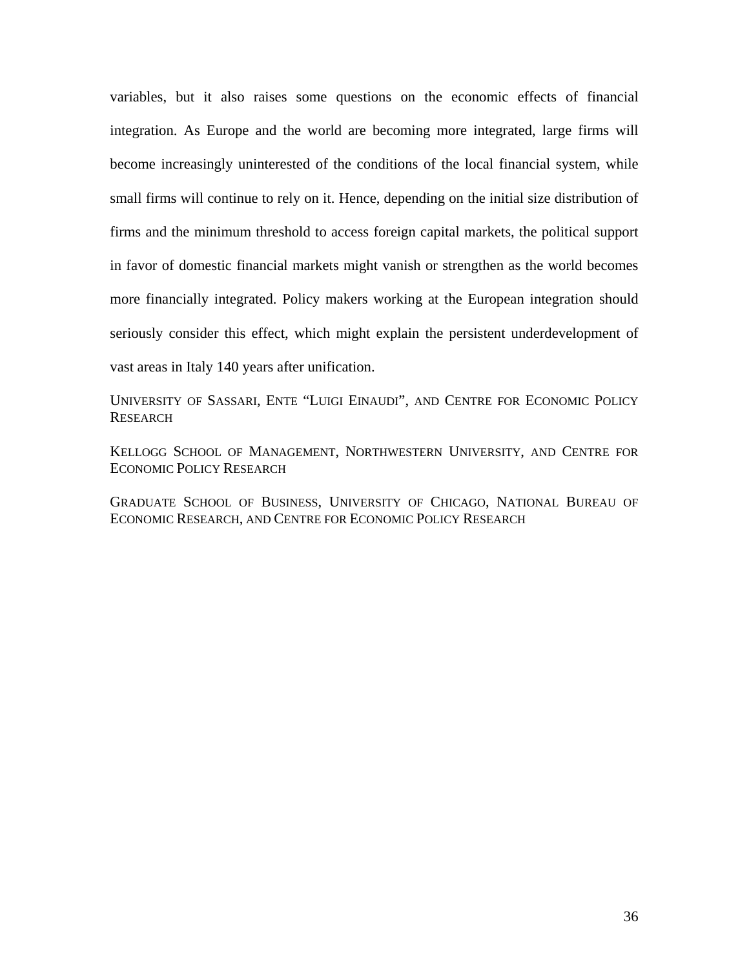variables, but it also raises some questions on the economic effects of financial integration. As Europe and the world are becoming more integrated, large firms will become increasingly uninterested of the conditions of the local financial system, while small firms will continue to rely on it. Hence, depending on the initial size distribution of firms and the minimum threshold to access foreign capital markets, the political support in favor of domestic financial markets might vanish or strengthen as the world becomes more financially integrated. Policy makers working at the European integration should seriously consider this effect, which might explain the persistent underdevelopment of vast areas in Italy 140 years after unification.

UNIVERSITY OF SASSARI, ENTE "LUIGI EINAUDI", AND CENTRE FOR ECONOMIC POLICY **RESEARCH** 

KELLOGG SCHOOL OF MANAGEMENT, NORTHWESTERN UNIVERSITY, AND CENTRE FOR ECONOMIC POLICY RESEARCH

GRADUATE SCHOOL OF BUSINESS, UNIVERSITY OF CHICAGO, NATIONAL BUREAU OF ECONOMIC RESEARCH, AND CENTRE FOR ECONOMIC POLICY RESEARCH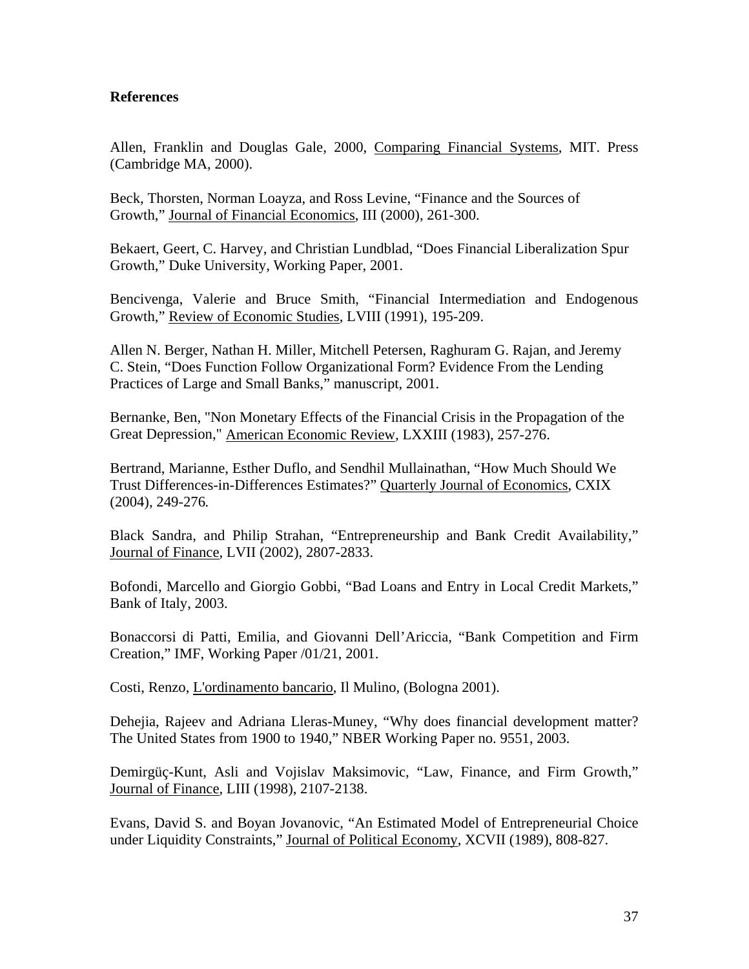# **References**

Allen, Franklin and Douglas Gale, 2000, Comparing Financial Systems*,* MIT. Press (Cambridge MA, 2000).

Beck, Thorsten, Norman Loayza, and Ross Levine, "Finance and the Sources of Growth," Journal of Financial Economics, III (2000), 261-300.

Bekaert, Geert, C. Harvey, and Christian Lundblad, "Does Financial Liberalization Spur Growth," Duke University, Working Paper, 2001.

Bencivenga, Valerie and Bruce Smith, "Financial Intermediation and Endogenous Growth," Review of Economic Studies, LVIII (1991), 195-209.

Allen N. Berger, Nathan H. Miller, Mitchell Petersen, Raghuram G. Rajan, and Jeremy C. Stein, "Does Function Follow Organizational Form? Evidence From the Lending Practices of Large and Small Banks," manuscript, 2001.

Bernanke, Ben, "Non Monetary Effects of the Financial Crisis in the Propagation of the Great Depression," American Economic Review*,* LXXIII (1983), 257-276.

Bertrand, Marianne, Esther Duflo, and Sendhil Mullainathan, "How Much Should We Trust Differences-in-Differences Estimates?" Quarterly Journal of Economics, CXIX (2004), 249-276*.*

Black Sandra, and Philip Strahan, "Entrepreneurship and Bank Credit Availability," Journal of Finance, LVII (2002), 2807-2833.

Bofondi, Marcello and Giorgio Gobbi, "Bad Loans and Entry in Local Credit Markets," Bank of Italy, 2003.

Bonaccorsi di Patti, Emilia, and Giovanni Dell'Ariccia, "Bank Competition and Firm Creation," IMF, Working Paper /01/21, 2001.

Costi, Renzo, L'ordinamento bancario, Il Mulino, (Bologna 2001).

Dehejia, Rajeev and Adriana Lleras-Muney, "Why does financial development matter? The United States from 1900 to 1940," NBER Working Paper no. 9551, 2003.

Demirgüç-Kunt, Asli and Vojislav Maksimovic, "Law, Finance, and Firm Growth," Journal of Finance, LIII (1998), 2107-2138.

Evans, David S. and Boyan Jovanovic, "An Estimated Model of Entrepreneurial Choice under Liquidity Constraints," Journal of Political Economy, XCVII (1989), 808-827.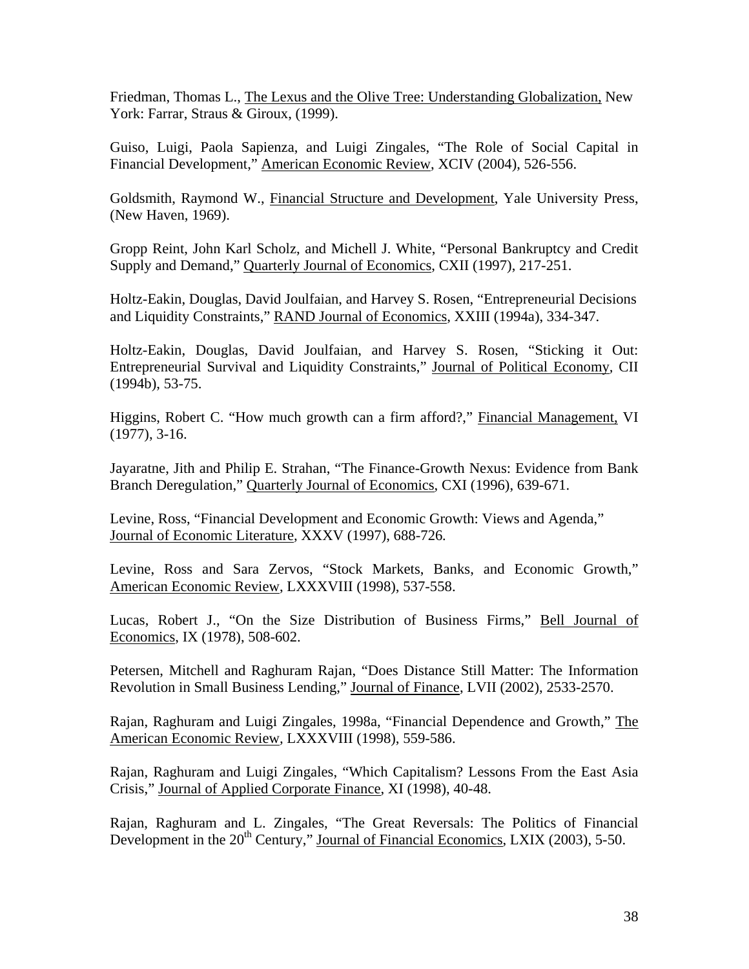Friedman, Thomas L., The Lexus and the Olive Tree: Understanding Globalization, New York: Farrar, Straus & Giroux, (1999).

Guiso, Luigi, Paola Sapienza, and Luigi Zingales, "The Role of Social Capital in Financial Development," American Economic Review, XCIV (2004), 526-556.

Goldsmith, Raymond W., Financial Structure and Development, Yale University Press, (New Haven, 1969).

Gropp Reint, John Karl Scholz, and Michell J. White, "Personal Bankruptcy and Credit Supply and Demand," Quarterly Journal of Economics, CXII (1997), 217-251.

Holtz-Eakin, Douglas, David Joulfaian, and Harvey S. Rosen, "Entrepreneurial Decisions and Liquidity Constraints," RAND Journal of Economics*,* XXIII (1994a), 334-347.

Holtz-Eakin, Douglas, David Joulfaian, and Harvey S. Rosen, "Sticking it Out: Entrepreneurial Survival and Liquidity Constraints," Journal of Political Economy*,* CII (1994b), 53-75.

Higgins, Robert C. "How much growth can a firm afford?," Financial Management, VI (1977), 3-16.

Jayaratne, Jith and Philip E. Strahan, "The Finance-Growth Nexus: Evidence from Bank Branch Deregulation," Quarterly Journal of Economics, CXI (1996), 639-671.

Levine, Ross, "Financial Development and Economic Growth: Views and Agenda," Journal of Economic Literature*,* XXXV (1997), 688-726*.* 

Levine, Ross and Sara Zervos, "Stock Markets, Banks, and Economic Growth," American Economic Review, LXXXVIII (1998), 537-558.

Lucas, Robert J., "On the Size Distribution of Business Firms," Bell Journal of Economics, IX (1978), 508-602.

Petersen, Mitchell and Raghuram Rajan, "Does Distance Still Matter: The Information Revolution in Small Business Lending," Journal of Finance, LVII (2002), 2533-2570.

Rajan, Raghuram and Luigi Zingales, 1998a, "Financial Dependence and Growth," The American Economic Review*,* LXXXVIII (1998), 559-586.

Rajan, Raghuram and Luigi Zingales, "Which Capitalism? Lessons From the East Asia Crisis," Journal of Applied Corporate Finance, XI (1998), 40-48.

Rajan, Raghuram and L. Zingales, "The Great Reversals: The Politics of Financial Development in the 20<sup>th</sup> Century," Journal of Financial Economics, LXIX (2003), 5-50.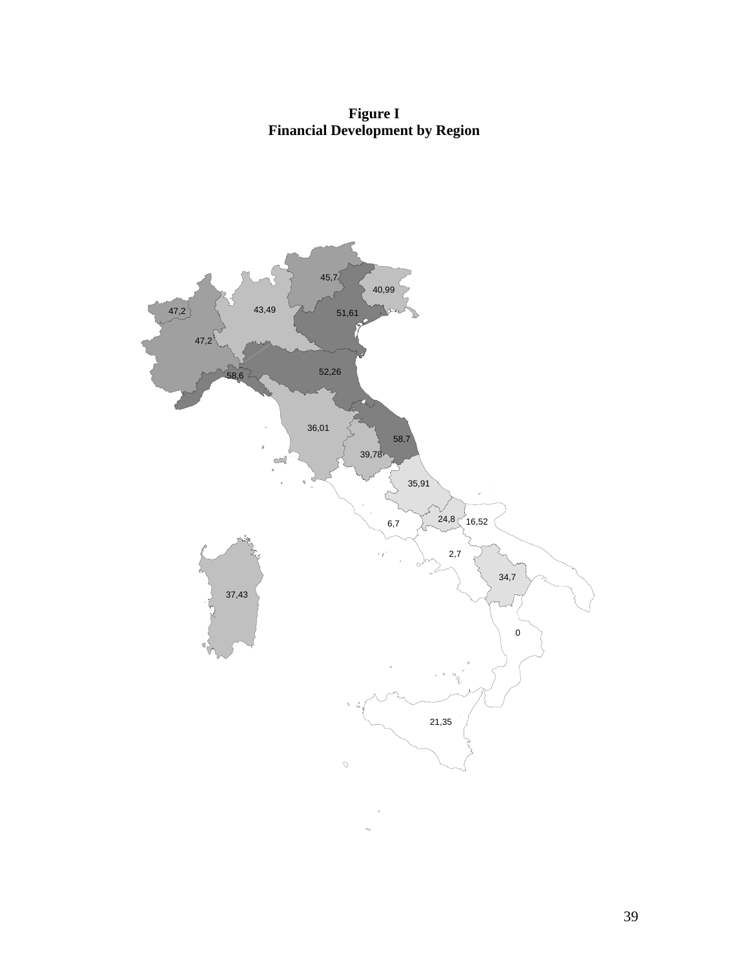**Figure I Financial Development by Region**

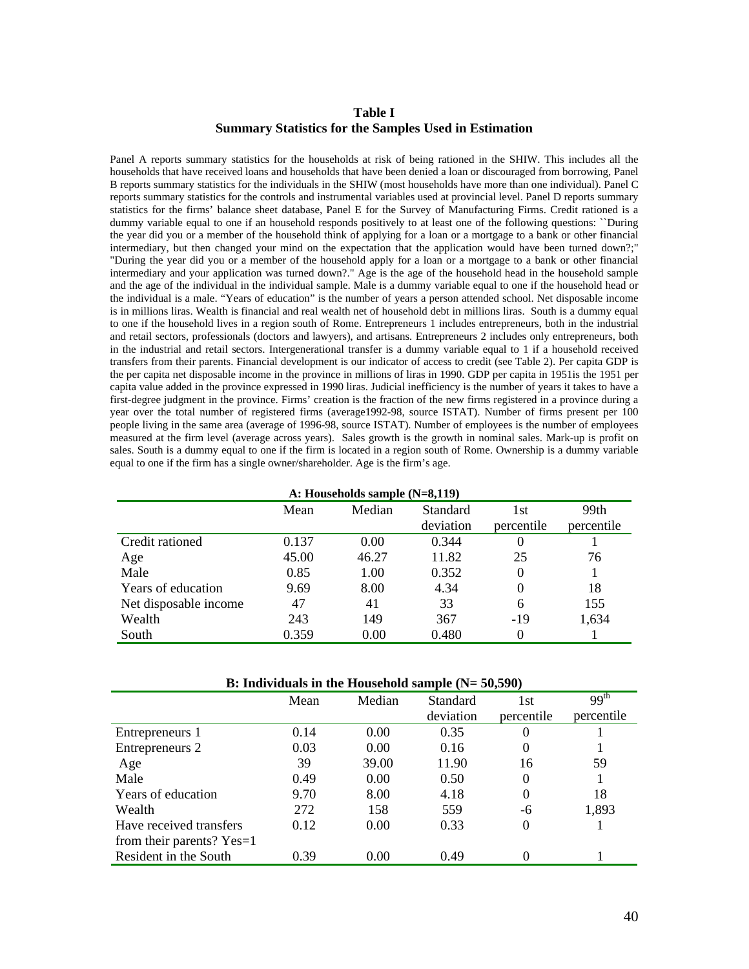### **Table I Summary Statistics for the Samples Used in Estimation**

Panel A reports summary statistics for the households at risk of being rationed in the SHIW. This includes all the households that have received loans and households that have been denied a loan or discouraged from borrowing, Panel B reports summary statistics for the individuals in the SHIW (most households have more than one individual). Panel C reports summary statistics for the controls and instrumental variables used at provincial level. Panel D reports summary statistics for the firms' balance sheet database, Panel E for the Survey of Manufacturing Firms. Credit rationed is a dummy variable equal to one if an household responds positively to at least one of the following questions: ``During the year did you or a member of the household think of applying for a loan or a mortgage to a bank or other financial intermediary, but then changed your mind on the expectation that the application would have been turned down?;" "During the year did you or a member of the household apply for a loan or a mortgage to a bank or other financial intermediary and your application was turned down?." Age is the age of the household head in the household sample and the age of the individual in the individual sample. Male is a dummy variable equal to one if the household head or the individual is a male. "Years of education" is the number of years a person attended school. Net disposable income is in millions liras. Wealth is financial and real wealth net of household debt in millions liras. South is a dummy equal to one if the household lives in a region south of Rome. Entrepreneurs 1 includes entrepreneurs, both in the industrial and retail sectors, professionals (doctors and lawyers), and artisans. Entrepreneurs 2 includes only entrepreneurs, both in the industrial and retail sectors. Intergenerational transfer is a dummy variable equal to 1 if a household received transfers from their parents. Financial development is our indicator of access to credit (see Table 2). Per capita GDP is the per capita net disposable income in the province in millions of liras in 1990. GDP per capita in 1951is the 1951 per capita value added in the province expressed in 1990 liras. Judicial inefficiency is the number of years it takes to have a first-degree judgment in the province. Firms' creation is the fraction of the new firms registered in a province during a year over the total number of registered firms (average1992-98, source ISTAT). Number of firms present per 100 people living in the same area (average of 1996-98, source ISTAT). Number of employees is the number of employees measured at the firm level (average across years). Sales growth is the growth in nominal sales. Mark-up is profit on sales. South is a dummy equal to one if the firm is located in a region south of Rome. Ownership is a dummy variable equal to one if the firm has a single owner/shareholder. Age is the firm's age.

| A: Households sample $(N=8,119)$ |       |        |           |            |            |  |  |
|----------------------------------|-------|--------|-----------|------------|------------|--|--|
|                                  | Mean  | Median | Standard  | 1st        | 99th       |  |  |
|                                  |       |        | deviation | percentile | percentile |  |  |
| Credit rationed                  | 0.137 | 0.00   | 0.344     | $\theta$   |            |  |  |
| Age                              | 45.00 | 46.27  | 11.82     | 25         | 76         |  |  |
| Male                             | 0.85  | 1.00   | 0.352     | $\theta$   |            |  |  |
| Years of education               | 9.69  | 8.00   | 4.34      | $\theta$   | 18         |  |  |
| Net disposable income            | 47    | 41     | 33        | 6          | 155        |  |  |
| Wealth                           | 243   | 149    | 367       | -19        | 1,634      |  |  |
| South                            | 0.359 | 0.00   | 0.480     | $\theta$   |            |  |  |

| B: Individuals in the Household sample $(N = 50,590)$ |      |        |           |            |                  |  |  |  |
|-------------------------------------------------------|------|--------|-----------|------------|------------------|--|--|--|
|                                                       | Mean | Median | Standard  | 1st        | 99 <sup>th</sup> |  |  |  |
|                                                       |      |        | deviation | percentile | percentile       |  |  |  |
| Entrepreneurs 1                                       | 0.14 | 0.00   | 0.35      | 0          |                  |  |  |  |
| Entrepreneurs 2                                       | 0.03 | 0.00   | 0.16      | $\Omega$   |                  |  |  |  |
| Age                                                   | 39   | 39.00  | 11.90     | 16         | 59               |  |  |  |
| Male                                                  | 0.49 | 0.00   | 0.50      | $\Omega$   |                  |  |  |  |
| Years of education                                    | 9.70 | 8.00   | 4.18      | $\Omega$   | 18               |  |  |  |
| Wealth                                                | 272  | 158    | 559       | -6         | 1,893            |  |  |  |
| Have received transfers                               | 0.12 | 0.00   | 0.33      | $\theta$   |                  |  |  |  |
| from their parents? $Yes=1$                           |      |        |           |            |                  |  |  |  |
| Resident in the South                                 | 0.39 | 0.00   | 0.49      |            |                  |  |  |  |

### **B: Individuals in the Household sample (N= 50,590)**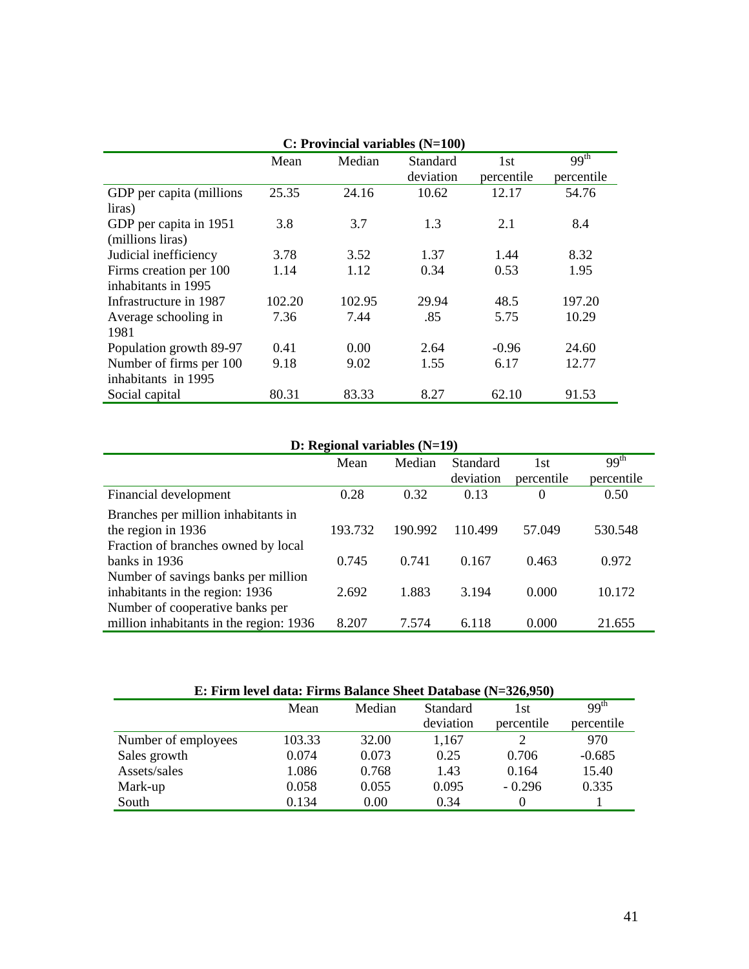|                           | C. I TOVINCIAI VALIADIES (19–100) |        |           |            |                  |  |  |
|---------------------------|-----------------------------------|--------|-----------|------------|------------------|--|--|
|                           | Mean                              | Median | Standard  | 1st        | 99 <sup>th</sup> |  |  |
|                           |                                   |        | deviation | percentile | percentile       |  |  |
| GDP per capita (millions) | 25.35                             | 24.16  | 10.62     | 12.17      | 54.76            |  |  |
| liras)                    |                                   |        |           |            |                  |  |  |
| GDP per capita in 1951    | 3.8                               | 3.7    | 1.3       | 2.1        | 8.4              |  |  |
| (millions liras)          |                                   |        |           |            |                  |  |  |
| Judicial inefficiency     | 3.78                              | 3.52   | 1.37      | 1.44       | 8.32             |  |  |
| Firms creation per 100    | 1.14                              | 1.12   | 0.34      | 0.53       | 1.95             |  |  |
| inhabitants in 1995       |                                   |        |           |            |                  |  |  |
| Infrastructure in 1987    | 102.20                            | 102.95 | 29.94     | 48.5       | 197.20           |  |  |
| Average schooling in      | 7.36                              | 7.44   | .85       | 5.75       | 10.29            |  |  |
| 1981                      |                                   |        |           |            |                  |  |  |
| Population growth 89-97   | 0.41                              | 0.00   | 2.64      | $-0.96$    | 24.60            |  |  |
| Number of firms per 100   | 9.18                              | 9.02   | 1.55      | 6.17       | 12.77            |  |  |
| inhabitants in 1995       |                                   |        |           |            |                  |  |  |
| Social capital            | 80.31                             | 83.33  | 8.27      | 62.10      | 91.53            |  |  |

**C: Provincial variables (N=100)** 

# **D: Regional variables (N=19)**

| Mean    | Median  |           |            |                  |
|---------|---------|-----------|------------|------------------|
|         |         | Standard  | 1st        | 99 <sup>th</sup> |
|         |         | deviation | percentile | percentile       |
| 0.28    | 0.32    | 0.13      | 0          | 0.50             |
|         |         |           |            |                  |
| 193.732 | 190.992 | 110.499   | 57.049     | 530.548          |
|         |         |           |            |                  |
| 0.745   | 0.741   | 0.167     | 0.463      | 0.972            |
|         |         |           |            |                  |
| 2.692   | 1.883   | 3.194     | 0.000      | 10.172           |
|         |         |           |            |                  |
| 8.207   | 7.574   | 6.118     | 0.000      | 21.655           |
|         |         |           |            |                  |

| E: Firm level data: Firms Balance Sheet Database (N=326,950) |        |        |           |            |                  |  |  |
|--------------------------------------------------------------|--------|--------|-----------|------------|------------------|--|--|
|                                                              | Mean   | Median | Standard  | 1st        | 99 <sup>th</sup> |  |  |
|                                                              |        |        | deviation | percentile | percentile       |  |  |
| Number of employees                                          | 103.33 | 32.00  | 1,167     | ာ          | 970              |  |  |
| Sales growth                                                 | 0.074  | 0.073  | 0.25      | 0.706      | $-0.685$         |  |  |
| Assets/sales                                                 | 1.086  | 0.768  | 1.43      | 0.164      | 15.40            |  |  |
| Mark-up                                                      | 0.058  | 0.055  | 0.095     | $-0.296$   | 0.335            |  |  |
| South                                                        | 0.134  | 0.00   | 0.34      |            |                  |  |  |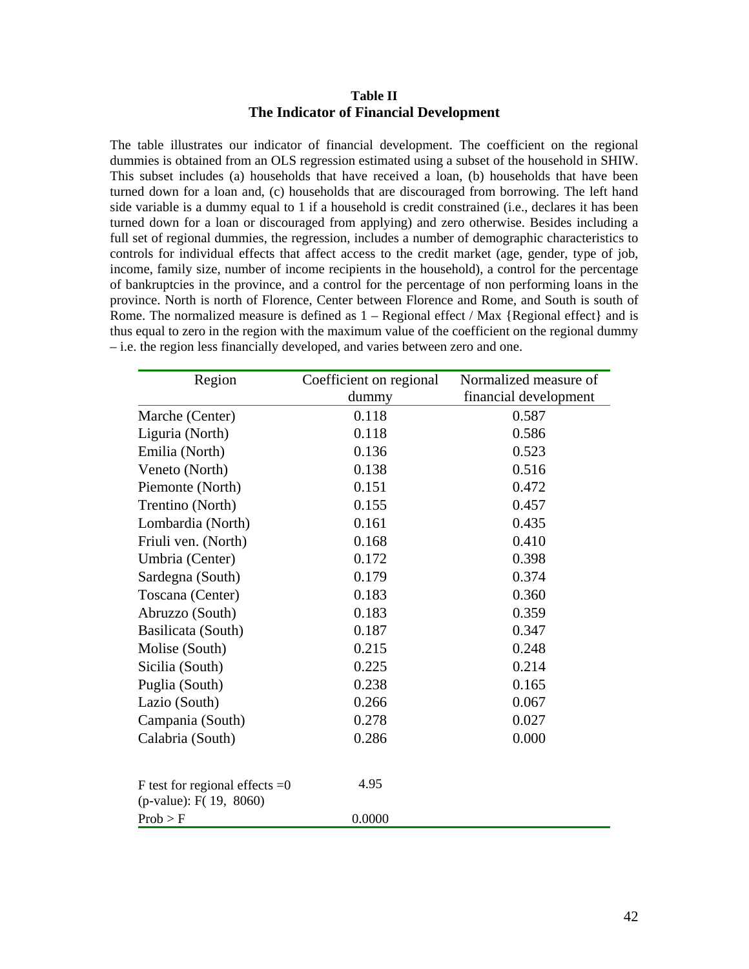## **Table II The Indicator of Financial Development**

The table illustrates our indicator of financial development. The coefficient on the regional dummies is obtained from an OLS regression estimated using a subset of the household in SHIW. This subset includes (a) households that have received a loan, (b) households that have been turned down for a loan and, (c) households that are discouraged from borrowing. The left hand side variable is a dummy equal to 1 if a household is credit constrained (i.e., declares it has been turned down for a loan or discouraged from applying) and zero otherwise. Besides including a full set of regional dummies, the regression, includes a number of demographic characteristics to controls for individual effects that affect access to the credit market (age, gender, type of job, income, family size, number of income recipients in the household), a control for the percentage of bankruptcies in the province, and a control for the percentage of non performing loans in the province. North is north of Florence, Center between Florence and Rome, and South is south of Rome. The normalized measure is defined as  $1 -$  Regional effect / Max {Regional effect} and is thus equal to zero in the region with the maximum value of the coefficient on the regional dummy – i.e. the region less financially developed, and varies between zero and one.

| Region                                                     | Coefficient on regional | Normalized measure of |
|------------------------------------------------------------|-------------------------|-----------------------|
|                                                            | dummy                   | financial development |
| Marche (Center)                                            | 0.118                   | 0.587                 |
| Liguria (North)                                            | 0.118                   | 0.586                 |
| Emilia (North)                                             | 0.136                   | 0.523                 |
| Veneto (North)                                             | 0.138                   | 0.516                 |
| Piemonte (North)                                           | 0.151                   | 0.472                 |
| Trentino (North)                                           | 0.155                   | 0.457                 |
| Lombardia (North)                                          | 0.161                   | 0.435                 |
| Friuli ven. (North)                                        | 0.168                   | 0.410                 |
| Umbria (Center)                                            | 0.172                   | 0.398                 |
| Sardegna (South)                                           | 0.179                   | 0.374                 |
| Toscana (Center)                                           | 0.183                   | 0.360                 |
| Abruzzo (South)                                            | 0.183                   | 0.359                 |
| Basilicata (South)                                         | 0.187                   | 0.347                 |
| Molise (South)                                             | 0.215                   | 0.248                 |
| Sicilia (South)                                            | 0.225                   | 0.214                 |
| Puglia (South)                                             | 0.238                   | 0.165                 |
| Lazio (South)                                              | 0.266                   | 0.067                 |
| Campania (South)                                           | 0.278                   | 0.027                 |
| Calabria (South)                                           | 0.286                   | 0.000                 |
|                                                            |                         |                       |
| F test for regional effects $=0$<br>(p-value): F(19, 8060) | 4.95                    |                       |
| Prob > F                                                   | 0.0000                  |                       |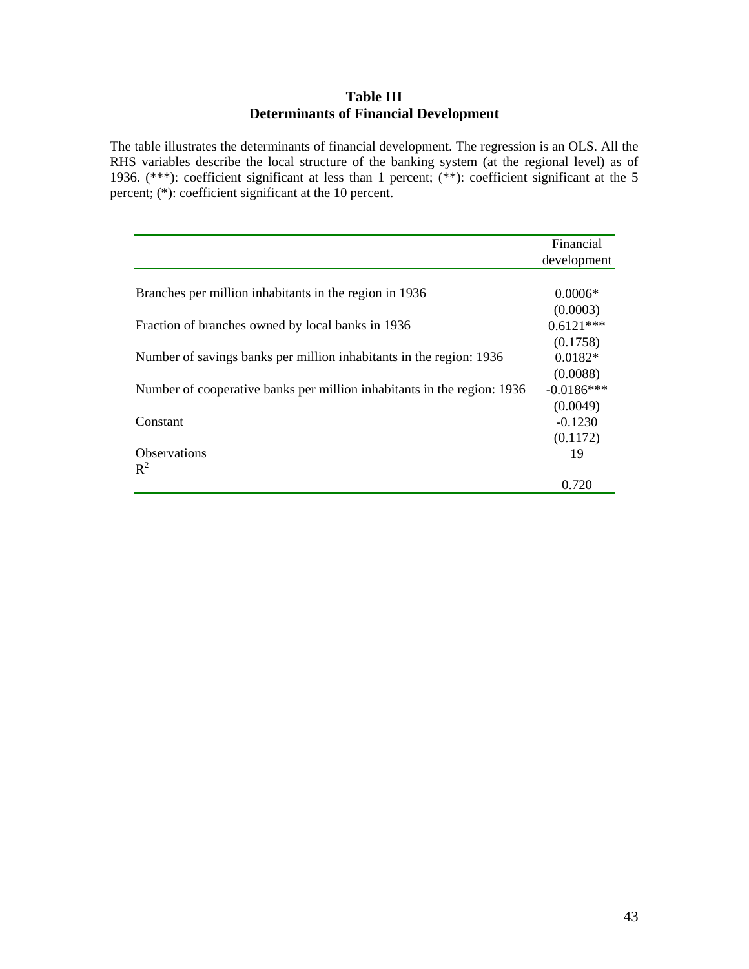# **Table III Determinants of Financial Development**

The table illustrates the determinants of financial development. The regression is an OLS. All the RHS variables describe the local structure of the banking system (at the regional level) as of 1936. (\*\*\*): coefficient significant at less than 1 percent; (\*\*): coefficient significant at the 5 percent; (\*): coefficient significant at the 10 percent.

|                                                                         | Financial    |
|-------------------------------------------------------------------------|--------------|
|                                                                         | development  |
|                                                                         |              |
| Branches per million inhabitants in the region in 1936                  | $0.0006*$    |
|                                                                         | (0.0003)     |
| Fraction of branches owned by local banks in 1936                       | $0.6121***$  |
|                                                                         | (0.1758)     |
| Number of savings banks per million inhabitants in the region: 1936     | $0.0182*$    |
|                                                                         | (0.0088)     |
| Number of cooperative banks per million inhabitants in the region: 1936 | $-0.0186***$ |
|                                                                         | (0.0049)     |
| Constant                                                                | $-0.1230$    |
|                                                                         | (0.1172)     |
| <b>Observations</b>                                                     | 19           |
| $R^2$                                                                   |              |
|                                                                         | 0.720        |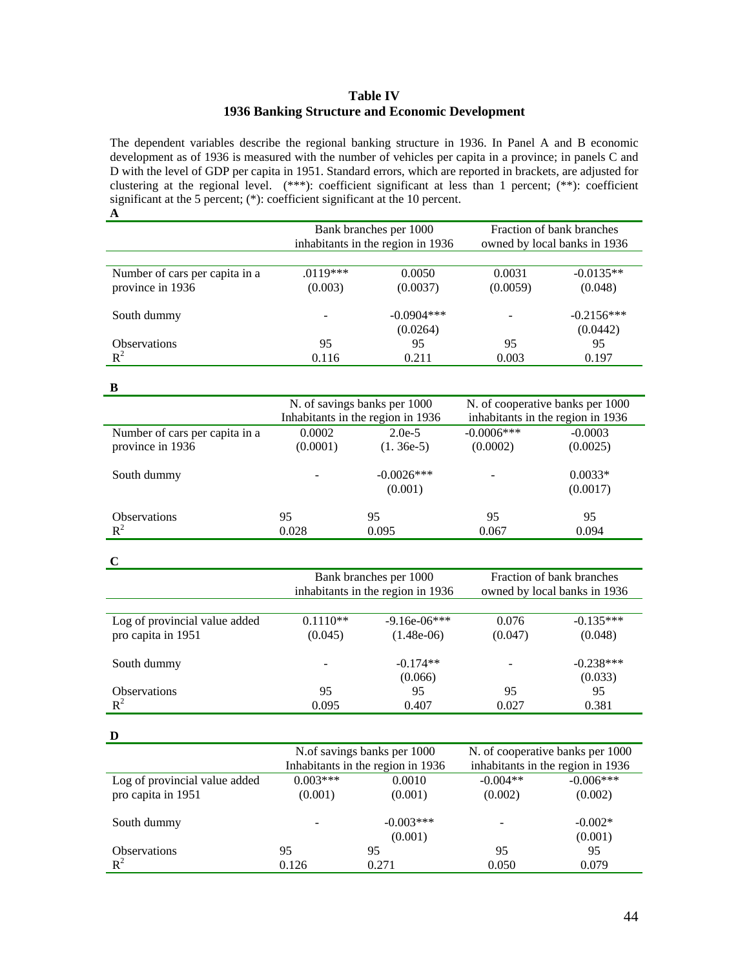## **Table IV 1936 Banking Structure and Economic Development**

The dependent variables describe the regional banking structure in 1936. In Panel A and B economic development as of 1936 is measured with the number of vehicles per capita in a province; in panels C and D with the level of GDP per capita in 1951. Standard errors, which are reported in brackets, are adjusted for clustering at the regional level. (\*\*\*): coefficient significant at less than 1 percent; (\*\*): coefficient significant at the 5 percent; (\*): coefficient significant at the 10 percent. **A** 

|                                |            | Bank branches per 1000<br>inhabitants in the region in 1936 |          | Fraction of bank branches<br>owned by local banks in 1936 |
|--------------------------------|------------|-------------------------------------------------------------|----------|-----------------------------------------------------------|
|                                |            |                                                             |          |                                                           |
| Number of cars per capita in a | $.0119***$ | 0.0050                                                      | 0.0031   | $-0.0135**$                                               |
| province in 1936               | (0.003)    | (0.0037)                                                    | (0.0059) | (0.048)                                                   |
| South dummy                    |            | $-0.0904***$                                                |          | $-0.2156***$                                              |
|                                |            | (0.0264)                                                    |          | (0.0442)                                                  |
| <b>Observations</b>            | 95         | 95                                                          | 95       | 95                                                        |
| $R^2$                          | 0.116      | 0.211                                                       | 0.003    | 0.197                                                     |

**B** 

|                                | N. of savings banks per 1000<br>Inhabitants in the region in 1936 |                         |               | N. of cooperative banks per 1000<br>inhabitants in the region in 1936 |
|--------------------------------|-------------------------------------------------------------------|-------------------------|---------------|-----------------------------------------------------------------------|
| Number of cars per capita in a | 0.0002                                                            | $2.0e-5$                | $-0.0006$ *** | $-0.0003$                                                             |
| province in 1936               | (0.0001)                                                          | $(1.36e-5)$             | (0.0002)      | (0.0025)                                                              |
| South dummy                    |                                                                   | $-0.0026***$<br>(0.001) |               | $0.0033*$<br>(0.0017)                                                 |
| <b>Observations</b>            | 95                                                                | 95                      | 95            | 95                                                                    |
| $R^2$                          | 0.028                                                             | 0.095                   | 0.067         | 0.094                                                                 |

**C** 

|                               |            | Bank branches per 1000<br>inhabitants in the region in 1936 |         | Fraction of bank branches<br>owned by local banks in 1936 |
|-------------------------------|------------|-------------------------------------------------------------|---------|-----------------------------------------------------------|
|                               |            |                                                             |         |                                                           |
| Log of provincial value added | $0.1110**$ | $-9.16e-06***$                                              | 0.076   | $-0.135***$                                               |
| pro capita in 1951            | (0.045)    | $(1.48e-06)$                                                | (0.047) | (0.048)                                                   |
| South dummy                   |            | $-0.174**$                                                  |         | $-0.238***$                                               |
|                               |            | (0.066)                                                     |         | (0.033)                                                   |
| <b>Observations</b>           | 95         | 95                                                          | 95      | 95                                                        |
| $R^2$                         | 0.095      | 0.407                                                       | 0.027   | 0.381                                                     |

**D** 

|                               |            | N. of savings banks per 1000<br>Inhabitants in the region in 1936 |            | N. of cooperative banks per 1000<br>inhabitants in the region in 1936 |  |  |
|-------------------------------|------------|-------------------------------------------------------------------|------------|-----------------------------------------------------------------------|--|--|
| Log of provincial value added | $0.003***$ | 0.0010                                                            | $-0.004**$ | $-0.006***$                                                           |  |  |
| pro capita in 1951            | (0.001)    | (0.001)                                                           | (0.002)    | (0.002)                                                               |  |  |
| South dummy                   |            | $-0.003***$<br>(0.001)                                            |            | $-0.002*$<br>(0.001)                                                  |  |  |
| <b>Observations</b>           | 95         | 95                                                                | 95         | 95                                                                    |  |  |
| $R^2$                         | 0.126      | 0.271                                                             | 0.050      | 0.079                                                                 |  |  |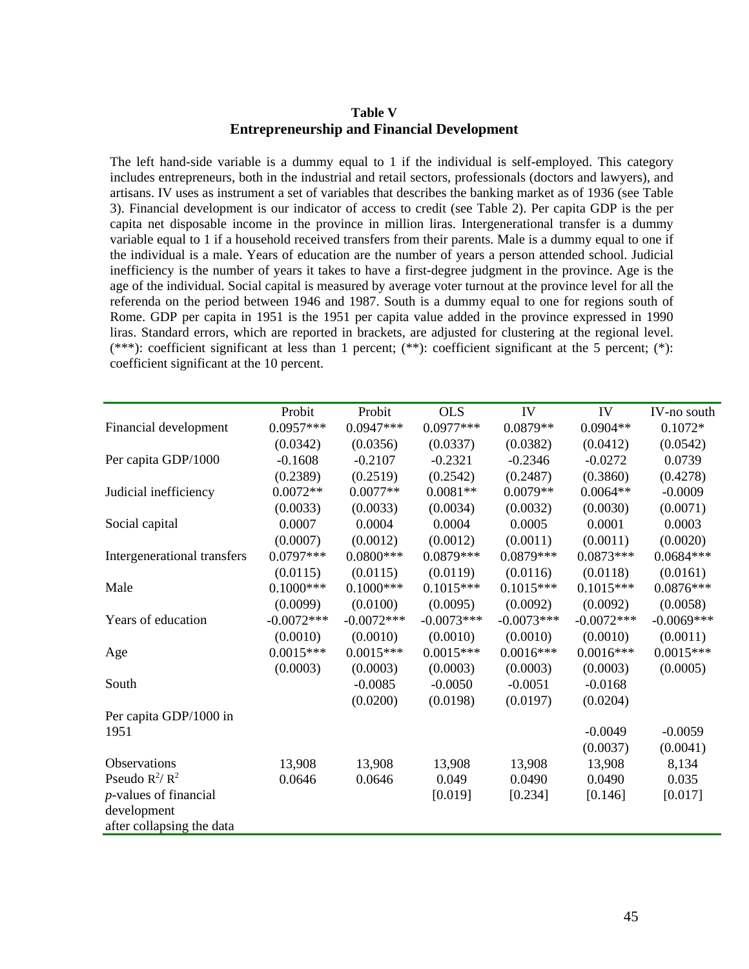### **Table V Entrepreneurship and Financial Development**

The left hand-side variable is a dummy equal to 1 if the individual is self-employed. This category includes entrepreneurs, both in the industrial and retail sectors, professionals (doctors and lawyers), and artisans. IV uses as instrument a set of variables that describes the banking market as of 1936 (see Table 3). Financial development is our indicator of access to credit (see Table 2). Per capita GDP is the per capita net disposable income in the province in million liras. Intergenerational transfer is a dummy variable equal to 1 if a household received transfers from their parents. Male is a dummy equal to one if the individual is a male. Years of education are the number of years a person attended school. Judicial inefficiency is the number of years it takes to have a first-degree judgment in the province. Age is the age of the individual. Social capital is measured by average voter turnout at the province level for all the referenda on the period between 1946 and 1987. South is a dummy equal to one for regions south of Rome. GDP per capita in 1951 is the 1951 per capita value added in the province expressed in 1990 liras. Standard errors, which are reported in brackets, are adjusted for clustering at the regional level. (\*\*\*): coefficient significant at less than 1 percent; (\*\*): coefficient significant at the 5 percent; (\*): coefficient significant at the 10 percent.

|                             | Probit       | Probit       | <b>OLS</b>   | IV           | IV           | IV-no south  |
|-----------------------------|--------------|--------------|--------------|--------------|--------------|--------------|
| Financial development       | $0.0957***$  | $0.0947***$  | $0.0977***$  | $0.0879**$   | $0.0904**$   | $0.1072*$    |
|                             | (0.0342)     | (0.0356)     | (0.0337)     | (0.0382)     | (0.0412)     | (0.0542)     |
| Per capita GDP/1000         | $-0.1608$    | $-0.2107$    | $-0.2321$    | $-0.2346$    | $-0.0272$    | 0.0739       |
|                             | (0.2389)     | (0.2519)     | (0.2542)     | (0.2487)     | (0.3860)     | (0.4278)     |
| Judicial inefficiency       | $0.0072**$   | $0.0077**$   | $0.0081**$   | $0.0079**$   | $0.0064**$   | $-0.0009$    |
|                             | (0.0033)     | (0.0033)     | (0.0034)     | (0.0032)     | (0.0030)     | (0.0071)     |
| Social capital              | 0.0007       | 0.0004       | 0.0004       | 0.0005       | 0.0001       | 0.0003       |
|                             | (0.0007)     | (0.0012)     | (0.0012)     | (0.0011)     | (0.0011)     | (0.0020)     |
| Intergenerational transfers | $0.0797***$  | $0.0800***$  | $0.0879***$  | $0.0879***$  | $0.0873***$  | $0.0684***$  |
|                             | (0.0115)     | (0.0115)     | (0.0119)     | (0.0116)     | (0.0118)     | (0.0161)     |
| Male                        | $0.1000***$  | $0.1000***$  | $0.1015***$  | $0.1015***$  | $0.1015***$  | $0.0876***$  |
|                             | (0.0099)     | (0.0100)     | (0.0095)     | (0.0092)     | (0.0092)     | (0.0058)     |
| Years of education          | $-0.0072***$ | $-0.0072***$ | $-0.0073***$ | $-0.0073***$ | $-0.0072***$ | $-0.0069***$ |
|                             | (0.0010)     | (0.0010)     | (0.0010)     | (0.0010)     | (0.0010)     | (0.0011)     |
| Age                         | $0.0015***$  | $0.0015***$  | $0.0015***$  | $0.0016***$  | $0.0016***$  | $0.0015***$  |
|                             | (0.0003)     | (0.0003)     | (0.0003)     | (0.0003)     | (0.0003)     | (0.0005)     |
| South                       |              | $-0.0085$    | $-0.0050$    | $-0.0051$    | $-0.0168$    |              |
|                             |              | (0.0200)     | (0.0198)     | (0.0197)     | (0.0204)     |              |
| Per capita GDP/1000 in      |              |              |              |              |              |              |
| 1951                        |              |              |              |              | $-0.0049$    | $-0.0059$    |
|                             |              |              |              |              | (0.0037)     | (0.0041)     |
| Observations                | 13,908       | 13,908       | 13,908       | 13,908       | 13,908       | 8,134        |
| Pseudo $R^2/R^2$            | 0.0646       | 0.0646       | 0.049        | 0.0490       | 0.0490       | 0.035        |
| $p$ -values of financial    |              |              | [0.019]      | [0.234]      | [0.146]      | [0.017]      |
| development                 |              |              |              |              |              |              |
| after collapsing the data   |              |              |              |              |              |              |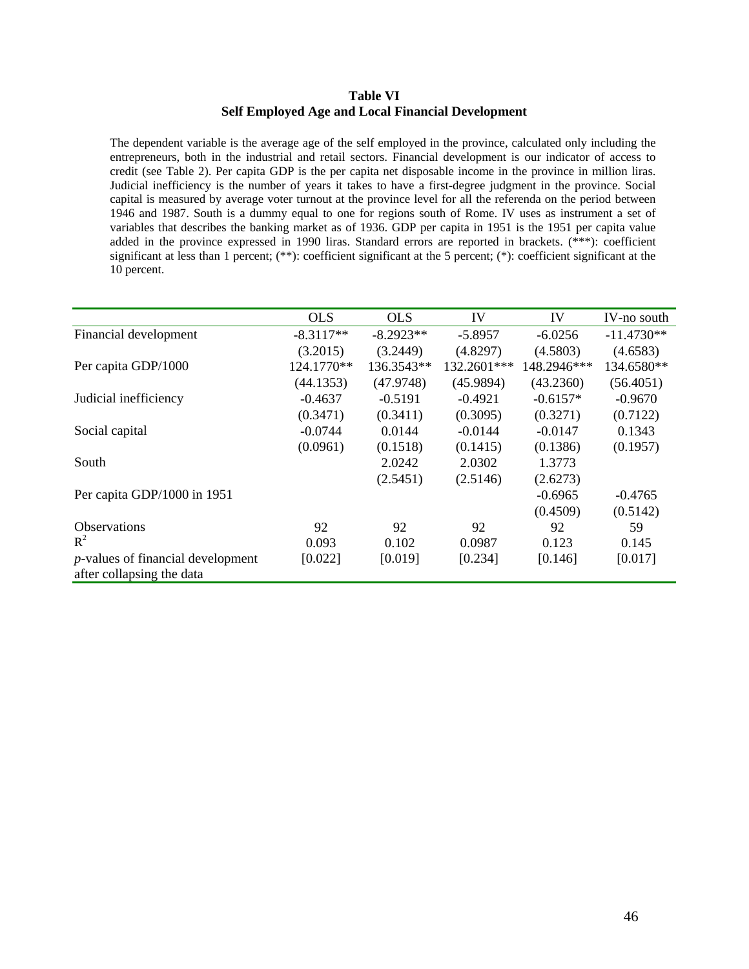### **Table VI Self Employed Age and Local Financial Development**

The dependent variable is the average age of the self employed in the province, calculated only including the entrepreneurs, both in the industrial and retail sectors. Financial development is our indicator of access to credit (see Table 2). Per capita GDP is the per capita net disposable income in the province in million liras. Judicial inefficiency is the number of years it takes to have a first-degree judgment in the province. Social capital is measured by average voter turnout at the province level for all the referenda on the period between 1946 and 1987. South is a dummy equal to one for regions south of Rome. IV uses as instrument a set of variables that describes the banking market as of 1936. GDP per capita in 1951 is the 1951 per capita value added in the province expressed in 1990 liras. Standard errors are reported in brackets. (\*\*\*): coefficient significant at less than 1 percent; (\*\*): coefficient significant at the 5 percent; (\*): coefficient significant at the 10 percent.

|                                           | <b>OLS</b>  | <b>OLS</b>  | IV          | IV          | IV-no south  |
|-------------------------------------------|-------------|-------------|-------------|-------------|--------------|
| Financial development                     | $-8.3117**$ | $-8.2923**$ | $-5.8957$   | $-6.0256$   | $-11.4730**$ |
|                                           | (3.2015)    | (3.2449)    | (4.8297)    | (4.5803)    | (4.6583)     |
| Per capita GDP/1000                       | 124.1770**  | 136.3543**  | 132.2601*** | 148.2946*** | 134.6580**   |
|                                           | (44.1353)   | (47.9748)   | (45.9894)   | (43.2360)   | (56.4051)    |
| Judicial inefficiency                     | $-0.4637$   | $-0.5191$   | $-0.4921$   | $-0.6157*$  | $-0.9670$    |
|                                           | (0.3471)    | (0.3411)    | (0.3095)    | (0.3271)    | (0.7122)     |
| Social capital                            | $-0.0744$   | 0.0144      | $-0.0144$   | $-0.0147$   | 0.1343       |
|                                           | (0.0961)    | (0.1518)    | (0.1415)    | (0.1386)    | (0.1957)     |
| South                                     |             | 2.0242      | 2.0302      | 1.3773      |              |
|                                           |             | (2.5451)    | (2.5146)    | (2.6273)    |              |
| Per capita GDP/1000 in 1951               |             |             |             | $-0.6965$   | $-0.4765$    |
|                                           |             |             |             | (0.4509)    | (0.5142)     |
| <b>Observations</b>                       | 92          | 92          | 92          | 92          | 59           |
| $R^2$                                     | 0.093       | 0.102       | 0.0987      | 0.123       | 0.145        |
| <i>p</i> -values of financial development | [0.022]     | [0.019]     | [0.234]     | [0.146]     | [0.017]      |
| after collapsing the data                 |             |             |             |             |              |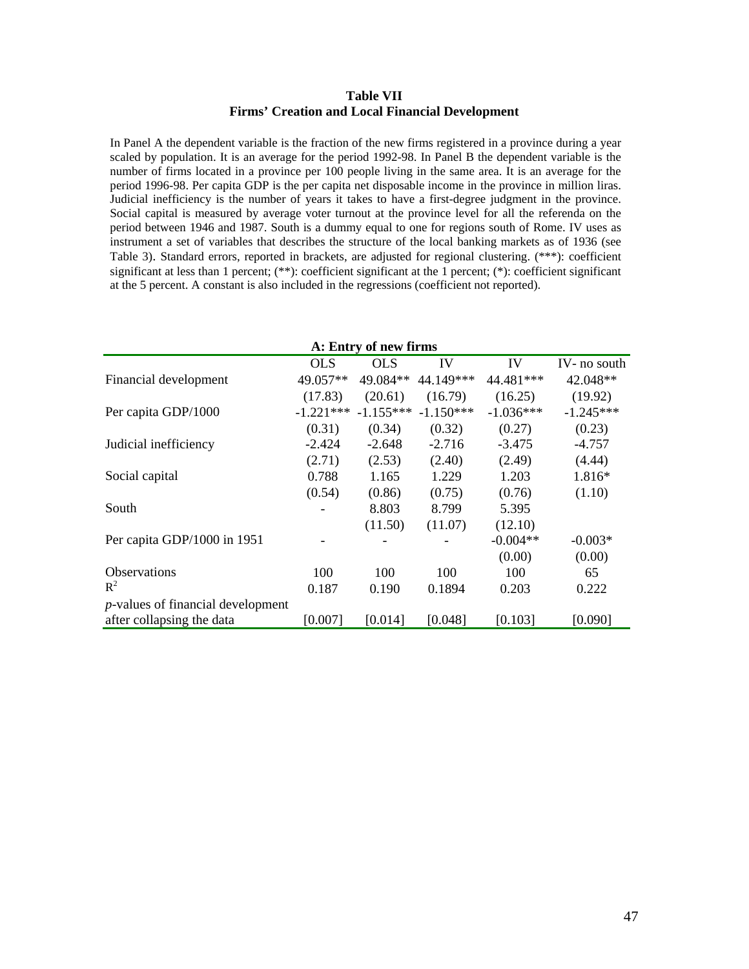### **Table VII Firms' Creation and Local Financial Development**

In Panel A the dependent variable is the fraction of the new firms registered in a province during a year scaled by population. It is an average for the period 1992-98. In Panel B the dependent variable is the number of firms located in a province per 100 people living in the same area. It is an average for the period 1996-98. Per capita GDP is the per capita net disposable income in the province in million liras. Judicial inefficiency is the number of years it takes to have a first-degree judgment in the province. Social capital is measured by average voter turnout at the province level for all the referenda on the period between 1946 and 1987. South is a dummy equal to one for regions south of Rome. IV uses as instrument a set of variables that describes the structure of the local banking markets as of 1936 (see Table 3). Standard errors, reported in brackets, are adjusted for regional clustering. (\*\*\*): coefficient significant at less than 1 percent; (\*\*): coefficient significant at the 1 percent; (\*): coefficient significant at the 5 percent. A constant is also included in the regressions (coefficient not reported).

| A: Entry of new firms                     |             |             |             |             |              |
|-------------------------------------------|-------------|-------------|-------------|-------------|--------------|
|                                           | <b>OLS</b>  | <b>OLS</b>  | IV          | IV          | IV- no south |
| Financial development                     | 49.057**    | 49.084**    | 44.149***   | 44.481***   | 42.048**     |
|                                           | (17.83)     | (20.61)     | (16.79)     | (16.25)     | (19.92)      |
| Per capita GDP/1000                       | $-1.221***$ | $-1.155***$ | $-1.150***$ | $-1.036***$ | $-1.245***$  |
|                                           | (0.31)      | (0.34)      | (0.32)      | (0.27)      | (0.23)       |
| Judicial inefficiency                     | $-2.424$    | $-2.648$    | $-2.716$    | $-3.475$    | $-4.757$     |
|                                           | (2.71)      | (2.53)      | (2.40)      | (2.49)      | (4.44)       |
| Social capital                            | 0.788       | 1.165       | 1.229       | 1.203       | 1.816*       |
|                                           | (0.54)      | (0.86)      | (0.75)      | (0.76)      | (1.10)       |
| South                                     |             | 8.803       | 8.799       | 5.395       |              |
|                                           |             | (11.50)     | (11.07)     | (12.10)     |              |
| Per capita GDP/1000 in 1951               |             |             |             | $-0.004**$  | $-0.003*$    |
|                                           |             |             |             | (0.00)      | (0.00)       |
| <b>Observations</b>                       | 100         | 100         | 100         | 100         | 65           |
| $R^2$                                     | 0.187       | 0.190       | 0.1894      | 0.203       | 0.222        |
| <i>p</i> -values of financial development |             |             |             |             |              |
| after collapsing the data                 | [0.007]     | [0.014]     | [0.048]     | [0.103]     | [0.090]      |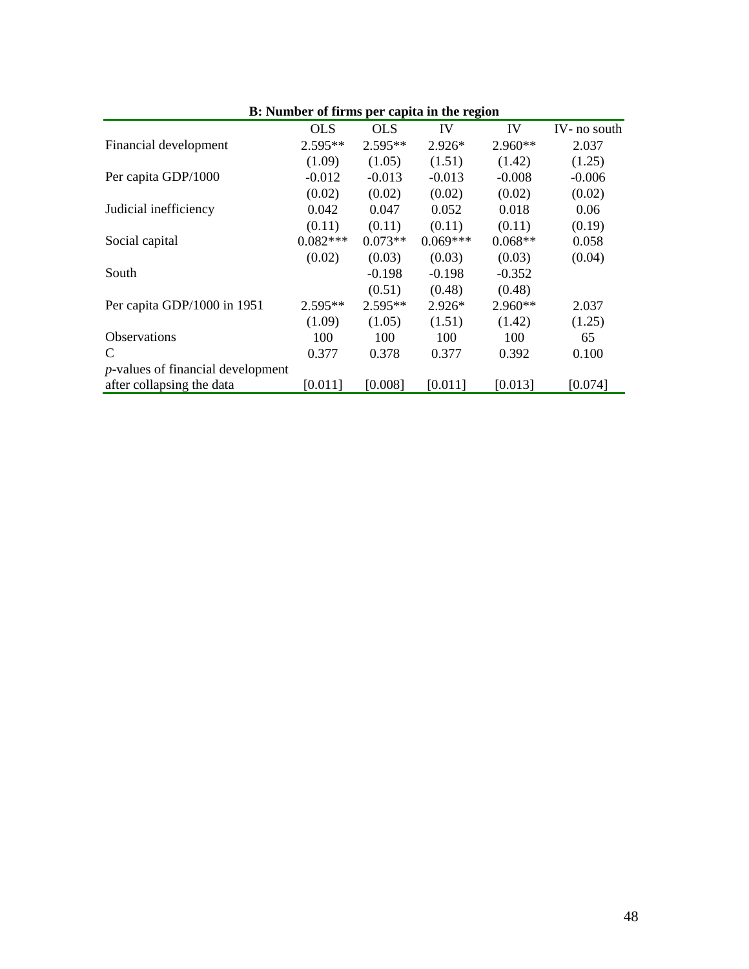| B: Number of firms per capita in the region |            |            |            |           |              |
|---------------------------------------------|------------|------------|------------|-----------|--------------|
|                                             | <b>OLS</b> | <b>OLS</b> | IV         | IV        | IV- no south |
| Financial development                       | $2.595**$  | $2.595**$  | 2.926*     | 2.960**   | 2.037        |
|                                             | (1.09)     | (1.05)     | (1.51)     | (1.42)    | (1.25)       |
| Per capita GDP/1000                         | $-0.012$   | $-0.013$   | $-0.013$   | $-0.008$  | $-0.006$     |
|                                             | (0.02)     | (0.02)     | (0.02)     | (0.02)    | (0.02)       |
| Judicial inefficiency                       | 0.042      | 0.047      | 0.052      | 0.018     | 0.06         |
|                                             | (0.11)     | (0.11)     | (0.11)     | (0.11)    | (0.19)       |
| Social capital                              | $0.082***$ | $0.073**$  | $0.069***$ | $0.068**$ | 0.058        |
|                                             | (0.02)     | (0.03)     | (0.03)     | (0.03)    | (0.04)       |
| South                                       |            | $-0.198$   | $-0.198$   | $-0.352$  |              |
|                                             |            | (0.51)     | (0.48)     | (0.48)    |              |
| Per capita GDP/1000 in 1951                 | $2.595**$  | $2.595**$  | $2.926*$   | $2.960**$ | 2.037        |
|                                             | (1.09)     | (1.05)     | (1.51)     | (1.42)    | (1.25)       |
| <b>Observations</b>                         | 100        | 100        | 100        | 100       | 65           |
| C                                           | 0.377      | 0.378      | 0.377      | 0.392     | 0.100        |
| <i>p</i> -values of financial development   |            |            |            |           |              |
| after collapsing the data                   | [0.011]    | [0.008]    | [0.011]    | [0.013]   | [0.074]      |

### **B: Number of firms per capita in the region**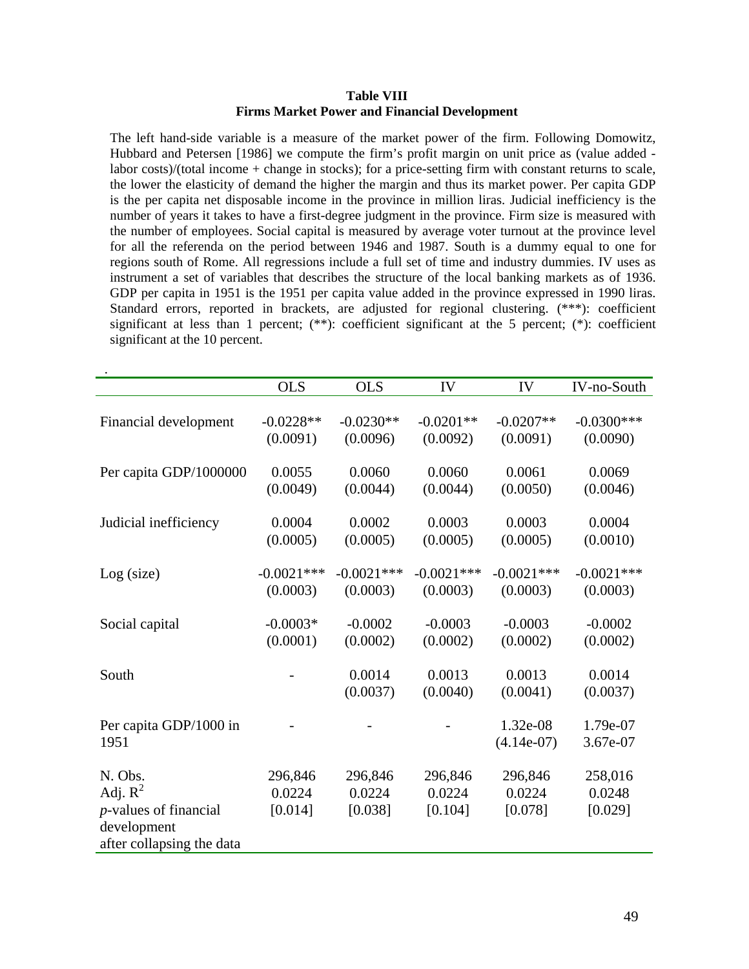#### **Table VIII Firms Market Power and Financial Development**

The left hand-side variable is a measure of the market power of the firm. Following Domowitz, Hubbard and Petersen [1986] we compute the firm's profit margin on unit price as (value added labor costs)/(total income + change in stocks); for a price-setting firm with constant returns to scale, the lower the elasticity of demand the higher the margin and thus its market power. Per capita GDP is the per capita net disposable income in the province in million liras. Judicial inefficiency is the number of years it takes to have a first-degree judgment in the province. Firm size is measured with the number of employees. Social capital is measured by average voter turnout at the province level for all the referenda on the period between 1946 and 1987. South is a dummy equal to one for regions south of Rome. All regressions include a full set of time and industry dummies. IV uses as instrument a set of variables that describes the structure of the local banking markets as of 1936. GDP per capita in 1951 is the 1951 per capita value added in the province expressed in 1990 liras. Standard errors, reported in brackets, are adjusted for regional clustering. (\*\*\*): coefficient significant at less than 1 percent; (\*\*): coefficient significant at the 5 percent; (\*): coefficient significant at the 10 percent.

| <b>OLS</b>   | <b>OLS</b>                                                               | IV                                                                                             | IV                                                                                             | IV-no-South                                                                                                                |
|--------------|--------------------------------------------------------------------------|------------------------------------------------------------------------------------------------|------------------------------------------------------------------------------------------------|----------------------------------------------------------------------------------------------------------------------------|
|              |                                                                          |                                                                                                |                                                                                                |                                                                                                                            |
| $-0.0228**$  | $-0.0230**$                                                              | $-0.0201**$                                                                                    | $-0.0207**$                                                                                    | $-0.0300$ ***                                                                                                              |
| (0.0091)     | (0.0096)                                                                 | (0.0092)                                                                                       | (0.0091)                                                                                       | (0.0090)                                                                                                                   |
|              |                                                                          |                                                                                                |                                                                                                |                                                                                                                            |
|              |                                                                          |                                                                                                |                                                                                                | 0.0069                                                                                                                     |
|              |                                                                          |                                                                                                |                                                                                                | (0.0046)                                                                                                                   |
|              |                                                                          |                                                                                                |                                                                                                | 0.0004                                                                                                                     |
|              |                                                                          |                                                                                                |                                                                                                | (0.0010)                                                                                                                   |
|              |                                                                          |                                                                                                |                                                                                                |                                                                                                                            |
| $-0.0021***$ | $-0.0021***$                                                             | $-0.0021***$                                                                                   | $-0.0021***$                                                                                   | $-0.0021***$                                                                                                               |
| (0.0003)     | (0.0003)                                                                 | (0.0003)                                                                                       | (0.0003)                                                                                       | (0.0003)                                                                                                                   |
|              |                                                                          |                                                                                                |                                                                                                |                                                                                                                            |
| $-0.0003*$   | $-0.0002$                                                                | $-0.0003$                                                                                      | $-0.0003$                                                                                      | $-0.0002$                                                                                                                  |
| (0.0001)     | (0.0002)                                                                 | (0.0002)                                                                                       | (0.0002)                                                                                       | (0.0002)                                                                                                                   |
|              |                                                                          |                                                                                                |                                                                                                |                                                                                                                            |
|              |                                                                          |                                                                                                |                                                                                                | 0.0014                                                                                                                     |
|              |                                                                          |                                                                                                |                                                                                                | (0.0037)                                                                                                                   |
|              |                                                                          |                                                                                                |                                                                                                | 1.79e-07                                                                                                                   |
|              |                                                                          |                                                                                                |                                                                                                | 3.67e-07                                                                                                                   |
|              |                                                                          |                                                                                                |                                                                                                |                                                                                                                            |
|              |                                                                          |                                                                                                |                                                                                                | 258,016                                                                                                                    |
|              |                                                                          |                                                                                                |                                                                                                | 0.0248                                                                                                                     |
|              |                                                                          |                                                                                                |                                                                                                | [0.029]                                                                                                                    |
|              |                                                                          |                                                                                                |                                                                                                |                                                                                                                            |
|              |                                                                          |                                                                                                |                                                                                                |                                                                                                                            |
|              | 0.0055<br>(0.0049)<br>0.0004<br>(0.0005)<br>296,846<br>0.0224<br>[0.014] | 0.0060<br>(0.0044)<br>0.0002<br>(0.0005)<br>0.0014<br>(0.0037)<br>296,846<br>0.0224<br>[0.038] | 0.0060<br>(0.0044)<br>0.0003<br>(0.0005)<br>0.0013<br>(0.0040)<br>296,846<br>0.0224<br>[0.104] | 0.0061<br>(0.0050)<br>0.0003<br>(0.0005)<br>0.0013<br>(0.0041)<br>1.32e-08<br>$(4.14e-07)$<br>296,846<br>0.0224<br>[0.078] |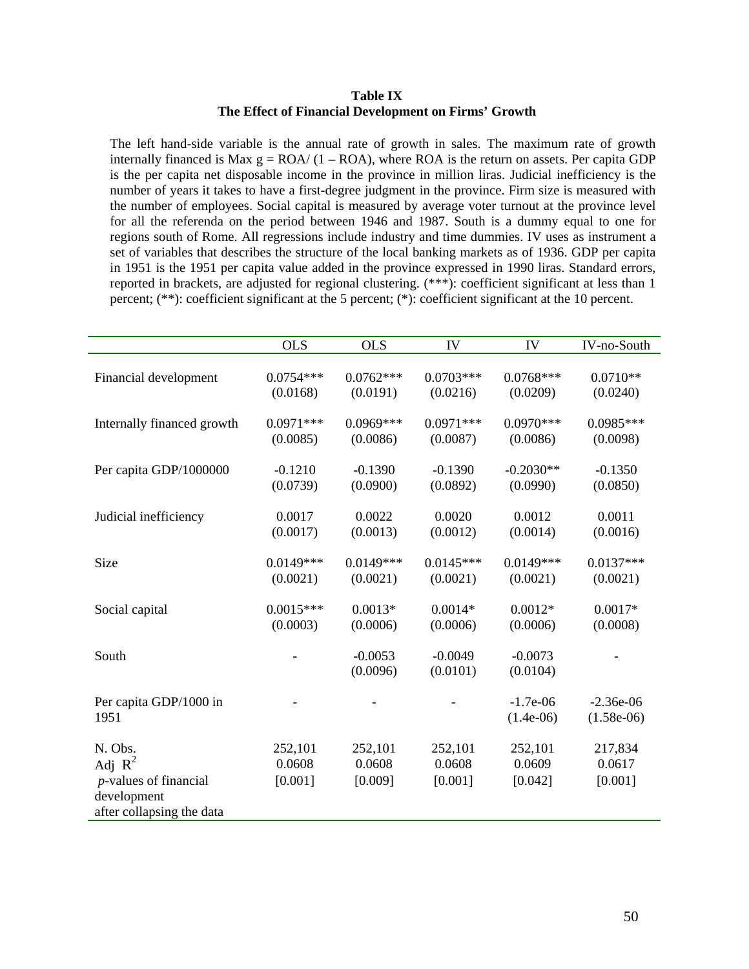### **Table IX The Effect of Financial Development on Firms' Growth**

The left hand-side variable is the annual rate of growth in sales. The maximum rate of growth internally financed is Max  $g = ROA/(1 - ROA)$ , where ROA is the return on assets. Per capita GDP is the per capita net disposable income in the province in million liras. Judicial inefficiency is the number of years it takes to have a first-degree judgment in the province. Firm size is measured with the number of employees. Social capital is measured by average voter turnout at the province level for all the referenda on the period between 1946 and 1987. South is a dummy equal to one for regions south of Rome. All regressions include industry and time dummies. IV uses as instrument a set of variables that describes the structure of the local banking markets as of 1936. GDP per capita in 1951 is the 1951 per capita value added in the province expressed in 1990 liras. Standard errors, reported in brackets, are adjusted for regional clustering. (\*\*\*): coefficient significant at less than 1 percent; (\*\*): coefficient significant at the 5 percent; (\*): coefficient significant at the 10 percent.

|                                                                                                   | <b>OLS</b>                   | <b>OLS</b>                   | IV                           | IV                           | IV-no-South                  |
|---------------------------------------------------------------------------------------------------|------------------------------|------------------------------|------------------------------|------------------------------|------------------------------|
| Financial development                                                                             | $0.0754***$                  | $0.0762***$                  | $0.0703***$                  | $0.0768***$                  | $0.0710**$                   |
|                                                                                                   | (0.0168)                     | (0.0191)                     | (0.0216)                     | (0.0209)                     | (0.0240)                     |
| Internally financed growth                                                                        | $0.0971***$                  | $0.0969***$                  | $0.0971***$                  | $0.0970***$                  | $0.0985***$                  |
|                                                                                                   | (0.0085)                     | (0.0086)                     | (0.0087)                     | (0.0086)                     | (0.0098)                     |
| Per capita GDP/1000000                                                                            | $-0.1210$                    | $-0.1390$                    | $-0.1390$                    | $-0.2030**$                  | $-0.1350$                    |
|                                                                                                   | (0.0739)                     | (0.0900)                     | (0.0892)                     | (0.0990)                     | (0.0850)                     |
| Judicial inefficiency                                                                             | 0.0017                       | 0.0022                       | 0.0020                       | 0.0012                       | 0.0011                       |
|                                                                                                   | (0.0017)                     | (0.0013)                     | (0.0012)                     | (0.0014)                     | (0.0016)                     |
| Size                                                                                              | $0.0149***$                  | $0.0149***$                  | $0.0145***$                  | $0.0149***$                  | $0.0137***$                  |
|                                                                                                   | (0.0021)                     | (0.0021)                     | (0.0021)                     | (0.0021)                     | (0.0021)                     |
| Social capital                                                                                    | $0.0015***$                  | $0.0013*$                    | $0.0014*$                    | $0.0012*$                    | $0.0017*$                    |
|                                                                                                   | (0.0003)                     | (0.0006)                     | (0.0006)                     | (0.0006)                     | (0.0008)                     |
| South                                                                                             |                              | $-0.0053$<br>(0.0096)        | $-0.0049$<br>(0.0101)        | $-0.0073$<br>(0.0104)        |                              |
| Per capita GDP/1000 in<br>1951                                                                    |                              |                              |                              | $-1.7e-06$<br>$(1.4e-06)$    | $-2.36e-06$<br>$(1.58e-06)$  |
| N. Obs.<br>Adj $R^2$<br><i>p</i> -values of financial<br>development<br>after collapsing the data | 252,101<br>0.0608<br>[0.001] | 252,101<br>0.0608<br>[0.009] | 252,101<br>0.0608<br>[0.001] | 252,101<br>0.0609<br>[0.042] | 217,834<br>0.0617<br>[0.001] |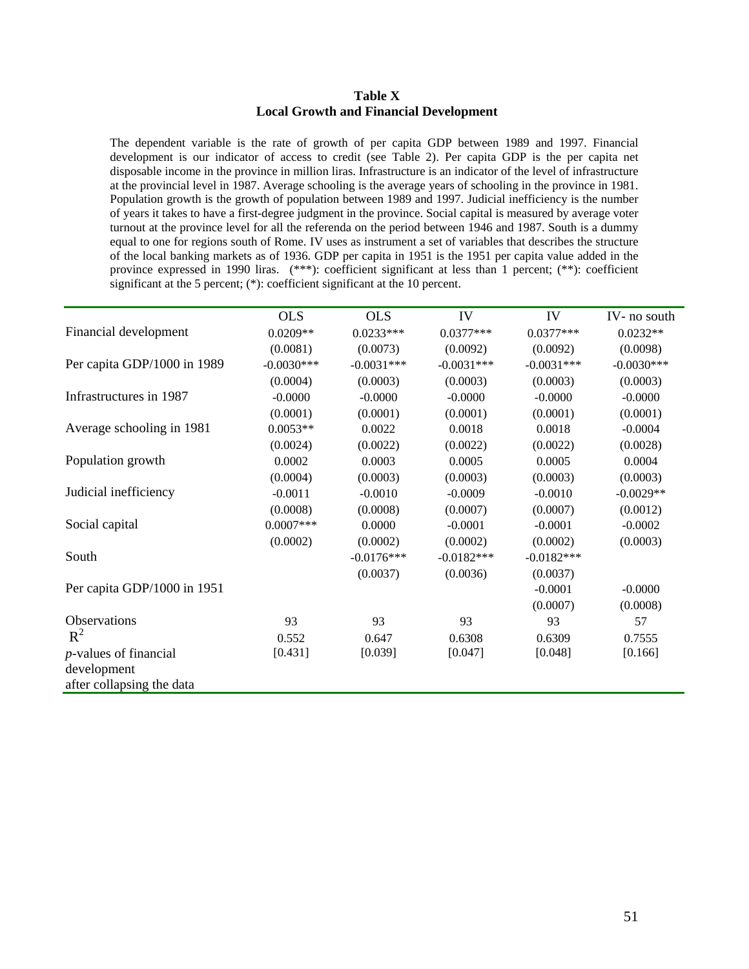### **Table X Local Growth and Financial Development**

The dependent variable is the rate of growth of per capita GDP between 1989 and 1997. Financial development is our indicator of access to credit (see Table 2). Per capita GDP is the per capita net disposable income in the province in million liras. Infrastructure is an indicator of the level of infrastructure at the provincial level in 1987. Average schooling is the average years of schooling in the province in 1981. Population growth is the growth of population between 1989 and 1997. Judicial inefficiency is the number of years it takes to have a first-degree judgment in the province. Social capital is measured by average voter turnout at the province level for all the referenda on the period between 1946 and 1987. South is a dummy equal to one for regions south of Rome. IV uses as instrument a set of variables that describes the structure of the local banking markets as of 1936. GDP per capita in 1951 is the 1951 per capita value added in the province expressed in 1990 liras. (\*\*\*): coefficient significant at less than 1 percent; (\*\*): coefficient significant at the 5 percent; (\*): coefficient significant at the 10 percent.

|                             | <b>OLS</b>   | <b>OLS</b>   | IV           | IV           | IV- no south |
|-----------------------------|--------------|--------------|--------------|--------------|--------------|
| Financial development       | $0.0209**$   | $0.0233***$  | $0.0377***$  | $0.0377***$  | $0.0232**$   |
|                             | (0.0081)     | (0.0073)     | (0.0092)     | (0.0092)     | (0.0098)     |
| Per capita GDP/1000 in 1989 | $-0.0030***$ | $-0.0031***$ | $-0.0031***$ | $-0.0031***$ | $-0.0030***$ |
|                             | (0.0004)     | (0.0003)     | (0.0003)     | (0.0003)     | (0.0003)     |
| Infrastructures in 1987     | $-0.0000$    | $-0.0000$    | $-0.0000$    | $-0.0000$    | $-0.0000$    |
|                             | (0.0001)     | (0.0001)     | (0.0001)     | (0.0001)     | (0.0001)     |
| Average schooling in 1981   | $0.0053**$   | 0.0022       | 0.0018       | 0.0018       | $-0.0004$    |
|                             | (0.0024)     | (0.0022)     | (0.0022)     | (0.0022)     | (0.0028)     |
| Population growth           | 0.0002       | 0.0003       | 0.0005       | 0.0005       | 0.0004       |
|                             | (0.0004)     | (0.0003)     | (0.0003)     | (0.0003)     | (0.0003)     |
| Judicial inefficiency       | $-0.0011$    | $-0.0010$    | $-0.0009$    | $-0.0010$    | $-0.0029**$  |
|                             | (0.0008)     | (0.0008)     | (0.0007)     | (0.0007)     | (0.0012)     |
| Social capital              | $0.0007***$  | 0.0000       | $-0.0001$    | $-0.0001$    | $-0.0002$    |
|                             | (0.0002)     | (0.0002)     | (0.0002)     | (0.0002)     | (0.0003)     |
| South                       |              | $-0.0176***$ | $-0.0182***$ | $-0.0182***$ |              |
|                             |              | (0.0037)     | (0.0036)     | (0.0037)     |              |
| Per capita GDP/1000 in 1951 |              |              |              | $-0.0001$    | $-0.0000$    |
|                             |              |              |              | (0.0007)     | (0.0008)     |
| Observations                | 93           | 93           | 93           | 93           | 57           |
| $R^2$                       | 0.552        | 0.647        | 0.6308       | 0.6309       | 0.7555       |
| $p$ -values of financial    | [0.431]      | [0.039]      | [0.047]      | [0.048]      | [0.166]      |
| development                 |              |              |              |              |              |
| after collapsing the data   |              |              |              |              |              |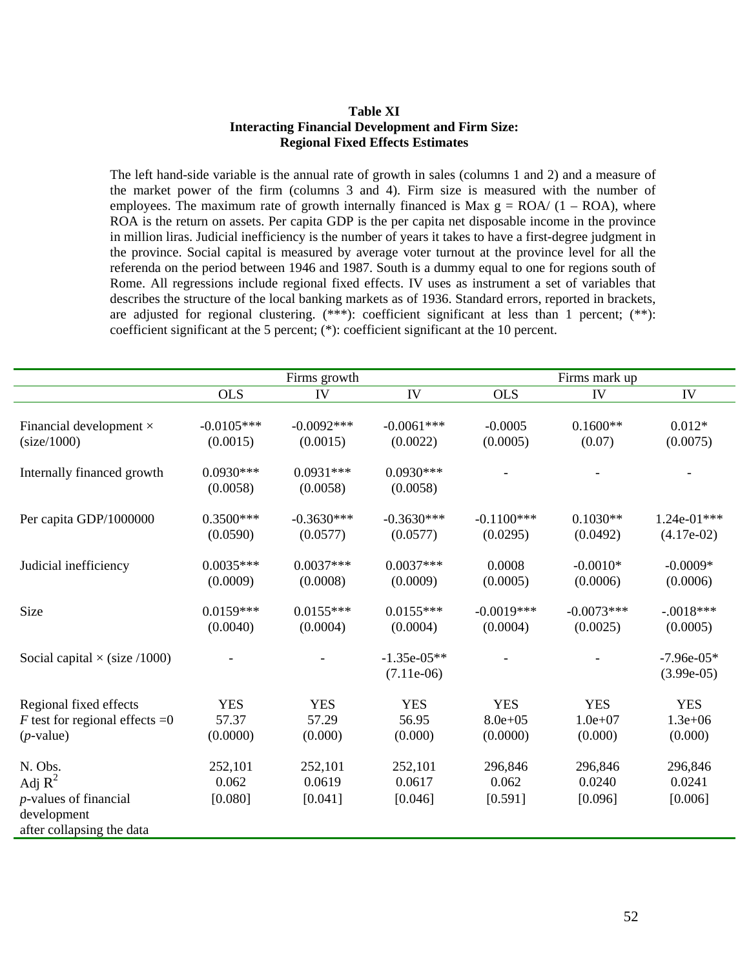## **Table XI Interacting Financial Development and Firm Size: Regional Fixed Effects Estimates**

The left hand-side variable is the annual rate of growth in sales (columns 1 and 2) and a measure of the market power of the firm (columns 3 and 4). Firm size is measured with the number of employees. The maximum rate of growth internally financed is Max  $g = ROA/(1 - ROA)$ , where ROA is the return on assets. Per capita GDP is the per capita net disposable income in the province in million liras. Judicial inefficiency is the number of years it takes to have a first-degree judgment in the province. Social capital is measured by average voter turnout at the province level for all the referenda on the period between 1946 and 1987. South is a dummy equal to one for regions south of Rome. All regressions include regional fixed effects. IV uses as instrument a set of variables that describes the structure of the local banking markets as of 1936. Standard errors, reported in brackets, are adjusted for regional clustering. (\*\*\*): coefficient significant at less than 1 percent; (\*\*): coefficient significant at the 5 percent; (\*): coefficient significant at the 10 percent.

|                                                                                              |                             | Firms growth                 |                               |                             | Firms mark up                |                              |
|----------------------------------------------------------------------------------------------|-----------------------------|------------------------------|-------------------------------|-----------------------------|------------------------------|------------------------------|
|                                                                                              | <b>OLS</b>                  | IV                           | IV                            | <b>OLS</b>                  | IV                           | IV                           |
| Financial development $\times$                                                               | $-0.0105***$                | $-0.0092***$                 | $-0.0061***$                  | $-0.0005$                   | $0.1600**$                   | $0.012*$                     |
| (size/1000)                                                                                  | (0.0015)                    | (0.0015)                     | (0.0022)                      | (0.0005)                    | (0.07)                       | (0.0075)                     |
| Internally financed growth                                                                   | $0.0930***$<br>(0.0058)     | $0.0931***$<br>(0.0058)      | $0.0930***$<br>(0.0058)       |                             |                              |                              |
| Per capita GDP/1000000                                                                       | $0.3500***$                 | $-0.3630***$                 | $-0.3630***$                  | $-0.1100***$                | $0.1030**$                   | $1.24e-01***$                |
|                                                                                              | (0.0590)                    | (0.0577)                     | (0.0577)                      | (0.0295)                    | (0.0492)                     | $(4.17e-02)$                 |
| Judicial inefficiency                                                                        | $0.0035***$                 | $0.0037***$                  | $0.0037***$                   | 0.0008                      | $-0.0010*$                   | $-0.0009*$                   |
|                                                                                              | (0.0009)                    | (0.0008)                     | (0.0009)                      | (0.0005)                    | (0.0006)                     | (0.0006)                     |
| Size                                                                                         | $0.0159***$                 | $0.0155***$                  | $0.0155***$                   | $-0.0019***$                | $-0.0073***$                 | $-.0018***$                  |
|                                                                                              | (0.0040)                    | (0.0004)                     | (0.0004)                      | (0.0004)                    | (0.0025)                     | (0.0005)                     |
| Social capital $\times$ (size /1000)                                                         |                             |                              | $-1.35e-05**$<br>$(7.11e-06)$ |                             |                              | $-7.96e-05*$<br>$(3.99e-05)$ |
| Regional fixed effects                                                                       | <b>YES</b>                  | <b>YES</b>                   | <b>YES</b>                    | <b>YES</b>                  | <b>YES</b>                   | <b>YES</b>                   |
| F test for regional effects $=0$                                                             | 57.37                       | 57.29                        | 56.95                         | $8.0e + 0.5$                | $1.0e+07$                    | $1.3e + 06$                  |
| $(p$ -value)                                                                                 | (0.0000)                    | (0.000)                      | (0.000)                       | (0.0000)                    | (0.000)                      | (0.000)                      |
| N. Obs.<br>Adj $R^2$<br>$p$ -values of financial<br>development<br>after collapsing the data | 252,101<br>0.062<br>[0.080] | 252,101<br>0.0619<br>[0.041] | 252,101<br>0.0617<br>[0.046]  | 296,846<br>0.062<br>[0.591] | 296,846<br>0.0240<br>[0.096] | 296,846<br>0.0241<br>[0.006] |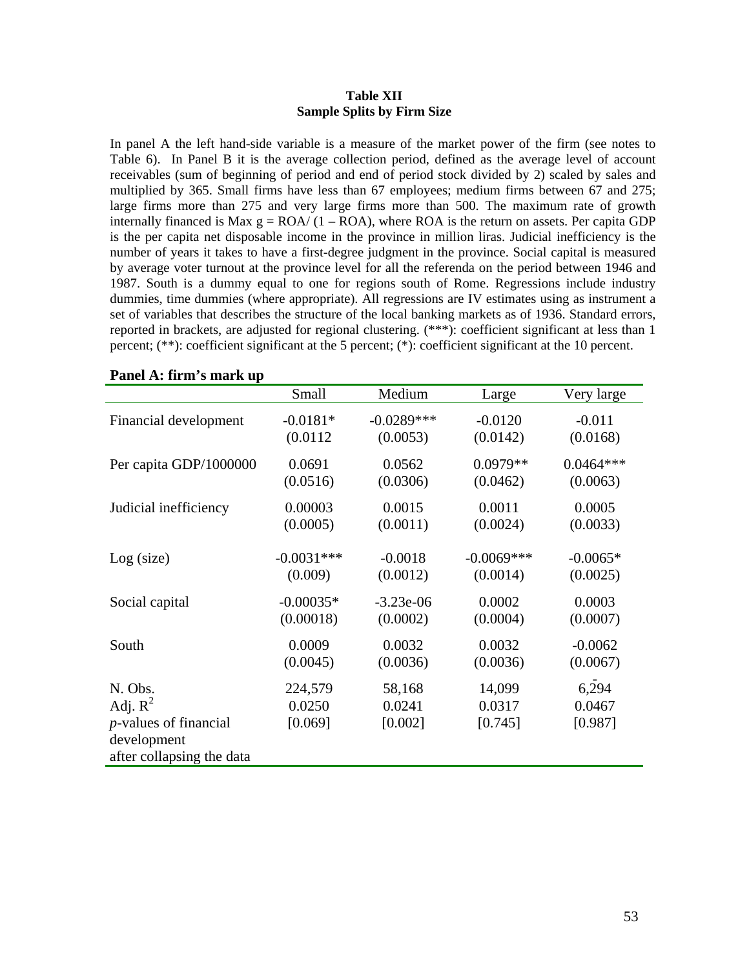### **Table XII Sample Splits by Firm Size**

In panel A the left hand-side variable is a measure of the market power of the firm (see notes to Table 6). In Panel B it is the average collection period, defined as the average level of account receivables (sum of beginning of period and end of period stock divided by 2) scaled by sales and multiplied by 365. Small firms have less than 67 employees; medium firms between 67 and 275; large firms more than 275 and very large firms more than 500. The maximum rate of growth internally financed is Max  $g = ROA/(1 - ROA)$ , where ROA is the return on assets. Per capita GDP is the per capita net disposable income in the province in million liras. Judicial inefficiency is the number of years it takes to have a first-degree judgment in the province. Social capital is measured by average voter turnout at the province level for all the referenda on the period between 1946 and 1987. South is a dummy equal to one for regions south of Rome. Regressions include industry dummies, time dummies (where appropriate). All regressions are IV estimates using as instrument a set of variables that describes the structure of the local banking markets as of 1936. Standard errors, reported in brackets, are adjusted for regional clustering. (\*\*\*): coefficient significant at less than 1 percent; (\*\*): coefficient significant at the 5 percent; (\*): coefficient significant at the 10 percent.

|                                                                                                    | Small                        | Medium                      | Large                       | Very large                 |
|----------------------------------------------------------------------------------------------------|------------------------------|-----------------------------|-----------------------------|----------------------------|
| Financial development                                                                              | $-0.0181*$                   | $-0.0289***$                | $-0.0120$                   | $-0.011$                   |
|                                                                                                    | (0.0112)                     | (0.0053)                    | (0.0142)                    | (0.0168)                   |
| Per capita GDP/1000000                                                                             | 0.0691                       | 0.0562                      | $0.0979**$                  | $0.0464***$                |
|                                                                                                    | (0.0516)                     | (0.0306)                    | (0.0462)                    | (0.0063)                   |
| Judicial inefficiency                                                                              | 0.00003                      | 0.0015                      | 0.0011                      | 0.0005                     |
|                                                                                                    | (0.0005)                     | (0.0011)                    | (0.0024)                    | (0.0033)                   |
| Log (size)                                                                                         | $-0.0031***$                 | $-0.0018$                   | $-0.0069***$                | $-0.0065*$                 |
|                                                                                                    | (0.009)                      | (0.0012)                    | (0.0014)                    | (0.0025)                   |
| Social capital                                                                                     | $-0.00035*$                  | $-3.23e-06$                 | 0.0002                      | 0.0003                     |
|                                                                                                    | (0.00018)                    | (0.0002)                    | (0.0004)                    | (0.0007)                   |
| South                                                                                              | 0.0009                       | 0.0032                      | 0.0032                      | $-0.0062$                  |
|                                                                                                    | (0.0045)                     | (0.0036)                    | (0.0036)                    | (0.0067)                   |
| N. Obs.<br>Adj. $R^2$<br><i>p</i> -values of financial<br>development<br>after collapsing the data | 224,579<br>0.0250<br>[0.069] | 58,168<br>0.0241<br>[0.002] | 14,099<br>0.0317<br>[0.745] | 6,294<br>0.0467<br>[0.987] |

#### **Panel A: firm's mark up**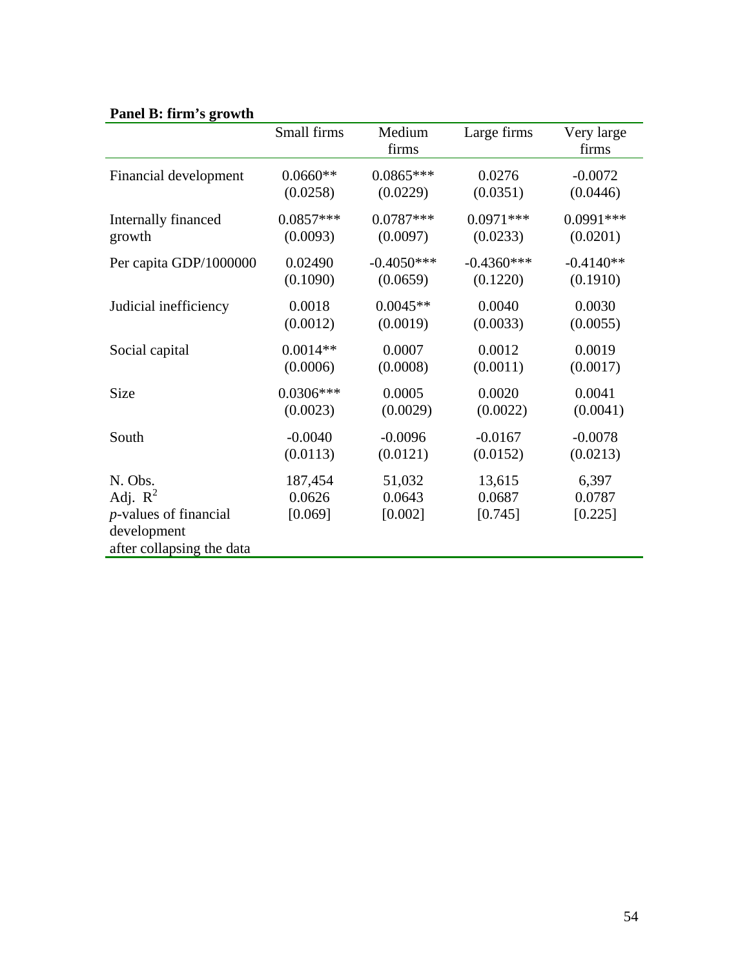| Panel B: firm's growth |  |  |  |  |
|------------------------|--|--|--|--|
|------------------------|--|--|--|--|

|                                                                       | Small firms                  | Medium<br>firms             | Large firms                 | Very large<br>firms        |
|-----------------------------------------------------------------------|------------------------------|-----------------------------|-----------------------------|----------------------------|
| Financial development                                                 | $0.0660**$                   | $0.0865***$                 | 0.0276                      | $-0.0072$                  |
|                                                                       | (0.0258)                     | (0.0229)                    | (0.0351)                    | (0.0446)                   |
| Internally financed                                                   | $0.0857***$                  | $0.0787***$                 | $0.0971***$                 | $0.0991***$                |
| growth                                                                | (0.0093)                     | (0.0097)                    | (0.0233)                    | (0.0201)                   |
| Per capita GDP/1000000                                                | 0.02490                      | $-0.4050***$                | $-0.4360***$                | $-0.4140**$                |
|                                                                       | (0.1090)                     | (0.0659)                    | (0.1220)                    | (0.1910)                   |
| Judicial inefficiency                                                 | 0.0018                       | $0.0045**$                  | 0.0040                      | 0.0030                     |
|                                                                       | (0.0012)                     | (0.0019)                    | (0.0033)                    | (0.0055)                   |
| Social capital                                                        | $0.0014**$                   | 0.0007                      | 0.0012                      | 0.0019                     |
|                                                                       | (0.0006)                     | (0.0008)                    | (0.0011)                    | (0.0017)                   |
| <b>Size</b>                                                           | $0.0306***$                  | 0.0005                      | 0.0020                      | 0.0041                     |
|                                                                       | (0.0023)                     | (0.0029)                    | (0.0022)                    | (0.0041)                   |
| South                                                                 | $-0.0040$                    | $-0.0096$                   | $-0.0167$                   | $-0.0078$                  |
|                                                                       | (0.0113)                     | (0.0121)                    | (0.0152)                    | (0.0213)                   |
| N. Obs.<br>Adj. $R^2$<br><i>p</i> -values of financial<br>development | 187,454<br>0.0626<br>[0.069] | 51,032<br>0.0643<br>[0.002] | 13,615<br>0.0687<br>[0.745] | 6,397<br>0.0787<br>[0.225] |
| after collapsing the data                                             |                              |                             |                             |                            |